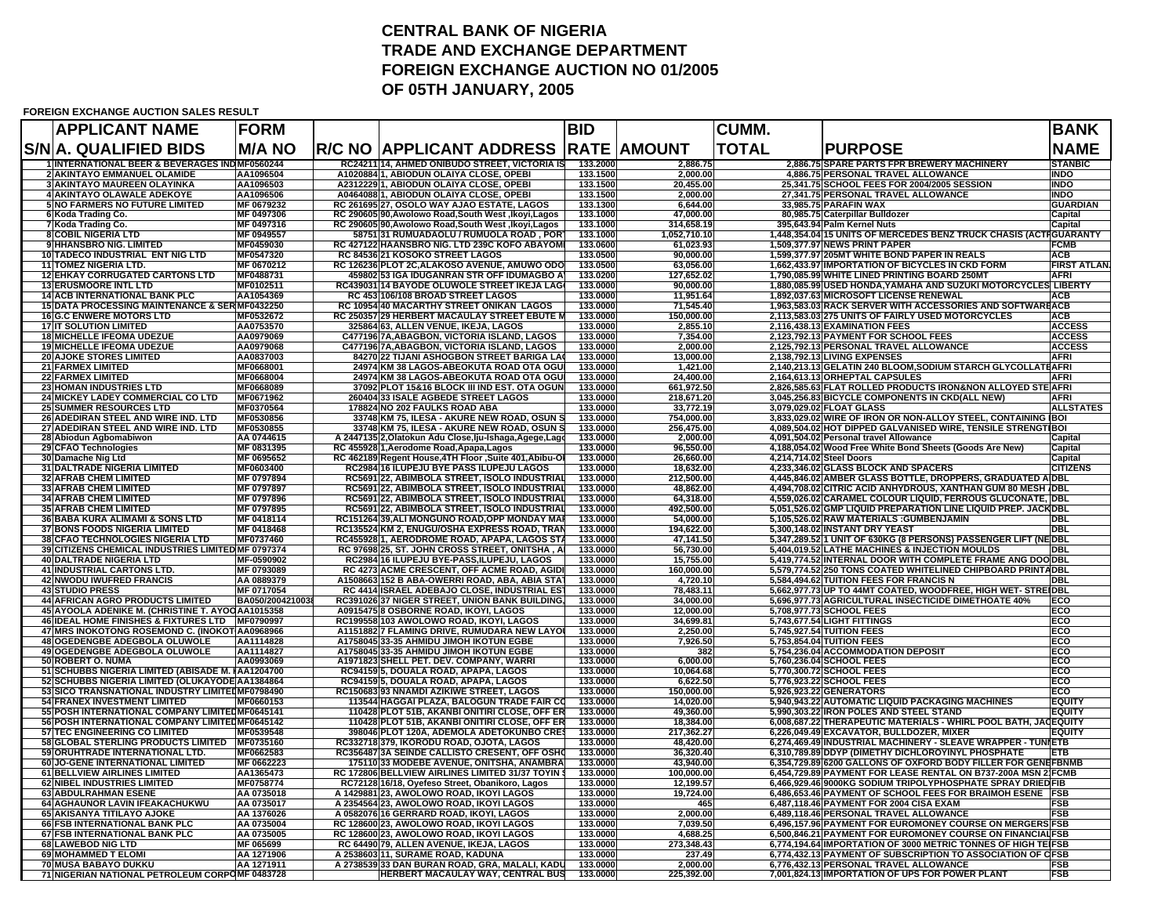## **CENTRAL BANK OF NIGERIA TRADE AND EXCHANGE DEPARTMENTFOREIGN EXCHANGE AUCTION NO 01/2005 OF 05TH JANUARY, 2005**

## **FOREIGN EXCHANGE AUCTION SALES RESULT**

| <b>APPLICANT NAME</b>                                                                              | <b>FORM</b>                   |       |                                                                                                    | <b>BID</b>           |                          | <b>CUMM.</b>             |                                                                                                                              | <b>BANK</b>                     |
|----------------------------------------------------------------------------------------------------|-------------------------------|-------|----------------------------------------------------------------------------------------------------|----------------------|--------------------------|--------------------------|------------------------------------------------------------------------------------------------------------------------------|---------------------------------|
| S/N A. QUALIFIED BIDS                                                                              | <b>M/A NO</b>                 |       | <b>R/C NO AAPPLICANT ADDRESS</b>                                                                   |                      | <b>RATE AMOUNT</b>       | <b>TOTAL</b>             | <b>PURPOSE</b>                                                                                                               | <b>NAME</b>                     |
| <b>1 INTERNATIONAL BEER &amp; BEVERAGES INDIMF0560244</b><br>2 AKINTAYO EMMANUEL OLAMIDE           | AA1096504                     |       | RC24211114, AHMED ONIBUDO STREET, VICTORIA IS<br>A102088411, ABIODUN OLAIYA CLOSE, OPEBI           | 133.2000<br>133.1500 | 2,886.75<br>2,000.00     |                          | 2,886.75 SPARE PARTS FPR BREWERY MACHINERY<br>4,886.75 PERSONAL TRAVEL ALLOWANCE                                             | STANBIC<br><b>INDO</b>          |
| <b>3 AKINTAYO MAUREEN OLAYINKA</b>                                                                 | AA1096503                     |       | A2312229 1, ABIODUN OLAIYA CLOSE, OPEBI                                                            | 133.1500             | 20,455.00                |                          | 25,341.75 SCHOOL FEES FOR 2004/2005 SESSION                                                                                  | <b>INDO</b>                     |
| 4 AKINTAYO OLAWALE ADEKOYE                                                                         | AA1096506                     |       | A0464088 1, ABIODUN OLAIYA CLOSE, OPEBI                                                            | 133.1500             | 2,000.00                 |                          | 27,341.75 PERSONAL TRAVEL ALLOWANCE                                                                                          | <b>INDO</b>                     |
| <b>5 NO FARMERS NO FUTURE LIMITED</b><br>6 Koda Trading Co.                                        | MF 0679232<br>MF 0497306      |       | RC 261695 27, OSOLO WAY AJAO ESTATE, LAGOS<br>RC 290605 90, Awolowo Road, South West, Ikoyi, Lagos | 133.1300<br>133.1000 | 6,644.00<br>47.000.00    |                          | 33,985.75 PARAFIN WAX<br>80,985.75 Caterpillar Bulldozer                                                                     | GUARDIAN<br>Capital             |
| 7 Koda Trading Co.                                                                                 | MF 0497316                    |       | RC 290605 90, Awolowo Road, South West, Ikoyi, Lagos                                               | 133.1000             | 314,658.19               |                          | 395,643.94 Palm Kernel Nuts                                                                                                  | Capital                         |
| <b>8 COBIL NIGERIA LTD</b>                                                                         | MF 0949557                    |       | 58751 31 RUMUADAOLU / RUMUOLA ROAD, POR                                                            | 133.1000             | 1,052,710.10             |                          | 1,448,354.04 15 UNITS OF MERCEDES BENZ TRUCK CHASIS (ACTIGUARANTY                                                            |                                 |
| <b>9 HHANSBRO NIG, LIMITED</b><br>10 TADECO INDUSTRIAL ENT NIG LTD                                 | MF0459030<br>MF0547320        |       | RC 427122 HAANSBRO NIG. LTD 239C KOFO ABAYON<br>RC 84536 21 KOSOKO STREET LAGOS                    | 133,0600<br>133.0500 | 61.023.93<br>90,000.00   |                          | <b>1.509.377.97 NEWS PRINT PAPER</b><br>1,599,377.97 205MT WHITE BOND PAPER IN REALS                                         | FCMB<br>ACB                     |
| <b>11 TOMEZ NIGERIA LTD.</b>                                                                       | MF 0670212                    |       | RC 126236 PLOT 2C, ALAKOSO AVENUE, AMUWO ODO                                                       | 133.0500             | 63.056.00                |                          | 1,662,433.97 IMPORTATION OF BICYCLES IN CKD FORM                                                                             | <b>FIRST ATLAN</b>              |
| <b>12 EHKAY CORRUGATED CARTONS LTD</b>                                                             | MF0488731                     |       | 459802 53 IGA IDUGANRAN STR OFF IDUMAGBO A                                                         | 133.0200             | 127,652.02               |                          | 1,790,085.99 WHITE LINED PRINTING BOARD 250MT                                                                                | <b>AFR</b>                      |
| <b>13 ERUSMOORE INTL LTD</b><br><b>14 ACB INTERNATIONAL BANK PLC</b>                               | MF0102511                     |       | RC439031 14 BAYODE OLUWOLE STREET IKEJA LAG                                                        | 133.0000             | 90,000.00                |                          | 1,880,085.99 USED HONDA, YAMAHA AND SUZUKI MOTORCYCLES LIBERTY<br>1,892,037.63 MICROSOFT LICENSE RENEWAL                     |                                 |
| 15 DATA PROCESSING MAINTENANCE & SERMF0432250                                                      | AA1054369                     |       | RC 453 106/108 BROAD STREET LAGOS<br>RC 10954 40 MACARTHY STREET ONIKAN LAGOS                      | 133.0000<br>133.0000 | 11,951.64<br>71,545.40   |                          | 1,963,583.03 RACK SERVER WITH ACCESSORIES AND SOFTWAREACB                                                                    | ACB                             |
| <b>16G.C ENWERE MOTORS LTD</b>                                                                     | MF0532672                     |       | RC 250357 29 HERBERT MACAULAY STREET EBUTE                                                         | 133.0000             | 150,000.00               |                          | 2,113,583.03 275 UNITS OF FAIRLY USED MOTORCYCLES                                                                            | <b>ACB</b>                      |
| <b>17 IT SOLUTION LIMITED</b>                                                                      | AA0753570                     |       | 325864 63, ALLEN VENUE, IKEJA, LAGOS                                                               | 133.0000             | 2,855.10                 |                          | 2,116,438.13 EXAMINATION FEES                                                                                                | <b>ACCESS</b>                   |
| <b>18 MICHELLE IFEOMA UDEZUE</b><br><b>19 MICHELLE IFEOMA UDEZUE</b>                               | AA0979069<br>AA0979068        |       | C477196 7A, ABAGBON, VICTORIA ISLAND, LAGOS<br>C477196 7A, ABAGBON, VICTORIA ISLAND, LAGOS         | 133.0000<br>133.0000 | 7,354.00<br>2,000.00     |                          | 2,123,792.13 PAYMENT FOR SCHOOL FEES<br>2,125,792.13 PERSONAL TRAVEL ALLOWANCE                                               | <b>ACCESS</b><br><b>ACCESS</b>  |
| <b>20 AJOKE STORES LIMITED</b>                                                                     | AA0837003                     |       | 84270 22 TIJANI ASHOGBON STREET BARIGA LA                                                          | 133.0000             | 13,000.00                |                          | 2,138,792.13 LIVING EXPENSES                                                                                                 | <b>AFRI</b>                     |
| <b>21 FARMEX LIMITED</b>                                                                           | MF0668001                     |       | 24974 KM 38 LAGOS-ABEOKUTA ROAD OTA OG                                                             | 133.0000             | 1,421.00                 |                          | 2,140,213.13 GELATIN 240 BLOOM, SODIUM STARCH GLYCOLLATEAFRI                                                                 |                                 |
| <b>22 FARMEX LIMITED</b><br><b>23 HOMAN INDUSTRIES LTD</b>                                         | MF0668004<br>MF0668089        | 24974 | KM 38 LAGOS-ABEOKUTA ROAD OTA OG<br>37092 PLOT 15&16 BLOCK III IND EST. OTA OGUN                   | 133.0000<br>133.0000 | 24,400.00<br>661,972.50  |                          | 2,164,613.13 ORHEPTAL CAPSULES<br>2,826,585.63 FLAT ROLLED PRODUCTS IRON&NON ALLOYED STEAFRI                                 | AFRI                            |
| 24 MICKEY LADEY COMMERCIAL CO LTD                                                                  | MF0671962                     |       | 260404 33 ISALE AGBEDE STREET LAGOS                                                                | 133.0000             | 218,671.20               |                          | 3,045,256.83 BICYCLE COMPONENTS IN CKD(ALL NEW)                                                                              | <b>AFRI</b>                     |
| <b>25 SUMMER RESOURCES LTD</b>                                                                     | MF0370564                     |       | 178824 NO 202 FAULKS ROAD ABA                                                                      | 133.0000             | 33,772.19                |                          | 3,079,029.02 FLOAT GLASS                                                                                                     | <b>ALLSTATES</b>                |
| 26 ADEDIRAN STEEL AND WIRE IND. LTD                                                                | MF0530856<br>MF0530855        |       | 33748 KM 75, ILESA - AKURE NEW ROAD, OSUN<br>33748 KM 75, ILESA - AKURE NEW ROAD, OSUN \$          | 133.0000<br>133.0000 | 754,000.00<br>256,475.00 |                          | 3,833,029.02 WIRE OF IRON OR NON-ALLOY STEEL, CONTAINING BOI<br>4,089,504.02 HOT DIPPED GALVANISED WIRE, TENSILE STRENGT BOI |                                 |
| 27 ADEDIRAN STEEL AND WIRE IND. LTD<br>28 Abiodun Agbomabiwon                                      | AA 0744615                    |       | A 2447135 2, Olatokun Adu Close, Iju-Ishaga, Agege, Lag                                            | 133.0000             | 2,000.00                 |                          | 4,091,504.02 Personal travel Allowance                                                                                       | Capital                         |
| 29 CFAO Technologies                                                                               | MF 0831395                    |       | RC 455928 1, Aerodome Road, Apapa, Lagos                                                           | 133.0000             | 96,550.00                |                          | 4,188,054.02 Wood Free White Bond Sheets (Goods Are New)                                                                     | Capital                         |
| 30 Damache Nig Ltd                                                                                 | MF 0695652                    |       | RC 462189 Regent House, 4TH Floor , Suite 401, Abibu-C                                             | 133,0000             | 26,660.00                | 4,214,714.02 Steel Doors |                                                                                                                              | Capital                         |
| <b>31 DALTRADE NIGERIA LIMITED</b><br><b>32 AFRAB CHEM LIMITED</b>                                 | MF0603400<br>MF 0797894       |       | RC2984 16 ILUPEJU BYE PASS ILUPEJU LAGOS<br>RC5691 22, ABIMBOLA STREET, ISOLO INDUSTRIA            | 133.0000<br>133.0000 | 18,632.00<br>212,500.00  |                          | 4,233,346.02 GLASS BLOCK AND SPACERS<br>4,445,846.02 AMBER GLASS BOTTLE, DROPPERS, GRADUATED A DBL                           | <b>CITIZENS</b>                 |
| <b>33 AFRAB CHEM LIMITED</b>                                                                       | MF 0797897                    |       | RC5691 22, ABIMBOLA STREET, ISOLO INDUSTRIA                                                        | 133.0000             | 48,862.00                |                          | 4,494,708.02 CITRIC ACID ANHYDROUS, XANTHAN GUM 80 MESH DBL                                                                  |                                 |
| <b>34 AFRAB CHEM LIMITED</b>                                                                       | MF 0797896                    |       | RC5691 22, ABIMBOLA STREET, ISOLO INDUSTRIA                                                        | 133.0000             | 64.318.00                |                          | 4,559,026.02 CARAMEL COLOUR LIQUID, FERROUS GLUCONATE, DBL                                                                   |                                 |
| <b>35 AFRAB CHEM LIMITED</b><br>36 BABA KURA ALIMAMI & SONS LTD                                    | MF 0797895<br>MF 0418114      |       | RC5691 22, ABIMBOLA STREET, ISOLO INDUSTRIA<br>RC151264 39, ALI MONGUNO ROAD, OPP MONDAY MAI       | 133,0000<br>133,0000 | 492.500.00<br>54,000.00  |                          | 5.051.526.02 GMP LIQUID PREPARATION LINE LIQUID PREP. JACKDBL<br>5,105,526.02 RAW MATERIALS : GUMBENJAMIN                    | <b>DBL</b>                      |
| <b>37 BONS FOODS NIGERIA LIMITED</b>                                                               | MF 0418468                    |       | RC135524 KM 2, ENUGU/OSHA EXPRESS ROAD, TRAN                                                       | 133,0000             | 194,622.00               |                          | 5,300,148.02 INSTANT DRY YEAST                                                                                               | <b>DBL</b>                      |
| <b>38ICFAO TECHNOLOGIES NIGERIA LTD</b>                                                            | MF0737460                     |       | RC455928 1, AERODROME ROAD, APAPA, LAGOS ST                                                        | 133,0000             | 47.141.50                |                          | 5.347.289.5211 UNIT OF 630KG (8 PERSONS) PASSENGER LIFT (NEDBL                                                               |                                 |
| 39 CITIZENS CHEMICAL INDUSTRIES LIMITED MF 0797374<br><b>40 DALTRADE NIGERIA LTD</b>               | MF-0590902                    |       | RC 97698 25, ST. JOHN CROSS STREET, ONITSHA, A<br>RC2984 16 ILUPEJU BYE-PASS, ILUPEJU, LAGOS       | 133.0000<br>133,0000 | 56,730.00<br>15.755.00   |                          | 5,404,019.52 LATHE MACHINES & INJECTION MOULDS<br>5.419.774.52 INTERNAL DOOR WITH COMPLETE FRAME ANG DOODBL                  | DBI                             |
| <b>41 INDUSTRIAL CARTONS LTD.</b>                                                                  | MF 0793089                    |       | RC 4273 ACME CRESCENT, OFF ACME ROAD, AGID                                                         | 133.0000             | 160,000.00               |                          | 5,579,774.52 250 TONS COATED WHITELINED CHIPBOARD PRINTADBL                                                                  |                                 |
| <b>42 NWODU IWUFRED FRANCIS</b>                                                                    | AA 0889379                    |       | A1508663 152 B ABA-OWERRI ROAD, ABA, ABIA STA                                                      | 133.0000             | 4,720.10                 |                          | 5,584,494.62 TUITION FEES FOR FRANCIS N                                                                                      | <b>DBL</b>                      |
| <b>43 STUDIO PRESS</b>                                                                             | MF 0717054<br>BA050/200421003 |       | RC 4414 ISRAEL ADEBAJO CLOSE, INDUSTRIAL EST                                                       | 133.0000             | 78,483.11                |                          | 5,662,977.73 UP TO 44MT COATED, WOODFREE, HIGH WET-STRI<br>5,696,977.73 AGRICULTURAL INSECTICIDE DIMETHOATE 40%              | :IDBL<br>ECO                    |
| <b>44 AFRICAN AGRO PRODUCTS LIMITED</b><br>45 AYOOLA ADENIKE M. (CHRISTINE T. AYOOAA1015358        |                               |       | RC391026 37 NIGER STREET, UNION BANK BUILDING,<br>A0915475 8 OSBORNE ROAD, IKOYI, LAGOS            | 133.0000<br>133.0000 | 34,000.00<br>12,000.00   |                          | 5,708,977.73 SCHOOL FEES                                                                                                     | ECO                             |
| 46 IDEAL HOME FINISHES & FIXTURES LTD   MF0790997                                                  |                               |       | RC199558 103 AWOLOWO ROAD, IKOYI, LAGOS                                                            | 133.0000             | 34,699.81                |                          | 5,743,677.54 LIGHT FITTINGS                                                                                                  | ECO                             |
| 47 MRS INOKOTONG ROSEMOND C. (INOKOT AA0968966<br><b>48 OGEDENGBE ADEGBOLA OLUWOLE</b>             | AA1114828                     |       | A1151882 7 FLAMING DRIVE, RUMUDARA NEW LAYO<br>A1758045 33-35 AHMIDU JIMOH IKOTUN EGBE             | 133.0000<br>133.0000 | 2,250.00<br>7,926.50     |                          | 5,745,927.54 TUITION FEES<br>5,753,854.04 TUITION FEES                                                                       | ECO<br>ECO                      |
| 49 OGEDENGBE ADEGBOLA OLUWOLE                                                                      | AA1114827                     |       | A1758045 33-35 AHMIDU JIMOH IKOTUN EGBE                                                            | 133.0000             | 382                      |                          | 5,754,236.04 ACCOMMODATION DEPOSIT                                                                                           | ECO                             |
| 50 ROBERT O. NUMA                                                                                  | AA0993069                     |       | A1971823 SHELL PET. DEV. COMPANY, WARRI                                                            | 133.0000             | 6,000.00                 |                          | 5,760,236.04 SCHOOL FEES                                                                                                     | ECO                             |
| 51 SCHUBBS NIGERIA LIMITED (ABISADE M. IAA1204700                                                  |                               |       | RC94159 5, DOUALA ROAD, APAPA, LAGOS                                                               | 133.0000             | 10,064.68                |                          | 5,770,300.72 SCHOOL FEES                                                                                                     | ECO                             |
| 52 SCHUBBS NIGERIA LIMITED (OLUKAYODE AA1384864<br>53 SICO TRANSNATIONAL INDUSTRY LIMITEDMF0798490 |                               |       | RC94159 5, DOUALA ROAD, APAPA, LAGOS<br>RC150683 93 NNAMDI AZIKIWE STREET, LAGOS                   | 133.0000<br>133.0000 | 6,622.50<br>150,000.00   |                          | 5,776,923.22 SCHOOL FEES<br>5,926,923.22 GENERATORS                                                                          | ECO<br>ECO                      |
| 54 FRANEX INVESTMENT LIMITED                                                                       | MF0660153                     |       | 113544 HAGGAI PLAZA, BALOGUN TRADE FAIR C                                                          | 133.0000             | 14,020.00                |                          | 5,940,943.22 AUTOMATIC LIQUID PACKAGING MACHINES                                                                             | <b>EQUITY</b>                   |
| 55 POSH INTERNATIONAL COMPANY LIMITED MF0645141                                                    |                               |       | 110428 PLOT 51B, AKANBI ONITIRI CLOSE, OFF ER                                                      | 133.0000             | 49,360.00                |                          | 5,990,303.22 IRON POLES AND STEEL STAND                                                                                      | <b>EQUITY</b>                   |
| 56 POSH INTERNATIONAL COMPANY LIMITED MF0645142<br>57 TEC ENGINEERING CO LIMITED                   | MF0539548                     |       | 110428 PLOT 51B, AKANBI ONITIRI CLOSE, OFF ER<br>398046 PLOT 120A, ADEMOLA ADETOKUNBO CRE          | 133.0000<br>133.0000 | 18,384.00<br>217,362.27  |                          | 6,008,687.22 THERAPEUTIC MATERIALS - WHIRL POOL BATH, JA<br>6,226,049.49 EXCAVATOR, BULLDOZER, MIXER                         | <b>CEQUITY</b><br><b>EQUITY</b> |
| 58 GLOBAL STERLING PRODUCTS LIMITED   MF0735160                                                    |                               |       | RC332718 379, IKORODU ROAD, OJOTA, LAGOS                                                           | 133.0000             | 48,420.00                |                          | 6,274,469.49 INDUSTRIAL MACHINERY - SLEAVE WRAPPER - TUN                                                                     | ETB                             |
| 59 ORUHTRADE INTERNATIONAL LTD.                                                                    | MF0662583                     |       | RC356487 3A SEINDE CALLISTO CRESENT, OFF OSH                                                       | 133.0000             | 36,320.40                |                          | 6,310,789.89 DDYP (DIMETHY DICHLOROYINYL PHOSPHATE                                                                           | ETB                             |
| 60 JO-GENE INTERNATIONAL LIMITED<br>61 BELLVIEW AIRLINES LIMITED                                   | MF 0662223<br>AA1365473       |       | 175110 33 MODEBE AVENUE, ONITSHA, ANAMBRA<br>RC 172806 BELLVIEW AIRLINES LIMITED 31/37 TOYIN       | 133.0000<br>133.0000 | 43,940.00<br>100,000.00  |                          | 6,354,729.89 6200 GALLONS OF OXFORD BODY FILLER FOR GEN<br>6,454,729.89 PAYMENT FOR LEASE RENTAL ON B737-200A MSN 2 FCMB     | <b>EFBNME</b>                   |
| 62 NIBEL INDUSTRIES LIMITED                                                                        | MF0758774                     |       | RC72128 16/18, Oyefeso Street, Obanikoro, Lagos                                                    | 133.0000             | 12,199.57                |                          | 6,466,929.46 9000KG SODIUM TRIPOLYPHOSPHATE SPRAY DRIEDFIB                                                                   |                                 |
| 63 ABDULRAHMAN ESENE                                                                               | AA 0735018                    |       | A 1429881 23, AWOLOWO ROAD, IKOYI LAGOS                                                            | 133.0000             | 19,724.00                |                          | 6,486,653.46 PAYMENT OF SCHOOL FEES FOR BRAIMOH ESENE                                                                        | <b>FSB</b>                      |
| 64 AGHAUNOR LAVIN IFEAKACHUKWU<br>65 AKISANYA TITILAYO AJOKE                                       | AA 0735017<br>AA 1376026      |       | A 2354564 23, AWOLOWO ROAD, IKOYI LAGOS<br>A 0582076 16 GERRARD ROAD, IKOYI, LAGOS                 | 133.0000<br>133,0000 | 465<br>2.000.00          |                          | 6,487,118.46 PAYMENT FOR 2004 CISA EXAM<br>6,489,118.46 PERSONAL TRAVEL ALLOWANCE                                            | FSB<br>FSB                      |
| <b>66 FSB INTERNATIONAL BANK PLC</b>                                                               | AA 0735004                    |       | RC 128600 23. AWOLOWO ROAD, IKOYI LAGOS                                                            | 133,0000             | 7.039.50                 |                          | 6,496,157.96 PAYMENT FOR EUROMONEY COURSE ON MERGERS                                                                         | SFSB                            |
| 67 FSB INTERNATIONAL BANK PLC                                                                      | AA 0735005                    |       | RC 128600123, AWOLOWO ROAD, IKOYI LAGOS                                                            | 133,0000             | 4.688.25                 |                          | 6,500,846.21 PAYMENT FOR EUROMONEY COURSE ON FINANCIALFSB                                                                    |                                 |
| <b>68 LAWEBOD NIG LTD</b><br><b>69 MOHAMMED T ELOMI</b>                                            | MF 065699<br>AA 1271906       |       | RC 64490 79, ALLEN AVENUE, IKEJA, LAGOS<br>A 2538603 11, SURAME ROAD, KADUNA                       | 133.0000<br>133,0000 | 273,348.43<br>237.49     |                          | 6,774,194.64 IMPORTATION OF 3000 METRIC TONNES OF HIGH TEIFSB<br>6,774,432.13 PAYMENT OF SUBSCRIPTION TO ASSOCIATION OF CFSB |                                 |
| 70 MUSA BABAYO DUKKU                                                                               | AA 1271911                    |       | A 2738539 33 DAN BURAN ROAD, GRA, MALALI, KADU                                                     | 133.0000             | 2,000.00                 |                          | 6,776,432.13 PERSONAL TRAVEL ALLOWANCE                                                                                       | FSB                             |
| 71 NIGERIAN NATIONAL PETROLEUM CORPOMF 0483728                                                     |                               |       | HERBERT MACAULAY WAY, CENTRAL BUS                                                                  | 133.0000             | 225,392.00               |                          | 7,001,824.13 IMPORTATION OF UPS FOR POWER PLANT                                                                              | <b>FSB</b>                      |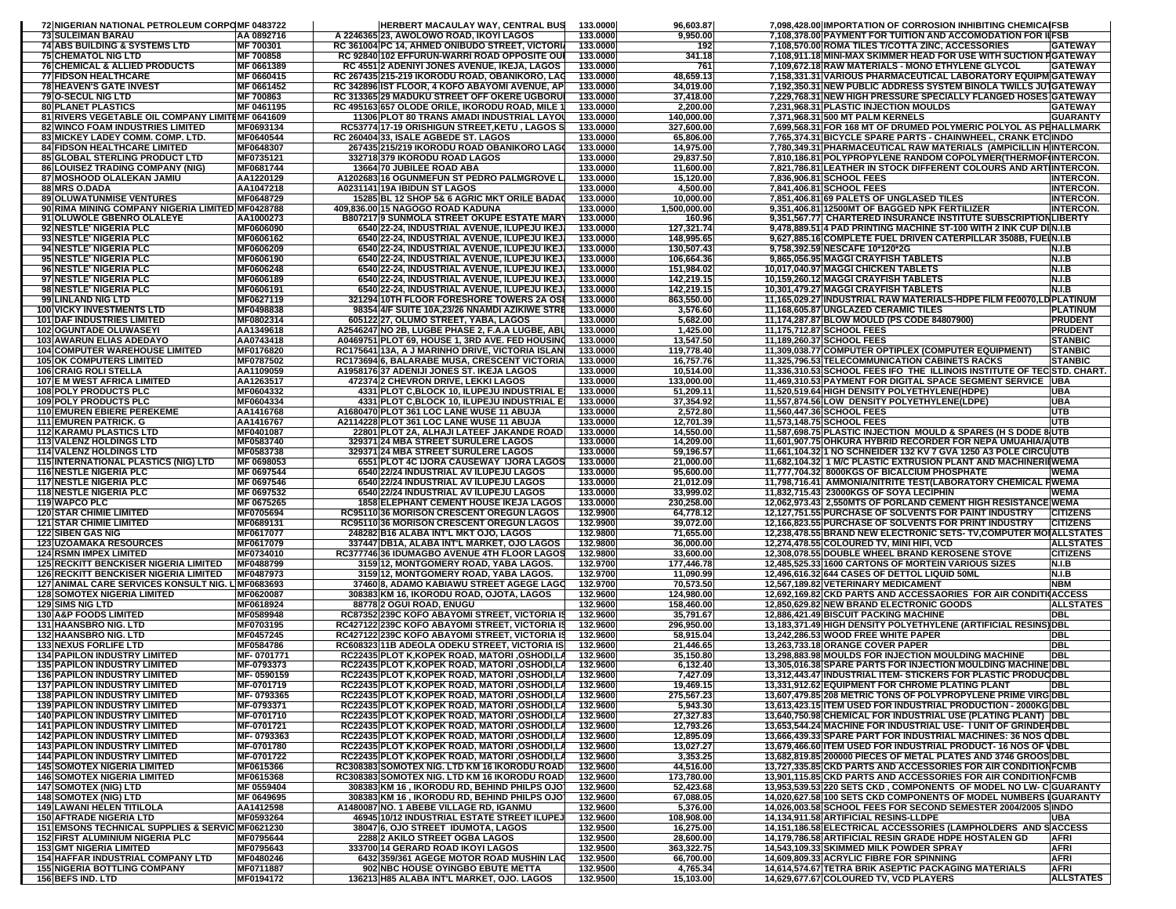| 72 NIGERIAN NATIONAL PETROLEUM CORPOMF 0483722                                              |                                | HERBERT MACAULAY WAY, CENTRAL BUS                                                                 | 133.0000             | 96,603.87                | 7,098,428.00 IMPORTATION OF CORROSION INHIBITING CHEMICAIFSB                                                                               |
|---------------------------------------------------------------------------------------------|--------------------------------|---------------------------------------------------------------------------------------------------|----------------------|--------------------------|--------------------------------------------------------------------------------------------------------------------------------------------|
| <b>73 SULEIMAN BARAU</b><br><b>74 ABS BUILDING &amp; SYSTEMS LTD</b>                        | AA 0892716<br><b>MF 700301</b> | A 2246365 23, AWOLOWO ROAD, IKOYI LAGOS<br>RC 361004 PC 14, AHMED ONIBUDO STREET, VICTORI         | 133,0000<br>133.0000 | 9,950.00<br>192          | 7,108,378.00 PAYMENT FOR TUITION AND ACCOMODATION FOR IIFSB<br>7,108,570.00 ROMA TILES T/COTTA ZINC, ACCESSORIES<br><b>GATEWAY</b>         |
| <b>75 CHEMATOL NIG LTD</b>                                                                  | MF 700858                      | RC 92840 102 EFFURUN-WARRI ROAD OPPOSITE OUI                                                      | 133.0000             | 341.18                   | 7,108,911.18 MINI-MAX SKIMMER HEAD FOR USE WITH SUCTION FGATEWAY                                                                           |
| <b>76 CHEMICAL &amp; ALLIED PRODUCTS</b>                                                    | MF 0661389                     | RC 4551 2 ADENIYI JONES AVENUE, IKEJA, LAGOS                                                      | 133.0000             | 761                      | 7.109.672.18 RAW MATERIALS - MONO ETHYLENE GLYCOL<br>GATEWAY                                                                               |
| <b>77 FIDSON HEALTHCARE</b><br><b>78 HEAVEN'S GATE INVEST</b>                               | MF 0660415<br>MF 0661452       | RC 267435 215-219 IKORODU ROAD, OBANIKORO, LAG<br>RC 342896 IST FLOOR, 4 KOFO ABAYOMI AVENUE, AP  | 133.0000<br>133.0000 | 48,659.13<br>34,019.00   | 7,158,331.31 VARIOUS PHARMACEUTICAL LABORATORY EQUIPM GATEWAY<br>7,192,350.31 NEW PUBLIC ADDRESS SYSTEM BINOLA TWILLS JUTGATEWAY           |
| 79 O-SECUL NIG LTD                                                                          | MF 700863                      | RC 313365 29 MADUKU STREET OFF OKERE UGBORU                                                       | 133.0000             | 37,418.00                | 7,229,768.31 NEW HIGH PRESSURE SPECIALLY FLANGED HOSES<br><b>GATEWAY</b>                                                                   |
| <b>80 PLANET PLASTICS</b>                                                                   | MF 0461195                     | RC 495163 657 OLODE ORILE, IKORODU ROAD, MILE 1                                                   | 133.0000             | 2,200.00                 | 7,231,968.31 PLASTIC INJECTION MOULDS<br>GATEWAY                                                                                           |
| 81 RIVERS VEGETABLE OIL COMPANY LIMITIMF 0641609<br><b>82 WINCO FOAM INDUSTRIES LIMITED</b> |                                | 11306 PLOT 80 TRANS AMADI INDUSTRIAL LAYOU                                                        | 133.0000             | 140,000.00               | 7,371,968.31 500 MT PALM KERNELS<br><b>GUARANTY</b>                                                                                        |
| 83 MICKEY LADEY COMM. COMP. LTD.                                                            | MF0693134<br>MF0640544         | RC53774 17-19 ORISHIGUN STREET, KETU, LAGOS S<br>RC 260404 33, ISALE AGBEDE ST. LAGOS             | 133.0000<br>133.0000 | 327,600.00<br>65,806.00  | 7,699,568.31 FOR 168 MT OF DRUMED POLYMERIC POLYOL AS PEHALLMARK<br>7,765,374.31 BICYCLE SPARE PARTS - CHAINWHEEL, CRANK ETCINDO           |
| <b>84 FIDSON HEALTHCARE LIMITED</b>                                                         | MF0648307                      | 267435 215/219 IKORODU ROAD OBANIKORO LAGO                                                        | 133.0000             | 14,975.00                | 7,780,349.31 PHARMACEUTICAL RAW MATERIALS (AMPICILLIN HINTERCON.                                                                           |
| <b>85 GLOBAL STERLING PRODUCT LTD</b>                                                       | MF0735121                      | 332718 379 IKORODU ROAD LAGOS                                                                     | 133.0000             | 29,837.50                | 7,810,186.81 POLYPROPYLENE RANDOM COPOLYMER (THERMOFINTERCON.                                                                              |
| <b>86 LOUISEZ TRADING COMPANY (NIG)</b><br><b>87 MOSHOOD OLALEKAN JAMIU</b>                 | MF0681744<br>AA1220129         | 13664 70 JUBILEE ROAD ABA<br>A1202683 16 OGUNMEFUN ST PEDRO PALMGROVE L                           | 133.0000<br>133.0000 | 11,600.00<br>15,120.00   | 7,821,786.81 LEATHER IN STOCK DIFFERENT COLOURS AND ART INTERCON.<br>7,836,906.81 SCHOOL FEES<br>NTERCON.                                  |
| 88 MRS O.DADA                                                                               | AA1047218                      | A0231141 19A IBIDUN ST LAGOS                                                                      | 133.0000             | 4,500.00                 | 7,841,406.81 SCHOOL FEES<br><b>NTERCON.</b>                                                                                                |
| <b>89 OLUWATUNMISE VENTURES</b>                                                             | MF0648729                      | 15285 BL 12 SHOP 5& 6 AGRIC MKT ORILE BADA                                                        | 133.0000             | 10,000.00                | 7,851,406.81 69 PALETS OF UNGLASED TILES<br><b>NTERCON.</b>                                                                                |
| 90 RIMA MINING COMPANY NIGERIA LIMITED MF0428788<br>91 OLUWOLE GBENRO OLALEYE               | AA1000273                      | 409,836.00 15 NAGOGO ROAD KADUNA                                                                  | 133.0000<br>133,0000 | 1,500,000.00             | 9,351,406.81 12500MT OF BAGGED NPK FERTILIZER<br><b>INTERCON.</b>                                                                          |
| 92 NESTLE' NIGERIA PLC                                                                      | MF0606090                      | <b>B807217 9 SUNMOLA STREET OKUPE ESTATE MARY</b><br>6540 22-24, INDUSTRIAL AVENUE, ILUPEJU IKEJ  | 133.0000             | 160.96<br>127,321.74     | 9,351,567.77 CHARTERED INSURANCE INSTITUTE SUBSCRIPTIONLIBERTY<br>9,478,889.51 4 PAD PRINTING MACHINE ST-100 WITH 2 INK CUP DIN.I.B        |
| 93 NESTLE' NIGERIA PLC                                                                      | MF0606162                      | 6540 22-24, INDUSTRIAL AVENUE, ILUPEJU IKE.                                                       | 133.0000             | 148,995.65               | 9,627,885.16 COMPLETE FUEL DRIVEN CATERPILLAR 3508B, FUEIN.I.B                                                                             |
| 94 NESTLE' NIGERIA PLC                                                                      | MF0606209                      | 6540 22-24, INDUSTRIAL AVENUE, ILUPEJU IKEJ.                                                      | 133.0000             | 130,507.43               | 9,758,392.59 NESCAFE 10*120*2G<br>V.I.B                                                                                                    |
| 95 NESTLE' NIGERIA PLC<br>96 NESTLE' NIGERIA PLC                                            | MF0606190<br>MF0606248         | 6540 22-24, INDUSTRIAL AVENUE, ILUPEJU IKEJ<br>6540 22-24, INDUSTRIAL AVENUE, ILUPEJU IKEJ.       | 133.0000<br>133.0000 | 106,664.36<br>151,984.02 | 9,865,056.95 MAGGI CRAYFISH TABLETS<br>N.I.B<br>10,017,040.97 MAGGI CHICKEN TABLETS<br>N.I.B                                               |
| 97 NESTLE' NIGERIA PLC                                                                      | MF0606189                      | 6540 22-24, INDUSTRIAL AVENUE, ILUPEJU IKEJ.                                                      | 133.0000             | 142,219.15               | 10,159,260.12 MAGGI CRAYFISH TABLETS<br>N.I.B                                                                                              |
| 98 NESTLE' NIGERIA PLC                                                                      | MF0606191                      | 6540 22-24, INDUSTRIAL AVENUE, ILUPEJU IKEJ.                                                      | 133.0000             | 142,219.15               | 10,301,479.27 MAGGI CRAYFISH TABLETS<br>N.I.B                                                                                              |
| 99 LINLAND NIG LTD                                                                          | MF0627119                      | 321294 10TH FLOOR FORESHORE TOWERS 2A OSI                                                         | 133.0000             | 863,550.00               | 11,165,029.27 INDUSTRIAL RAW MATERIALS-HDPE FILM FE0070,LDPLATINUM                                                                         |
| <b>100 VICKY INVESTMENTS LTD</b><br><b>101 DAF INDUSTRIES LIMITED</b>                       | MF0498838<br>MF0802314         | 98354 4/F SUITE 10A,23/26 NNAMDI AZIKIWE STRI<br>605122 27, OLUMO STREET, YABA, LAGOS             | 133.0000<br>133.0000 | 3,576.60<br>5,682.00     | 11,168,605.87 UNGLAZED CERAMIC TILES<br>PLATINUM<br>11,174,287.87 BLOW MOULD (PS CODE 84807900)<br><b>PRUDENT</b>                          |
| <b>102 OGUNTADE OLUWASEYI</b>                                                               | AA1349618                      | A2546247 NO 2B, LUGBE PHASE 2, F.A.A LUGBE, ABI                                                   | 133.0000             | 1,425.00                 | 11,175,712.87 SCHOOL FEES<br><b>PRUDENT</b>                                                                                                |
| <b>103 AWARUN ELIAS ADEDAYO</b>                                                             | AA0743418                      | A0469751 PLOT 69, HOUSE 1, 3RD AVE. FED HOUSING                                                   | 133.0000             | 13,547.50                | <b>STANBIC</b><br>11,189,260.37 SCHOOL FEES                                                                                                |
| <b>104 COMPUTER WAREHOUSE LIMITED</b>                                                       | MF0176820<br>MF0787502         | RC175641 13A, A J MARINHO DRIVE, VICTORIA ISLAN                                                   | 133.0000             | 119,778.40               | 11,309,038.77 COMPUTER OPTIPLEX (COMPUTER EQUIPMENT)<br><b>STANBIC</b>                                                                     |
| <b>105 OK COMPUTERS LIMITED</b><br><b>106 CRAIG ROLI STELLA</b>                             | AA1109059                      | RC173694 6, BALARABE MUSA, CRESCENT VICTORIA<br>A1958176 37 ADENIJI JONES ST. IKEJA LAGOS         | 133.0000<br>133.0000 | 16,757.76<br>10,514.00   | 11,325,796.53 TELECOMMUNICATION CABINETS RACKS<br><b>STANBIC</b><br>11,336,310.53 SCHOOL FEES IFO THE ILLINOIS INSTITUTE OF TECSTD. CHART. |
| <b>107 E M WEST AFRICA LIMITED</b>                                                          | AA1263517                      | 472374 2 CHEVRON DRIVE, LEKKI LAGOS                                                               | 133.0000             | 133,000.00               | 11,469,310.53 PAYMENT FOR DIGITAL SPACE SEGMENT SERVICE   UBA                                                                              |
| <b>108 POLY PRODUCTS PLC</b>                                                                | MF0604332                      | 4331 PLOT C, BLOCK 10, ILUPEJU INDUSTRIAL E                                                       | 133.0000             | 51,209.11                | 11,520,519.64 HIGH DENSITY POLYETHYLENE(HDPE)<br><b>UBA</b>                                                                                |
| 109 POLY PRODUCTS PLC<br><b>110 EMUREN EBIERE PEREKEME</b>                                  | MF0604334<br>AA1416768         | 4331 PLOT C, BLOCK 10, ILUPEJU INDUSTRIAL E                                                       | 133.0000<br>133.0000 | 37,354.92                | 11,557,874.56 LOW DENSITY POLYETHYLENE(LDPE)<br>UBA<br>11,560,447.36 SCHOOL FEES<br>UTB                                                    |
| <b>111 EMUREN PATRICK. G</b>                                                                | AA1416767                      | A1680470 PLOT 361 LOC LANE WUSE 11 ABUJA<br>A2114228 PLOT 361 LOC LANE WUSE 11 ABUJA              | 133.0000             | 2,572.80<br>12,701.39    | 11,573,148.75 SCHOOL FEES<br>UTB                                                                                                           |
| <b>112 KARAMU PLASTICS LTD</b>                                                              | MF0401087                      | 22801 PLOT 2A, ALHAJI LATEEF JAKANDE ROAD                                                         | 133.0000             | 14,550.00                | 11,587,698.75 PLASTIC INJECTION MOULD & SPARES (H S DODE 8 UTB                                                                             |
| <b>113 VALENZ HOLDINGS LTD</b>                                                              | MF0583740                      | 329371 24 MBA STREET SURULERE LAGOS                                                               | 133.0000             | 14,209.00                | 11,601,907.75 OHKURA HYBRID RECORDER FOR NEPA UMUAHIA/AUTB                                                                                 |
| <b>114 VALENZ HOLDINGS LTD</b><br><b>115 INTERNATIONAL PLASTICS (NIG) LTD</b>               | MF0583738<br>MF 0698053        | 329371 24 MBA STREET SURULERE LAGOS<br>6551 PLOT 4C IJORA CAUSEWAY IJORA LAGOS                    | 133.0000<br>133.0000 | 59,196.57<br>21,000.00   | 11,661,104.32 1 NO SCHNEIDER 132 KV 7 GVA 1250 A3 POLE CIRCUUTB<br>11,682,104.32 1 M/C PLASTIC EXTRUSION PLANT AND MACHINERIIWEMA          |
| <b>116 NESTLE NIGERIA PLC</b>                                                               | MF 0697544                     | 6540 22/24 INDUSTRIAL AV ILUPEJU LAGOS                                                            | 133.0000             | 95,600.00                | 11,777,704.32 8000KGS OF BICALCIUM PHOSPHATE<br><b>WEMA</b>                                                                                |
| <b>117 NESTLE NIGERIA PLC</b>                                                               | MF 0697546                     | 6540 22/24 INDUSTRIAL AV ILUPEJU LAGOS                                                            | 133.0000             | 21,012.09                | 11,798,716.41 AMMONIA/NITRITE TEST(LABORATORY CHEMICAL HWEMA                                                                               |
| <b>118 NESTLE NIGERIA PLC</b>                                                               | MF 0697532<br>MF 0675265       | 6540 22/24 INDUSTRIAL AV ILUPEJU LAGOS<br><b>1858 ELEPHANT CEMENT HOUSE IKEJA LAGOS</b>           | 133.0000<br>133.0000 | 33,999.02<br>230,258.00  | 11,832,715.43 23000KGS OF SOYA LECIPHIN<br>WEMA<br>12,062,973.43 2,550MTS OF PORLAND CEMENT HIGH RESISTANCE WEMA                           |
| 119 WAPCO PLC<br><b>120 STAR CHIMIE LIMITED</b>                                             | MF0705694                      | RC95110 36 MORISON CRESCENT OREGUN LAGOS                                                          | 132.9900             | 64,778.12                | 12,127,751.55 PURCHASE OF SOLVENTS FOR PAINT INDUSTRY<br><b>CITIZENS</b>                                                                   |
| <b>121 STAR CHIMIE LIMITED</b>                                                              | MF0689131                      | <b>RC95110 36 MORISON CRESCENT OREGUN LAGOS</b>                                                   | 132.9900             | 39,072.00                | <b>CITIZENS</b><br>12,166,823.55 PURCHASE OF SOLVENTS FOR PRINT INDUSTRY                                                                   |
| <b>122 SIBEN GAS NIG</b>                                                                    | MF0617077                      | 248282 B16 ALABA INT'L MKT OJO, LAGOS                                                             | 132.9800             | 71,655.00                | 12,238,478.55 BRAND NEW ELECTRONIC SETS- TV, COMPUTER MOIALLSTATES                                                                         |
| <b>123 UZOAMAKA RESOURCES</b><br><b>124 RSMN IMPEX LIMITED</b>                              | MF0617079<br>MF0734010         | 337447 DB1A, ALABA INT'L MARKET, OJO LAGOS<br>RC377746 36 IDUMAGBO AVENUE 4TH FLOOR LAGOS         | 132.9800<br>132.9800 | 36,000.00<br>33,600.00   | 12,274,478.55 COLOURED TV, MINI HIFI, VCD<br><b>ALLSTATES</b><br>12,308,078.55 DOUBLE WHEEL BRAND KEROSENE STOVE<br><b>CITIZENS</b>        |
| <b>125 RECKITT BENCKISER NIGERIA LIMITED</b>                                                | MF0488799                      | 3159 12, MONTGOMERY ROAD, YABA LAGOS.                                                             | 132.9700             | 177,446.78               | 12,485,525.33 1600 CARTONS OF MORTEIN VARIOUS SIZES<br><b>N.I.B</b>                                                                        |
| <b>126 RECKITT BENCKISER NIGERIA LIMITED</b>                                                | MF0487973                      | 3159 12, MONTGOMERY ROAD, YABA LAGOS.                                                             | 132.9700             | 11,090.99                | 12,496,616.32 644 CASES OF DETTOL LIQUID 50ML<br><b>N.I.B</b>                                                                              |
| 127 ANIMAL CARE SERVICES KONSULT NIG. LIMF0683693<br><b>128 SOMOTEX NIGERIA LIMITED</b>     | MF0620087                      | 37460 8, ADAMO KABIAWU STREET AGEGE LAGO<br>308383 KM 16, IKORODU ROAD, OJOTA, LAGOS              | 132.9700<br>132.9600 | 70,573.50<br>124,980.00  | 12,567,189.82 VETERINARY MEDICAMENT<br>NBM<br>12,692,169.82 CKD PARTS AND ACCESSAORIES FOR AIR CONDITIOACCESS                              |
| <b>129 SIMS NIG LTD</b>                                                                     | MF0618924                      | 88778 2 OGUI ROAD, ENUGU                                                                          | 132.9600             | 158,460.00               | 12,850,629.82 NEW BRAND ELECTRONIC GOODS<br><b>ALLSTATES</b>                                                                               |
| <b>130 A&amp;P FOODS LIMITED</b>                                                            | MF0589948                      | RC87352 239C KOFO ABAYOMI STREET, VICTORIA                                                        | 132.9600             | 35,791.67                | 12,886,421.49 BISCUIT PACKING MACHINE<br><b>DBL</b>                                                                                        |
| <b>131 HAANSBRO NIG. LTD</b>                                                                | MF0703195                      | RC427122 239C KOFO ABAYOMI STREET, VICTORIA I                                                     | 132.9600             | 296,950.00               | 13,183,371.49 HIGH DENSITY POLYETHYLENE (ARTIFICIAL RESINS) DBL                                                                            |
| 132 HAANSBRO NIG. LTD<br><b>133 NEXUS FORLIFE LTD</b>                                       | MF0457245<br>MF0584786         | RC427122 239C KOFO ABAYOMI STREET, VICTORIA I<br>RC608323 11B ADEOLA ODEKU STREET, VICTORIA IS    | 132.9600<br>132.9600 | 58,915.04<br>21,446.65   | 13,242,286.53 WOOD FREE WHITE PAPER<br><b>DBL</b><br>DBL<br>13,263,733.18 ORANGE COVER PAPER                                               |
| <b>134 PAPILON INDUSTRY LIMITED</b>                                                         | MF-0701771                     | RC22435 PLOT K,KOPEK ROAD, MATORI ,OSHODI,L/                                                      | 132.9600             | 35,150.80                | 13,298,883.98 MOULDS FOR INJECTION MOULDING MACHINE<br>DBL                                                                                 |
| <b>135 PAPILON INDUSTRY LIMITED</b>                                                         | MF-0793373                     | RC22435 PLOT K,KOPEK ROAD, MATORI ,OSHODI,LA                                                      | 132.9600             | 6,132.40                 | 13,305,016.38 SPARE PARTS FOR INJECTION MOULDING MACHINE DBL                                                                               |
| <b>136 PAPILON INDUSTRY LIMITED</b>                                                         | MF-0590159                     | RC22435 PLOT K,KOPEK ROAD, MATORI ,OSHODI,LA                                                      | 132.9600             | 7,427.09                 | 13,312,443.47 INDUSTRIAL ITEM- STICKERS FOR PLASTIC PRODUCIDBL<br>13,331,912.62 EQUIPMENT FOR CHROME PLATING PLANT                         |
| <b>137 PAPILON INDUSTRY LIMITED</b><br><b>138 PAPILON INDUSTRY LIMITED</b>                  | MF-0701719<br>MF-0793365       | RC22435 PLOT K,KOPEK ROAD, MATORI ,OSHODI,LA<br>RC22435 PLOT K, KOPEK ROAD, MATORI, OSHODI, LA    | 132.9600<br>132.9600 | 19,469.15 <br>275,567.23 | <b>UBL</b><br>13,607,479.85 208 METRIC TONS OF POLYPROPYLENE PRIME VIRG DBL                                                                |
| <b>139 PAPILON INDUSTRY LIMITED</b>                                                         | MF-0793371                     | RC22435 PLOT K,KOPEK ROAD, MATORI ,OSHODI,LA                                                      | 132.9600             | 5,943.30                 | 13,613,423.15 ITEM USED FOR INDUSTRIAL PRODUCTION - 2000KG DBL                                                                             |
| <b>140 PAPILON INDUSTRY LIMITED</b>                                                         | MF-0701710                     | RC22435 PLOT K, KOPEK ROAD, MATORI, OSHODI, LA                                                    | 132.9600             | 27,327.83                | 13,640,750.98 CHEMICAL FOR INDUSTRIAL USE (PLATING PLANT) DBL                                                                              |
| <b>141 PAPILON INDUSTRY LIMITED</b><br><b>142 PAPILON INDUSTRY LIMITED</b>                  | MF-0701721<br>MF-0793363       | RC22435 PLOT K, KOPEK ROAD, MATORI, OSHODI, LA<br>RC22435 PLOT K, KOPEK ROAD, MATORI , OSHODI, LA | 132.9600<br>132.9600 | 12,793.26<br>12,895.09   | 13,653,544.24 MACHINE FOR INDUSTRIAL USE- I UNIT OF GRINDERDBL<br>13,666,439.33 SPARE PART FOR INDUSTRIAL MACHINES: 36 NOS ODBL            |
| <b>143 PAPILON INDUSTRY LIMITED</b>                                                         | MF-0701780                     | RC22435 PLOT K, KOPEK ROAD, MATORI, OSHODI, LA                                                    | 132.9600             | 13,027.27                | 13,679,466.60 ITEM USED FOR INDUSTRIAL PRODUCT-16 NOS OF VDBL                                                                              |
| <b>144 PAPILON INDUSTRY LIMITED</b>                                                         | MF-0701722                     | RC22435 PLOT K, KOPEK ROAD, MATORI, OSHODI, LA                                                    | 132.9600             | 3,353.25                 | 13,682,819.85 200000 PIECES OF METAL PLATES AND 3746 GROOS DBL                                                                             |
| <b>145 SOMOTEX NIGERIA LIMITED</b><br><b>146 SOMOTEX NIGERIA LIMITED</b>                    | MF0615366                      | RC308383 SOMOTEX NIG. LTD KM 16 IKORODU ROAD<br>RC308383 SOMOTEX NIG. LTD KM 16 IKORODU ROAD      | 132.9600<br>132.9600 | 44,516.00                | 13,727,335.85 CKD PARTS AND ACCESSORIES FOR AIR CONDITION FCMB                                                                             |
| <b>147 SOMOTEX (NIG) LTD</b>                                                                | MF0615368<br>MF 0559404        | 308383 KM 16, IKORODU RD, BEHIND PHILPS OJO                                                       | 132.9600             | 173,780.00<br>52,423.68  | 13,901,115.85 CKD PARTS AND ACCESSORIES FOR AIR CONDITION FCMB<br>13,953,539.53 220 SETS CKD, COMPONENTS OF MODEL NO LW- C GUARANTY        |
| <b>148 SOMOTEX (NIG) LTD</b>                                                                | MF 0649695                     | 308383 KM 16, IKORODU RD, BEHIND PHILPS OJO]                                                      | 132.9600             | 67,088.05                | 14,020,627.58 100 SETS CKD COMPONENTS OF MODEL NUMBERS IGUARANTY                                                                           |
| <b>149 LAWANI HELEN TITILOLA</b>                                                            | AA1412598                      | A1480087 NO. 1 ABEBE VILLAGE RD, IGANMU                                                           | 132.9600             | 5,376.00                 | 14,026,003.58 SCHOOL FEES FOR SECOND SEMESTER 2004/2005 SINDO                                                                              |
| <b>150 AFTRADE NIGERIA LTD</b><br>151 EMSONS TECHNICAL SUPPLIES & SERVIC MF0621230          | MF0593264                      | 46945 10/12 INDUSTRIAL ESTATE STREET ILUPEJ<br>38047 6, OJO STREET IDUMOTA, LAGOS                 | 132.9600<br>132.9500 | 108,908.00<br>16,275.00  | 14,134,911.58 ARTIFICIAL RESINS-LLDPE<br><b>UBA</b><br>14,151,186.58 ELECTRICAL ACCESSORIES (LAMPHOLDERS AND SACCESS                       |
| <b>152 FIRST ALUMINIUM NIGERIA PLC</b>                                                      | MF0795644                      | 2288 2 AKILO STREET OGBA LAGOS                                                                    | 132.9500             | 28,600.00                | 14,179,786.58 ARTIFICIAL RESIN GRADE HDPE HOSTALEN GD<br><b>AFRI</b>                                                                       |
| <b>153 GMT NIGERIA LIMITED</b>                                                              | MF0795643                      | 333700 14 GERARD ROAD IKOYI LAGOS                                                                 | 132.9500             | 363,322.75               | <b>AFRI</b><br>14,543,109.33 SKIMMED MILK POWDER SPRAY                                                                                     |
| <b>154 HAFFAR INDUSTRIAL COMPANY LTD</b><br><b>155 NIGERIA BOTTLING COMPANY</b>             | MF0480246                      | 6432 359/361 AGEGE MOTOR ROAD MUSHIN LAC<br>902 NBC HOUSE OYINGBO EBUTE METTA                     | 132.9500             | 66,700.00                | 14,609,809.33 ACRYLIC FIBRE FOR SPINNING<br><b>AFRI</b><br>14,614,574.67 TETRA BRIK ASEPTIC PACKAGING MATERIALS<br><b>AFRI</b>             |
| <b>156 BEFS IND. LTD</b>                                                                    | MF0711887<br>MF0194172         | 136213 H85 ALABA INT'L MARKET, OJO. LAGOS                                                         | 132.9500<br>132.9500 | 4,765.34<br>15,103.00    | 14,629,677.67 COLOURED TV, VCD PLAYERS<br><b>ALLSTATES</b>                                                                                 |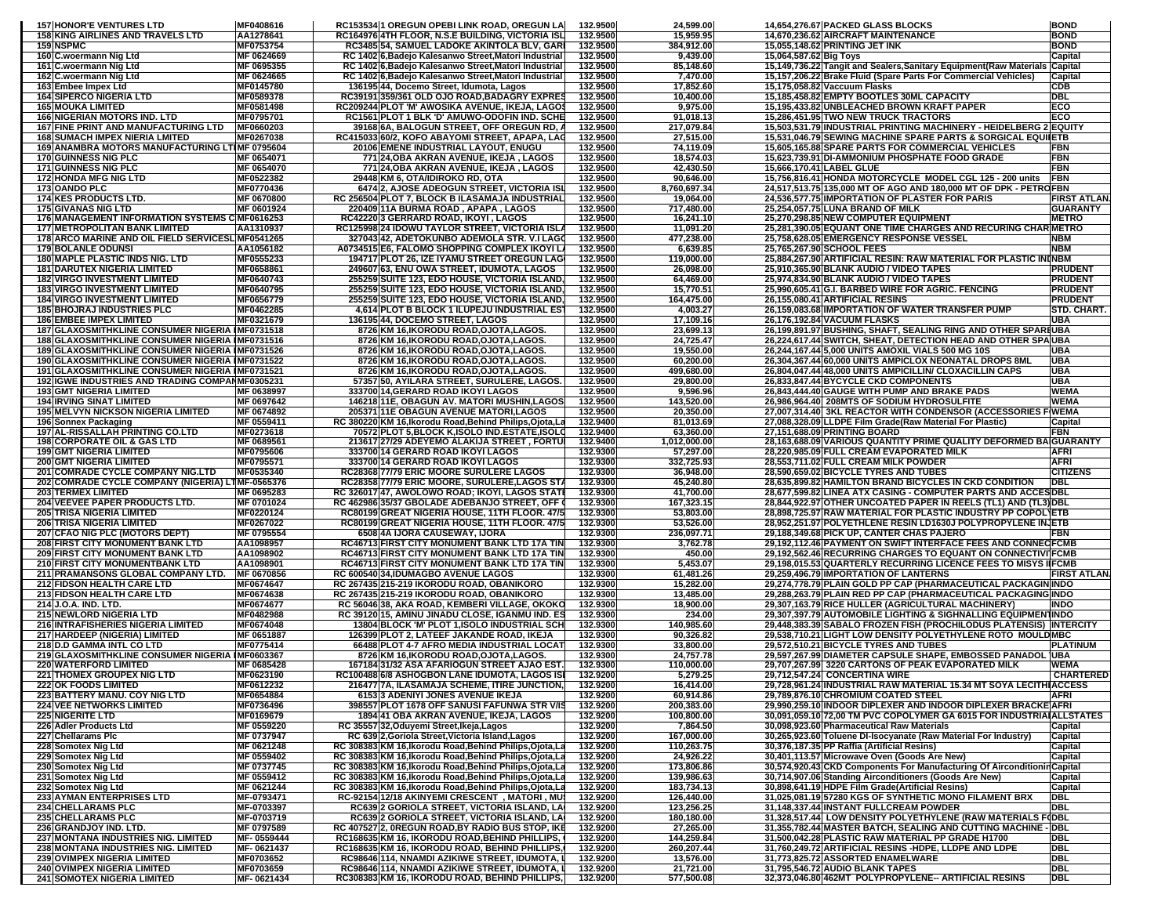| <b>157 HONOR'E VENTURES LTD</b>                                                                    | MF0408616                     |                                                                                        | RC153534 1 OREGUN OPEBI LINK ROAD, OREGUN LA                                                                         | 132.9500             | 24,599.00                 |                           | 14,654,276.67 PACKED GLASS BLOCKS                                                                                                 | <b>BOND</b>                      |
|----------------------------------------------------------------------------------------------------|-------------------------------|----------------------------------------------------------------------------------------|----------------------------------------------------------------------------------------------------------------------|----------------------|---------------------------|---------------------------|-----------------------------------------------------------------------------------------------------------------------------------|----------------------------------|
| <b>158 KING AIRLINES AND TRAVELS LTD</b><br><b>159 NSPMC</b>                                       | AA1278641<br>MF0753754        |                                                                                        | RC164976 4TH FLOOR, N.S.E BUILDING, VICTORIA ISL<br>RC3485 54, SAMUEL LADOKE AKINTOLA BLV, GARI                      | 132.9500<br>132.9500 | 15,959.95<br>384,912.00   |                           | 14,670,236.62 AIRCRAFT MAINTENANCE<br>15,055,148.62 PRINTING JET INK                                                              | <b>BOND</b><br><b>BOND</b>       |
| 160 C.woermann Nig Ltd                                                                             | MF 0624669                    |                                                                                        | RC 1402 6, Badejo Kalesanwo Street, Matori Industrial                                                                | 132.9500             | 9,439.00                  | 15,064,587.62 Big Toys    |                                                                                                                                   | Capital                          |
| 161 C.woermann Nig Ltd                                                                             | MF 0695355                    |                                                                                        | RC 1402 6, Badejo Kalesanwo Street, Matori Industrial                                                                | 132.9500             | 85,148.60                 |                           | 15,149,736.22 Tangit and Sealers, Sanitary Equipment (Raw Materials Capital                                                       |                                  |
| 162 C.woermann Nig Ltd                                                                             | MF 0624665                    |                                                                                        | RC 1402 6, Badejo Kalesanwo Street, Matori Industrial                                                                | 132.9500             | 7,470.00                  |                           | 15,157,206.22 Brake Fluid (Spare Parts For Commercial Vehicles)                                                                   | Capital                          |
| 163 Embee Impex Ltd<br><b>164 SIPERCO NIGERIA LTD</b>                                              | MF0145780<br>MF0589378        | 136195 44, Docemo Street, Idumota, Lagos                                               | RC39191 359/361 OLD OJO ROAD, BADAGRY EXPR                                                                           | 132.9500<br>132.9500 | 17,852.60<br>10,400.00    |                           | 15,175,058.82 Vaccuum Flasks<br>15,185,458.82 EMPTY BOOTLES 30ML CAPACITY                                                         | <b>CDB</b><br><b>DBL</b>         |
| <b>165 MOUKA LIMITED</b>                                                                           | MF0581498                     |                                                                                        | RC209244 PLOT 'M' AWOSIKA AVENUE, IKEJA, LAGO                                                                        | 132.9500             | 9,975.00                  |                           | 15,195,433.82 UNBLEACHED BROWN KRAFT PAPER                                                                                        | ECO                              |
| <b>166 NIGERIAN MOTORS IND. LTD</b>                                                                | MF0795701                     |                                                                                        | RC1561 PLOT 1 BLK 'D' AMUWO-ODOFIN IND. SCHI                                                                         | 132.9500             | 91,018.13                 |                           | 15,286,451.95 TWO NEW TRUCK TRACTORS                                                                                              | ECO                              |
| <b>167 FINE PRINT AND MANUFACTURING LTD</b>                                                        | MF0660203<br>MF0267038        |                                                                                        | 39168 6A, BALOGUN STREET, OFF OREGUN RD,<br>RC415033 60/2, KOFO ABAYOMI STREET, APAPA, LAG                           | 132.9500<br>132.9500 | 217,079.84<br>27,515.00   |                           | 15,503,531.79 INDUSTRIAL PRINTING MACHINERY - HEIDELBERG 2 EQUITY<br>15,531,046.79 SEWING MACHINE SPARE PARTS & SORGICAL EQUILETB |                                  |
| <b>168 SUMACH IMPEX NIERIA LMITED</b><br>169 ANAMBRA MOTORS MANUFACTURING LTIMF 0795604            |                               |                                                                                        | 20106 EMENE INDUSTRIAL LAYOUT, ENUGU                                                                                 | 132.9500             | 74,119.09                 |                           | 15,605,165.88 SPARE PARTS FOR COMMERCIAL VEHICLES                                                                                 | FBN                              |
| <b>170 GUINNESS NIG PLC</b>                                                                        | MF 0654071                    |                                                                                        | 771 24, OBA AKRAN AVENUE, IKEJA, LAGOS                                                                               | 132.9500             | 18,574.03                 |                           | 15,623,739.91 DI-AMMONIUM PHOSPHATE FOOD GRADE                                                                                    | <b>FBN</b>                       |
| <b>171 GUINNESS NIG PLC</b>                                                                        | MF 0654070                    |                                                                                        | 771 24, OBA AKRAN AVENUE, IKEJA, LAGOS                                                                               | 132.9500             | 42,430.50                 | 15,666,170.41 LABEL GLUE  |                                                                                                                                   | FBN                              |
| <b>172 HONDA MFG NIG LTD</b>                                                                       | MF0522382                     | 29448 KM 6, OTA/IDIROKO RD, OTA                                                        |                                                                                                                      | 132.9500<br>132.9500 | 90.646.00                 |                           | 15,756,816.41 HONDA MOTORCYCLE MODEL CGL 125 - 200 units<br>24,517,513.75 135,000 MT OF AGO AND 180,000 MT OF DPK - PETROFBN      | <b>FBN</b>                       |
| 173 OANDO PLC<br><b>174 KES PRODUCTS LTD.</b>                                                      | MF0770436<br>MF 0670800       |                                                                                        | 6474 2, AJOSE ADEOGUN STREET, VICTORIA IS<br>RC 256504 PLOT 7, BLOCK B ILASAMAJA INDUSTRIAL                          | 132.9500             | 8,760,697.34<br>19,064.00 |                           | 24,536,577.75 IMPORTATION OF PLASTER FOR PARIS                                                                                    | <b>FIRST ATLAN.</b>              |
| <b>175 GIVANAS NIG LTD</b>                                                                         | MF 0601924                    |                                                                                        | 220409 11A BURMA ROAD, APAPA, LAGOS                                                                                  | 132.9500             | 717,480.00                |                           | 25,254,057.75 LUNA BRAND OF MILK                                                                                                  | <b>GUARANTY</b>                  |
| 176 MANAGEMENT INFORMATION SYSTEMS C MF0616253                                                     |                               | RC42220 3 GERRARD ROAD, IKOYI, LAGOS                                                   |                                                                                                                      | 132.9500             | 16,241.10                 |                           | 25,270,298.85 NEW COMPUTER EQUIPMENT                                                                                              | <b>METRO</b>                     |
| <b>177 METROPOLITAN BANK LIMITED</b><br>178 ARCO MARINE AND OIL FIELD SERVICESL MF0541265          | AA1310937                     |                                                                                        | RC125998124 IDOWU TAYLOR STREET, VICTORIA ISLA<br>327043 42, ADETOKUNBO ADEMOLA STR. V.I LAGO                        | 132.9500<br>132.9500 | 11,091.20<br>477,238.00   |                           | 25,281,390.05 EQUANT ONE TIME CHARGES AND RECURING CHAR METRO<br>25,758,628.05 EMERGENCY RESPONSE VESSEL                          | <b>NBM</b>                       |
| <b>179 BOLANLE ODUNSI</b>                                                                          | AA1056182                     |                                                                                        | A0734515 E6, FALOMO SHOPPING COMPLEX IKOYI L                                                                         | 132.9500             | 6,639.85                  | 25,765,267.90 SCHOOL FEES |                                                                                                                                   | <b>NBM</b>                       |
| <b>180 MAPLE PLASTIC INDS NIG. LTD</b>                                                             | MF0555233                     |                                                                                        | 194717 PLOT 26, IZE IYAMU STREET OREGUN LAG                                                                          | 132.9500             | 119,000.00                |                           | 25,884,267.90 ARTIFICIAL RESIN: RAW MATERIAL FOR PLASTIC ININBM                                                                   |                                  |
| <b>181 DARUTEX NIGERIA LIMITED</b>                                                                 | MF0658861                     |                                                                                        | 249607 63, ENU OWA STREET, IDUMOTA, LAGOS                                                                            | 132.9500             | 26,098.00                 |                           | 25,910,365.90 BLANK AUDIO / VIDEO TAPES                                                                                           | <b>PRUDENT</b>                   |
| <b>182 VIRGO INVESTMENT LIMITED</b><br><b>183 VIRGO INVESTMENT LIMITED</b>                         | MF0640743<br>MF0640795        |                                                                                        | 255259 SUITE 123, EDO HOUSE, VICTORIA ISLAND,<br>255259 SUITE 123, EDO HOUSE, VICTORIA ISLAND,                       | 132.9500<br>132.9500 | 64,469.00<br>15,770.51    |                           | 25,974,834.90 BLANK AUDIO / VIDEO TAPES<br>25,990,605.41 G.I. BARBED WIRE FOR AGRIC. FENCING                                      | <b>PRUDENT</b><br><b>PRUDENT</b> |
| <b>184 VIRGO INVESTMENT LIMITED</b>                                                                | MF0656779                     |                                                                                        | 255259 SUITE 123, EDO HOUSE, VICTORIA ISLAND,                                                                        | 132.9500             | 164,475.00                |                           | 26,155,080.41 ARTIFICIAL RESINS                                                                                                   | <b>PRUDENT</b>                   |
| <b>185 BHOJRAJ INDUSTRIES PLC</b>                                                                  | MF0462285                     |                                                                                        | 4,614 PLOT B BLOCK 1 ILUPEJU INDUSTRIAL ES'                                                                          | 132.9500             | 4,003.27                  |                           | 26,159,083.68 IMPORTATION OF WATER TRANSFER PUMP                                                                                  | STD. CHART.                      |
| <b>186 EMBEE IMPEX LIMITED</b>                                                                     | MF0321679                     | 136195 44. DOCEMO STREET. LAGOS                                                        |                                                                                                                      | 132.9500             | 17,109.16                 |                           | 26,176,192.84 VACUUM FLASKS                                                                                                       | <b>UBA</b>                       |
| 187 GLAXOSMITHKLINE CONSUMER NIGERIA IMF0731518<br>188 GLAXOSMITHKLINE CONSUMER NIGERIA IMF0731516 |                               |                                                                                        | 8726 KM 16, IKORODU ROAD, OJOTA, LAGOS<br>8726 KM 16, IKORODU ROAD, OJOTA, LAGOS.                                    | 132.9500<br>132.9500 | 23,699.13<br>24,725.47    |                           | 26,199,891.97 BUSHING, SHAFT, SEALING RING AND OTHER SPARIUBA<br>26,224,617.44 SWITCH, SHEAT, DETECTION HEAD AND OTHER SPAUBA     |                                  |
| 189 GLAXOSMITHKLINE CONSUMER NIGERIA IMF0731526                                                    |                               |                                                                                        | 8726 KM 16, IKORODU ROAD, OJOTA, LAGOS.                                                                              | 132.9500             | 19,550.00                 |                           | 26,244,167.44 5,000 UNITS AMOXIL VIALS 500 MG 10S                                                                                 | <b>UBA</b>                       |
| 190 GLAXOSMITHKLINE CONSUMER NIGERIA IMF0731522                                                    |                               |                                                                                        | 8726 KM 16, IKORODU ROAD, OJOTA, LAGOS                                                                               | 132.9500             | 60,200.00                 |                           | 26,304,367.44 60,000 UNITS AMPICLOX NEONATAL DROPS 8ML                                                                            | <b>UBA</b>                       |
| 191 GLAXOSMITHKLINE CONSUMER NIGERIA IMF0731521                                                    |                               |                                                                                        | 8726 KM 16, IKORODU ROAD, OJOTA, LAGOS.                                                                              | 132.9500             | 499,680.00                |                           | 26,804,047.44 48,000 UNITS AMPICILLIN/ CLOXACILLIN CAPS                                                                           | <b>UBA</b>                       |
| 192 IGWE INDUSTRIES AND TRADING COMPANMF0305231<br><b>193 GMT NIGERIA LIMITED</b>                  | MF 0638997                    | 333700 14,GERARD ROAD IKOYI LAGOS                                                      | 57357 50, AYILARA STREET, SURULERE, LAGOS                                                                            | 132.9500<br>132.9500 | 29,800.00<br>9,596.96     |                           | 26,833,847.44 BYCYCLE CKD COMPONENTS<br>26,843,444.40 GAUGE WITH PUMP AND BRAKE PADS                                              | <b>UBA</b><br><b>WEMA</b>        |
| <b>194 IRVING SINAT LIMITED</b>                                                                    | MF 0697642                    |                                                                                        | 146218 11E, OBAGUN AV. MATORI MUSHIN, LAGOS                                                                          | 132.9500             | 143,520.00                |                           | 26,986,964.40 208MTS OF SODIUM HYDROSULFITE                                                                                       | <b>WEMA</b>                      |
| <b>195 MELVYN NICKSON NIGERIA LIMITED</b>                                                          | MF 0674892                    |                                                                                        | 205371 11E OBAGUN AVENUE MATORI, LAGOS                                                                               | 132.9500             | 20,350.00                 |                           | 27,007,314.40 3KL REACTOR WITH CONDENSOR (ACCESSORIES FIWEMA                                                                      |                                  |
| 196 Sonnex Packaging                                                                               | MF 0559411                    |                                                                                        | RC 380220 KM 16, Ikorodu Road, Behind Philips, Ojota, La<br>70572 PLOT 5, BLOCK K, ISOLO IND. ESTATE, ISOLO          | 132.9400<br>132.9400 | 81,013.69                 |                           | 27,088,328.09 LLDPE Film Grade(Raw Material For Plastic)                                                                          | Capital                          |
| <b>197 AL-RISSALLAH PRINTING CO.LTD</b><br>198 CORPORATE OIL & GAS LTD                             | MF0273618<br>MF 0689561       |                                                                                        | 213617 27/29 ADEYEMO ALAKIJA STREET, FORTU                                                                           | 132.9400             | 63,360.00<br>1,012,000.00 |                           | 27,151,688.09 PRINTING BOARD<br>28,163,688.09 VARIOUS QUANTITY PRIME QUALITY DEFORMED BA GUARANTY                                 | FBN                              |
| <b>199 GMT NIGERIA LIMITED</b>                                                                     | MF0795606                     | 333700 14 GERARD ROAD IKOYI LAGOS                                                      |                                                                                                                      | 132.9300             | 57,297.00                 |                           | 28,220,985.09 FULL CREAM EVAPORATED MILK                                                                                          | <b>AFRI</b>                      |
| <b>200 GMT NIGERIA LIMITED</b>                                                                     | MF0795571                     | 333700 14 GERARD ROAD IKOYI LAGOS                                                      |                                                                                                                      | 132.9300             | 332,725.93                |                           | 28,553,711.02 FULL CREAM MILK POWDER                                                                                              | <b>AFRI</b>                      |
| 201 COMRADE CYCLE COMPANY NIG.LTD                                                                  | MF0535340                     |                                                                                        | RC28368 77/79 ERIC MOORE SURULERE LAGOS                                                                              | 132.9300             | 36,948.00                 |                           | 28,590,659.02 BICYCLE TYRES AND TUBES                                                                                             | <b>CITIZENS</b>                  |
| 202 COMRADE CYCLE COMPANY (NIGERIA) LTMF-0565376<br>203 TERMEX LIMITED                             | MF 0695283                    |                                                                                        | RC28358 77/79 ERIC MOORE, SURULERE, LAGOS ST<br>RC 326017 47, AWOLOWO ROAD; IKOYI, LAGOS STAT                        | 132.9300<br>132.9300 | 45,240.80<br>41,700.00    |                           | 28,635,899.82 HAMILTON BRAND BICYCLES IN CKD CONDITION<br>28,677,599.82 LINEA ATX CASING - COMPUTER PARTS AND ACCESDBL            | <b>DBL</b>                       |
| 204 VEEVEE PAPER PRODUCTS LTD.                                                                     | MF 0701024                    |                                                                                        | RC 462986 35/37 GBOLADE ADEBANJO STREET, OFF (                                                                       | 132.9300             | 167,323.15                |                           | 28,844,922.97 OTHER UNCOATED PAPER IN REELS (TL1) AND (TL3) DBL                                                                   |                                  |
| <b>205 TRISA NIGERIA LIMITED</b>                                                                   | MF0220124                     |                                                                                        | RC80199 GREAT NIGERIA HOUSE, 11TH FLOOR. 47/5                                                                        | 132.9300             | 53,803.00                 |                           | 28,898,725.97 RAW MATERIAL FOR PLASTIC INDUSTRY PP COPOL ETB                                                                      |                                  |
| <b>206 TRISA NIGERIA LIMITED</b>                                                                   | MF0267022                     |                                                                                        | RC80199 GREAT NIGERIA HOUSE, 11TH FLOOR. 47/5                                                                        | 132.9300<br>132.9300 | 53,526.00                 |                           | 28,952,251.97 POLYETHLENE RESIN LD1630J POLYPROPYLENE IN ETB                                                                      |                                  |
| 207 CFAO NIG PLC (MOTORS DEPT)<br><b>208 FIRST CITY MONUMENT BANK LTD</b>                          | MF 0795554<br>AA1098957       | 6508 4A IJORA CAUSEWAY, IJORA                                                          | RC46713 FIRST CITY MONUMENT BANK LTD 17A TIM                                                                         | 132.9300             | 236,097.71<br>3,762.78    |                           | 29,188,349.68 PICK UP, CANTER CHAS PAJERO<br>29,192,112.46 PAYMENT ON SWIFT INTERFACE FEES AND CONNECTCMB                         | FBN                              |
| <b>209 FIRST CITY MONUMENT BANK LTD</b>                                                            | AA1098902                     |                                                                                        | RC46713 FIRST CITY MONUMENT BANK LTD 17A TIN                                                                         | 132.9300             | 450.00                    |                           | 29,192,562.46 RECURRING CHARGES TO EQUANT ON CONNECTIVI FCMB                                                                      |                                  |
| 210 FIRST CITY MONUMENTBANK LTD                                                                    | AA1098901                     |                                                                                        | RC46713 FIRST CITY MONUMENT BANK LTD 17A TIN                                                                         | 132.9300             | 5,453.07                  |                           | 29,198,015.53 QUARTERLY RECURRING LICENCE FEES TO MISYS I FCMB                                                                    |                                  |
| 211 PRAMANSONS GLOBAL COMPANY LTD.                                                                 | MF 0670856<br>MF0674647       | RC 600540 34, IDUMAGBO AVENUE LAGOS                                                    |                                                                                                                      | 132.9300<br>132.9300 | 61,481.26                 |                           | 29,259,496.79 IMPORTATION OF LANTERNS<br>29,274,778.79 PLAIN GOLD PP CAP (PHARMACEUTICAL PACKAGIN INDO                            | FIRST ATLAN.                     |
| 212 FIDSON HEALTH CARE LTD<br>213 FIDSON HEALTH CARE LTD                                           | MF0674638                     | RC 267435 215-219 IKORODU ROAD, OBANIKORO<br>RC 267435 215-219 IKORODU ROAD, OBANIKORO |                                                                                                                      | 132.9300             | 15,282.00<br>13,485.00    |                           | 29,288,263.79 PLAIN RED PP CAP (PHARMACEUTICAL PACKAGING INDO                                                                     |                                  |
| 214 J.O.A. IND. LTD.                                                                               | MF0674677                     |                                                                                        | RC 56046 38, AKA ROAD, KEMBERI VILLAGE, OKOK                                                                         | 132.9300             | 18,900.00                 |                           | 29,307,163.79 RICE HULLER (AGRICULTURAL MACHINERY)                                                                                | <b>INDO</b>                      |
| 215 NEWLORD NIGERIA LTD                                                                            | MF0482988                     |                                                                                        | RC 39120 15, AMINU JINADU CLOSE, IGANMU IND. ES                                                                      | 132.9300             | 234.00                    |                           | 29,307,397.79 AUTOMOBILE LIGHTING & SIGHNALLING EQUIPMENTINDO                                                                     |                                  |
| <b>216 INTRAFISHERIES NIGERIA LIMITED</b><br>217 HARDEEP (NIGERIA) LIMITED                         | MF0674048<br>MF 0651887       |                                                                                        | 13804 BLOCK 'M' PLOT 1, ISOLO INDUSTRIAL SCH<br>126399 PLOT 2, LATEEF JAKANDE ROAD, IKEJA                            | 132.9300<br>132.9300 | 140,985.60<br>90,326.82   |                           | 29,448,383.39 SABALO FROZEN FISH (PROCHILODUS PLATENSIS) INTERCITY<br>29,538,710.21 LIGHT LOW DENSITY POLYETHYLENE ROTO MOULDMBC  |                                  |
| 218 D.D GAMMA INTL CO LTD                                                                          | MF0775414                     |                                                                                        | 66488 PLOT 4-7 AFRO MEDIA INDUSTRIAL LOCAT                                                                           | 132.9300             | 33,800.00                 |                           | 29,572,510.21 BICYCLE TYRES AND TUBES                                                                                             | PLATINUM                         |
| 219 GLAXOSMITHKLINE CONSUMER NIGERIA IMF0603367                                                    |                               |                                                                                        | 8726 KM 16, IKORODU ROAD, OJOTA, LAGOS                                                                               | 132.9300             | 24,757.78                 |                           | 29,597,267.99 DIAMETER CAPSULE SHAPE, EMBOSSED PANADOL UBA                                                                        |                                  |
| <b>220 WATERFORD LIMITED</b>                                                                       | MF 0685428                    |                                                                                        | 167184 31/32 ASA AFARIOGUN STREET AJAO EST.                                                                          | 132.9300             | 110,000.00                |                           | 29,707,267.99 3220 CARTONS OF PEAK EVAPORATED MILK                                                                                | <b>WEMA</b>                      |
| <b>221 THOMEX GROUPEX NIG LTD</b>                                                                  | MF0623190                     |                                                                                        | RC100488 6/8 ASHOGBON LANE IDUMOTA, LAGOS ISI<br>216477 7A, ILASAMAJA SCHEME, ITIRE JUNCTION,                        | 132.9200<br>132.9200 | 5,279.25                  |                           | 29,712,547.24 CONCERTINA WIRE<br>29,728,961.24 INDUSTRIAL RAW MATERIAL 15.34 MT SOYA LECITHIACCESS                                | <b>CHARTERED</b>                 |
| <b>222 OK FOODS LIMITED</b><br>223 BATTERY MANU. COY NIG LTD                                       | <b>MLDOTZZ3Z</b><br>MF0654884 | 6153 3 ADENIYI JONES AVENUE IKEJA                                                      |                                                                                                                      | 132.9200             | 10,414.00<br>60,914.86    |                           | 29,789,876.10 CHROMIUM COATED STEEL                                                                                               | <b>AFRI</b>                      |
| <b>224 VEE NETWORKS LIMITED</b>                                                                    | MF0736496                     |                                                                                        | 398557 PLOT 1678 OFF SANUSI FAFUNWA STR V/I                                                                          | 132.9200             | 200,383.00                |                           | 29,990,259.10 INDOOR DIPLEXER AND INDOOR DIPLEXER BRACKE AFRI                                                                     |                                  |
| <b>225 NIGERITE LTD</b>                                                                            | MF0169679                     |                                                                                        | 1894 41 OBA AKRAN AVENUE, IKEJA, LAGOS                                                                               | 132.9200             | 100,800.00                |                           | 30,091,059.10 72,00 TM PVC COPOLYMER GA 6015 FOR INDUSTRIA ALLSTATES                                                              |                                  |
| 226 Adler Products Ltd<br>227 Chellarams Plc                                                       | MF 0559220<br>MF 0737947      | RC 35557 32, Oduyemi Street, Ikeja, Lagos                                              | RC 639 2, Goriola Street, Victoria Island, Lagos                                                                     | 132.9200<br>132.9200 | 7,864.50<br>167,000.00    |                           | 30,098,923.60 Pharmaceutical Raw Materials<br>30,265,923.60 Toluene DI-Isocyanate (Raw Material For Industry)                     | Capital<br>Capital               |
| 228 Somotex Nig Ltd                                                                                | MF 0621248                    |                                                                                        | RC 308383 KM 16, Ikorodu Road, Behind Philips, Ojota,                                                                | 132.9200             | 110,263.75                |                           | 30,376,187.35 PP Raffia (Artificial Resins)                                                                                       | Capital                          |
| 229 Somotex Nig Ltd                                                                                | MF 0559402                    |                                                                                        | RC 308383 KM 16, Ikorodu Road, Behind Philips, Ojota, L                                                              | 132.9200             | 24,926.22                 |                           | 30,401,113.57 Microwave Oven (Goods Are New)                                                                                      | Capital                          |
| 230 Somotex Nig Ltd                                                                                | MF 0737745                    |                                                                                        | RC 308383 KM 16, Ikorodu Road, Behind Philips, Ojota, La                                                             | 132.9200             | 173,806.86                |                           | 30,574,920.43 CKD Components For Manufacturing Of Airconditionin Capital                                                          |                                  |
| 231 Somotex Nig Ltd<br>232 Somotex Nig Ltd                                                         | MF 0559412<br>MF 0621244      |                                                                                        | RC 308383 KM 16, Ikorodu Road, Behind Philips, Ojota, La<br>RC 308383 KM 16, Ikorodu Road, Behind Philips, Ojota, La | 132.9200<br>132.9200 | 139,986.63<br>183,734.13  |                           | 30.714.907.06 Standing Airconditioners (Goods Are New)<br>30,898,641.19 HDPE Film Grade(Artificial Resins)                        | Capital<br>Capital               |
| 233 AYMAN ENTERPRISES LTD                                                                          | MF-0793471                    |                                                                                        | RC-92154 12/18 AKINYEMI CRESCENT, MATORI, MUS                                                                        | 132.9200             | 126,440.00                |                           | 31,025,081.19 57280 KGS OF SYNTHETIC MONO FILAMENT BRX                                                                            | DBL                              |
| <b>234 CHELLARAMS PLC</b>                                                                          | MF-0703397                    |                                                                                        | RC639 2 GORIOLA STREET, VICTORIA ISLAND, LA                                                                          | 132.9200             | 123,256.25                |                           | 31,148,337.44 INSTANT FULLCREAM POWDER                                                                                            | <b>DBL</b>                       |
| 235 CHELLARAMS PLC                                                                                 | MF-0703719                    |                                                                                        | RC639 2 GORIOLA STREET, VICTORIA ISLAND, LA                                                                          | 132.9200             | 180,180.00                |                           | 31,328,517.44 LOW DENSITY POLYETHYLENE (RAW MATERIALS F(DBL                                                                       |                                  |
| 236 GRANDJOY IND. LTD.<br>237 MONTANA INDUSTRIES NIG. LIMITED                                      | MF 0797589<br>MF-0559444      |                                                                                        | RC 407527 2, 0REGUN ROAD, BY RADIO BUS STOP, IKI<br>RC168635 KM 16, IKORODU ROAD, BEHIND PHILLIPS,                   | 132.9200<br>132.9200 | 27,265.00<br>144,259.84   |                           | 31,355,782.44 MASTER BATCH, SEALING AND CUTTING MACHINE - DBL<br>31,500,042.28 PLASTIC RAW MATERIAL PP GRADE H1700                | DBL                              |
| <b>238 MONTANA INDUSTRIES NIG. LIMITED</b>                                                         | MF-0621437                    |                                                                                        | RC168635 KM 16, IKORODU ROAD, BEHIND PHILLIPS.                                                                       | 132.9200             | 260,207.44                |                           | 31,760,249.72 ARTIFICIAL RESINS -HDPE, LLDPE AND LDPE                                                                             | DBL                              |
| 239 OVIMPEX NIGERIA LIMITED                                                                        | MF0703652                     |                                                                                        | RC98646 114, NNAMDI AZIKIWE STREET, IDUMOTA,                                                                         | 132.9200             | 13,576.00                 |                           | 31,773,825.72 ASSORTED ENAMELWARE                                                                                                 | <b>DBL</b>                       |
| <b>240 OVIMPEX NIGERIA LIMITED</b>                                                                 | MF0703659                     |                                                                                        | RC98646 114, NNAMDI AZIKIWE STREET, IDUMOTA,                                                                         | 132.9200             | 21,721.00                 |                           | 31,795,546.72 AUDIO BLANK TAPES                                                                                                   | <b>DBL</b>                       |
| <b>241 SOMOTEX NIGERIA LIMITED</b>                                                                 | MF-0621434                    |                                                                                        | RC308383 KM 16, IKORODU ROAD, BEHIND PHILLIPS,                                                                       | 132.9200             | 577,500.08                |                           | 32,373,046.80 462MT POLYPROPYLENE-- ARTIFICIAL RESINS                                                                             | <b>DBL</b>                       |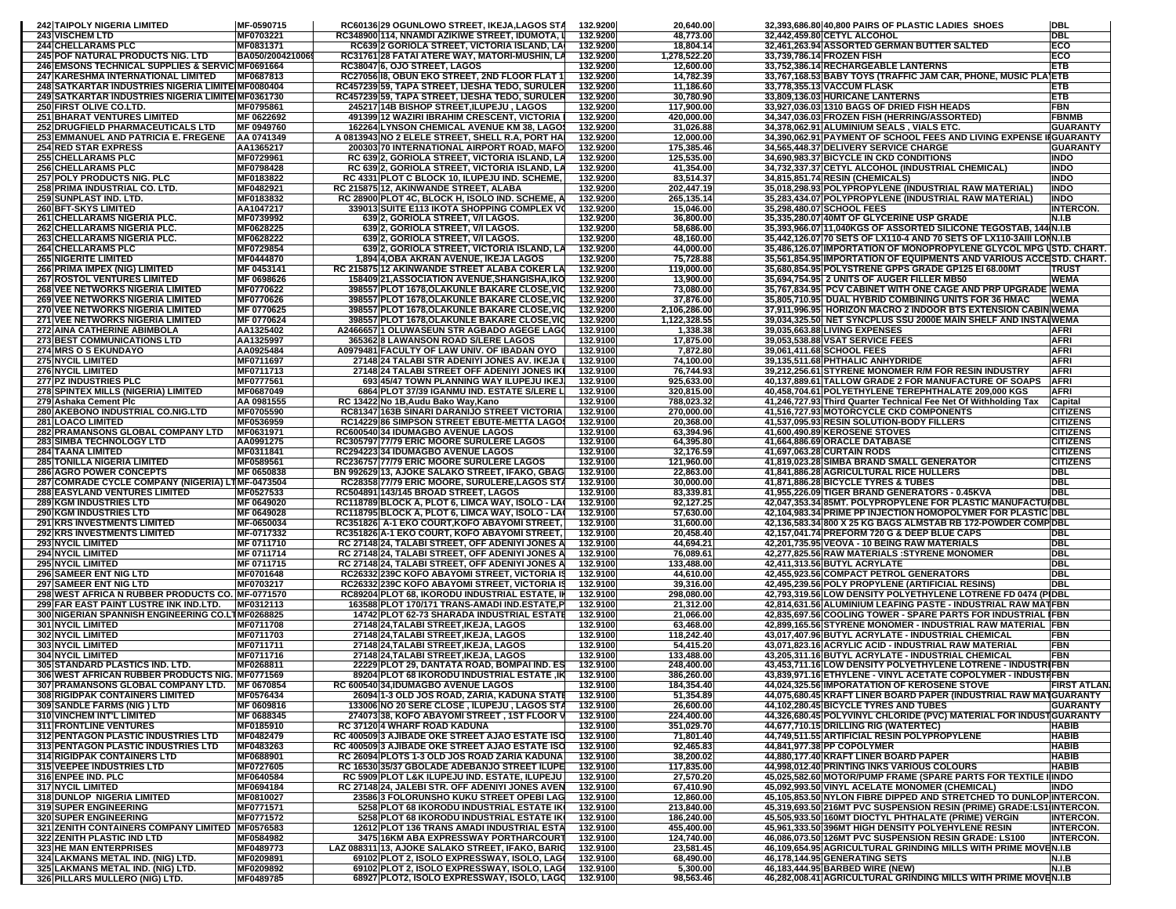| <b>242 TAIPOLY NIGERIA LIMITED</b>                                                         | MF-0590715                    | RC60136 29 OGUNLOWO STREET, IKEJA,LAGOS STA                                                        | 132.9200             | 20,640.00                 | 32,393,686.80 40,800 PAIRS OF PLASTIC LADIES SHOES                                                                                        | <b>DBL</b>                         |
|--------------------------------------------------------------------------------------------|-------------------------------|----------------------------------------------------------------------------------------------------|----------------------|---------------------------|-------------------------------------------------------------------------------------------------------------------------------------------|------------------------------------|
| <b>243 VISCHEM LTD</b>                                                                     | MF0703221                     | RC348900 114, NNAMDI AZIKIWE STREET, IDUMOTA,                                                      | 132.9200             | 48,773.00                 | 32,442,459.80 CETYL ALCOHOL                                                                                                               | <b>DBL</b>                         |
| <b>244 CHELLARAMS PLC</b><br><b>245 POF NATURAL PRODUCTS NIG. LTD</b>                      | MF0831371<br>BA050/2004210069 | RC639 2 GORIOLA STREET, VICTORIA ISLAND, LA<br>RC31761 28 FATAI ATERE WAY, MATORI-MUSHIN, LA       | 132.9200<br>132.9200 | 18,804.14<br>1,278,522.20 | 32,461,263.94 ASSORTED GERMAN BUTTER SALTED<br>33,739,786.14 FROZEN FISH                                                                  | ECO<br>ECO                         |
| 246 EMSONS TECHNICAL SUPPLIES & SERVIC MF0691664                                           |                               | RC38047 6, OJO STREET, LAGOS                                                                       | 132.9200             | 12,600.00                 | 33,752,386.14 RECHARGEABLE LANTERNS                                                                                                       | ETB                                |
| 247 KARESHMA INTERNATIONAL LIMITED                                                         | MF0687813                     | RC27056 18, OBUN EKO STREET, 2ND FLOOR FLAT 1                                                      | 132.9200             | 14,782.39                 | 33,767,168.53 BABY TOYS (TRAFFIC JAM CAR, PHONE, MUSIC PLA ETB                                                                            |                                    |
| 248 SATKARTAR INDUSTRIES NIGERIA LIMITE IMF0080404                                         |                               | RC457239 59, TAPA STREET, IJESHA TEDO, SURULER                                                     | 132.9200             | 11,186.60                 | 33,778,355.13 VACCUM FLASK                                                                                                                | ETB                                |
| 249 SATKARTAR INDUSTRIES NIGERIA LIMITE MF0361730<br>250 FIRST OLIVE CO.LTD.               | MF0795861                     | RC457239 59, TAPA STREET, IJESHA TEDO, SURULER<br>245217 14B BISHOP STREET, ILUPEJU, LAGOS         | 132.9200<br>132.9200 | 30,780.90<br>117,900.00   | 33,809,136.03 HURICANE LANTERNS<br>33,927,036.03 1310 BAGS OF DRIED FISH HEADS                                                            | ETB<br><b>FBN</b>                  |
| <b>251 BHARAT VENTURES LIMITED</b>                                                         | MF 0622692                    | 491399 12 WAZIRI IBRAHIM CRESCENT, VICTORIA                                                        | 132.9200             | 420,000.00                | 34,347,036.03 FROZEN FISH (HERRING/ASSORTED)                                                                                              | <b>FBNMB</b>                       |
| <b>252 DRUGFIELD PHARMACEUTICALS LTD</b>                                                   | MF 0949760                    | 162264 LYNSON CHEMICAL AVENUE KM 38, LAGO\$                                                        | 132.9200             | 31,026.88                 | 34,378,062.91 ALUMINIUM SEALS, VIALS ETC.                                                                                                 | GUARANTY                           |
| 253 EMMANUEL AND PATRICIA E. FREGENE                                                       | AA 0741349                    | A 0813943 NO 2 ELELE STREET, SHELL R.A, PORT HA                                                    | 132.9200             | 12,000.00                 | 34,390,062.91 PAYMENT OF SCHOOL FEES AND LIVING EXPENSE II GUARANTY                                                                       |                                    |
| <b>254 RED STAR EXPRESS</b><br><b>255 CHELLARAMS PLC</b>                                   | AA1365217<br>MF0729961        | 200303 70 INTERNATIONAL AIRPORT ROAD, MAFO<br>RC 639 2, GORIOLA STREET, VICTORIA ISLAND, LA        | 132.9200<br>132.9200 | 175,385.46<br>125,535.00  | 34,565,448.37 DELIVERY SERVICE CHARGE<br>34,690,983.37 BICYCLE IN CKD CONDITIONS                                                          | GUARANTY<br><b>INDO</b>            |
| <b>256 CHELLARAMS PLC</b>                                                                  | MF0798428                     | RC 639 2, GORIOLA STREET, VICTORIA ISLAND, LA                                                      | 132.9200             | 41,354.00                 | 34,732,337.37 CETYL ALCOHOL (INDUSTRIAL CHEMICAL)                                                                                         | INDO                               |
| <b>257 POLY PRODUCTS NIG. PLC</b>                                                          | MF0183822                     | RC 4331 PLOT C BLOCK 10, ILUPEJU IND. SCHEME,                                                      | 132.9200             | 83,514.37                 | 34,815,851.74 RESIN (CHEMICALS)                                                                                                           | INDO                               |
| 258 PRIMA INDUSTRIAL CO. LTD.                                                              | MF0482921                     | RC 215875 12, AKINWANDE STREET, ALABA                                                              | 132.9200             | 202,447.19                | 35,018,298.93 POLYPROPYLENE (INDUSTRIAL RAW MATERIAL                                                                                      | <b>INDO</b>                        |
| 259 SUNPLAST IND. LTD.<br><b>260 BFT-SKYS LIMITED</b>                                      | MF0183832<br>AA1047217        | RC 28900 PLOT 4C, BLOCK H, ISOLO IND. SCHEME, A<br>339013 SUITE E113 IKOTA SHOPPING COMPLEX VO     | 132.9200<br>132.9200 | 265,135.14<br>15,046.00   | 35,283,434.07 POLYPROPYLENE (INDUSTRIAL RAW MATERIAL)<br>35,298,480.07 SCHOOL FEES                                                        | INDO<br><b>NTERCON.</b>            |
| 261 CHELLARAMS NIGERIA PLC.                                                                | MF0739992                     | 639 2, GORIOLA STREET, V/I LAGOS.                                                                  | 132.9200             | 36,800.00                 | 35,335,280.07 40MT OF GLYCERINE USP GRADE                                                                                                 | N.I.B                              |
| 262 CHELLARAMS NIGERIA PLC.                                                                | MF0628225                     | 639 2, GORIOLA STREET, V/I LAGOS.                                                                  | 132.9200             | 58,686.00                 | 35,393,966.07 11,040KGS OF ASSORTED SILICONE TEGOSTAB, 144 N.I.B                                                                          |                                    |
| 263 CHELLARAMS NIGERIA PLC.                                                                | MF0628222                     | 639 2, GORIOLA STREET, V/I LAGOS.                                                                  | 132.9200             | 48,160.00                 | 35,442,126.07 70 SETS OF LX110-4 AND 70 SETS OF LX110-3AIII LONN.I.B                                                                      |                                    |
| <b>264 CHELLARAMS PLC</b><br><b>265 NIGERITE LIMITED</b>                                   | MF0729854<br>MF0444870        | 639 2, GORIOLA STREET, VICTORIA ISLAND, LA<br>1,894 4,0BA AKRAN AVENUE, IKEJA LAGOS                | 132.9200<br>132.9200 | 44,000.00<br>75,728.88    | 35,486,126.07 IMPORTATION OF MONOPROPYLENE GLYCOL MPG USTD. CHART.<br>35,561,854.95 IMPORTATION OF EQUIPMENTS AND VARIOUS ACCESTD. CHART. |                                    |
| 266 PRIMA IMPEX (NIG) LIMITED                                                              | MF 0453141                    | RC 215875 12 AKINWANDE STREET ALABA COKER LA                                                       | 132.9200             | 119,000.00                | 35,680,854.95 POLYSTRENE GPPS GRADE GP125 EI 68.00MT                                                                                      | <b>TRUST</b>                       |
| <b>267 ROSTOL VENTURES LIMITED</b>                                                         | MF 0698626                    | 158409 21,ASSOCIATION AVENUE,SHANGISHA,IKO                                                         | 132.9200             | 13,900.00                 | 35,694,754.95 2 UNITS OF AUGER FILLER MB50                                                                                                | WEMA                               |
| <b>268 VEE NETWORKS NIGERIA LIMITED</b>                                                    | MF0770622                     | 398557 PLOT 1678,OLAKUNLE BAKARE CLOSE,VIC                                                         | 132.9200             | 73,080.00                 | 35,767,834.95  PCV CABINET WITH ONE CAGE AND PRP UPGRADE WEMA                                                                             |                                    |
| <b>269 VEE NETWORKS NIGERIA LIMITED</b>                                                    | MF0770626                     | 398557 PLOT 1678, OLAKUNLE BAKARE CLOSE, VIO                                                       | 132.9200             | 37,876.00                 | 35,805,710.95 DUAL HYBRID COMBINING UNITS FOR 36 HMAC                                                                                     | <b>WEMA</b>                        |
| <b>270 VEE NETWORKS NIGERIA LIMITED</b><br><b>271 VEE NETWORKS NIGERIA LIMITED</b>         | MF 0770625<br>MF 0770624      | 398557 PLOT 1678, OLAKUNLE BAKARE CLOSE, VIC<br>398557 PLOT 1678, OLAKUNLE BAKARE CLOSE, VIO       | 132.9200<br>132.9200 | 2,106,286.00              | 37,911,996.95 HORIZON MACRO 2 INDOOR BTS EXTENSION CABIN WEMA<br>39,034,325.50 NET SYNCPLUS SSU 2000E MAIN SHELF AND INSTAIWEMA           |                                    |
| <b>272 AINA CATHERINE ABIMBOLA</b>                                                         | AA1325402                     | A2466657 1 OLUWASEUN STR AGBADO AGEGE LAGO                                                         | 132.9100             | 1,122,328.55<br>1,338.38  | 39,035,663.88 LIVING EXPENSES                                                                                                             | <b>AFRI</b>                        |
| <b>273 BEST COMMUNICATIONS LTD</b>                                                         | AA1325997                     | 3653628 LAWANSON ROAD S/LERE LAGOS                                                                 | 132.9100             | 17,875.00                 | 39,053,538.88 VSAT SERVICE FEES                                                                                                           | <b>AFRI</b>                        |
| <b>274 MRS O S EKUNDAYO</b>                                                                | AA0925484                     | A0979481 FACULTY OF LAW UNIV. OF IBADAN OYO                                                        | 132.9100             | 7,872.80                  | 39,061,411.68 SCHOOL FEES                                                                                                                 | <b>AFRI</b>                        |
| <b>275 NYCIL LIMITED</b>                                                                   | MF0711697                     | 27148 24 TALABI STR ADENIYI JONES AV. IKEJA                                                        | 132.9100             | 74,100.00                 | 39,135,511.68 PHTHALIC ANHYDRIDE                                                                                                          | <b>AFRI</b>                        |
| <b>276 NYCIL LIMITED</b><br><b>277 PZ INDUSTRIES PLC</b>                                   | MF0711713<br>MF0777561        | 27148 24 TALABI STREET OFF ADENIYI JONES IKI<br>693 45/47 TOWN PLANNING WAY ILUPEJU IKEJ           | 132.9100<br>132.9100 | 76,744.93<br>925,633.00   | 39,212,256.61 STYRENE MONOMER R/M FOR RESIN INDUSTRY<br>40,137,889.61 TALLOW GRADE 2 FOR MANUFACTURE OF SOAPS                             | <b>AFRI</b><br><b>AFRI</b>         |
| 278 SPINTEX MILLS (NIGERIA) LIMITED                                                        | MF0687049                     | 6864 PLOT 37/39 IGANMU IND. ESTATE S/LERE L                                                        | 132.9100             | 320,815.00                | 40,458,704.61 POLYETHYLENE TEREPHTHALATE 209,000 KGS                                                                                      | <b>AFRI</b>                        |
| 279 Ashaka Cement Plc                                                                      | AA 0981555                    | RC 13422 No 1B, Audu Bako Way, Kano                                                                | 132.9100             | 788,023.32                | 41,246,727.93 Third Quarter Technical Fee Net Of Withholding Tax                                                                          | Capital                            |
| 280 AKEBONO INDUSTRIAL CO.NIG.LTD                                                          | MF0705590                     | RC81347 163B SINARI DARANIJO STREET VICTORIA                                                       | 132.9100             | 270,000.00                | 41,516,727.93 MOTORCYCLE CKD COMPONENTS                                                                                                   | <b>CITIZENS</b>                    |
| <b>281 LOACO LIMITED</b>                                                                   | MF0536959                     | RC14229 86 SIMPSON STREET EBUTE-METTA LAGOS                                                        | 132.9100             | 20,368.00                 | 41,537,095.93 RESIN SOLUTION-BODY FILLERS                                                                                                 | <b>CITIZENS</b>                    |
| 282 PRAMANSONS GLOBAL COMPANY LTD<br>283 SIMBA TECHNOLOGY LTD                              | MF0631971<br>AA0991275        | RC600540 34 IDUMAGBO AVENUE LAGOS<br>RC305797 77/79 ERIC MOORE SURULERE LAGOS                      | 132.9100<br>132.9100 | 63,394.96<br>64,395.80    | 41,600,490.89 KEROSENE STOVES<br>41,664,886.69 ORACLE DATABASE                                                                            | <b>CITIZENS</b><br><b>CITIZENS</b> |
| <b>284 TAANA LIMITED</b>                                                                   | MF0311841                     | RC294223 34 IDUMAGBO AVENUE LAGOS                                                                  | 132.9100             | 32,176.59                 | 41,697,063.28 CURTAIN RODS                                                                                                                | <b>CITIZENS</b>                    |
| <b>285 TONILLA NIGERIA LIMITED</b>                                                         | MF0589561                     | RC236757 77/79 ERIC MOORE SURULERE LAGOS                                                           | 132.9100             | 121,960.00                | 41,819,023.28 SIMBA BRAND SMALL GENERATOR                                                                                                 | <b>CITIZENS</b>                    |
| <b>286 AGRO POWER CONCEPTS</b>                                                             | MF 0650838                    | BN 992629 13, AJOKE SALAKO STREET, IFAKO, GBAG                                                     | 132.9100             | 22,863.00                 | 41,841,886.28 AGRICULTURAL RICE HULLERS                                                                                                   | DBL                                |
| 287 COMRADE CYCLE COMPANY (NIGERIA) LTMF-0473504                                           |                               | RC28358 77/79 ERIC MOORE, SURULERE, LAGOS STA                                                      | 132.9100             | 30,000.00                 | 41,871,886.28 BICYCLE TYRES & TUBES                                                                                                       | DBL                                |
| <b>288 EASYLAND VENTURES LIMITED</b><br><b>289 KGM INDUSTRIES LTD</b>                      | MF0527533<br>MF 0649020       | RC504891 143/145 BROAD STREET, LAGOS<br>RC118789 BLOCK A, PLOT 6, LIMCA WAY, ISOLO - LA            | 132.9100<br>132.9100 | 83,339.81<br>92,127.25    | 41,955,226.09 TIGER BRAND GENERATORS - 0.45KVA<br>42,047,353.34 85MT. POLYPROPYLENE FOR PLASTIC MANUFACTUIDBL                             | <b>DBL</b>                         |
| <b>290 KGM INDUSTRIES LTD</b>                                                              | MF 0649028                    | RC118795 BLOCK A, PLOT 6, LIMCA WAY, ISOLO - LA                                                    | 132.9100             | 57,630.00                 | 42,104,983.34 PRIME PP INJECTION HOMOPOLYMER FOR PLASTIC DBL                                                                              |                                    |
| <b>291 KRS INVESTMENTS LIMITED</b>                                                         | MF-0650034                    | RC351826 A-1 EKO COURT, KOFO ABAYOMI STREET,                                                       | 132.9100             | 31,600.00                 | 42,136,583.34 800 X 25 KG BAGS ALMSTAB RB 172-POWDER COMPIDBL                                                                             |                                    |
| <b>292 KRS INVESTMENTS LIMITED</b>                                                         | MF-0717332                    | RC351826 A-1 EKO COURT, KOFO ABAYOMI STREET                                                        | 132.9100             | 20,458.40                 | 42,157,041.74 PREFORM 720 G & DEEP BLUE CAPS                                                                                              | DBL                                |
| <b>293 NYCIL LIMITED</b><br><b>294 NYCIL LIMITED</b>                                       | MF 0711710<br>MF 0711714      | RC 27148 24, TALABI STREET, OFF ADENIYI JONES A<br>RC 27148 24, TALABI STREET, OFF ADENIYI JONES A | 132.9100<br>132.9100 | 44,694.21<br>76,089.61    | 42,201,735.95 VEOVA - 10 BEING RAW MATERIALS<br>42,277,825.56 RAW MATERIALS :STYRENE MONOMER                                              | DBL<br>dbi                         |
| <b>295 NYCIL LIMITED</b>                                                                   | MF 0711715                    | RC 27148 24, TALABI STREET, OFF ADENIYI JONES A                                                    | 132.9100             | 133,488.00                | 42,411,313.56 BUTYL ACRYLATE                                                                                                              | DBL                                |
| <b>296 SAMEER ENT NIG LTD</b>                                                              | MF0701648                     | RC26332 239C KOFO ABAYOMI STREET, VICTORIA IS                                                      | 132.9100             | 44,610.00                 | 42,455,923.56 COMPACT PETROL GENERATORS                                                                                                   | DBL                                |
| <b>297 SAMEER ENT NIG LTD</b>                                                              | MF0703217                     | RC26332 239C KOFO ABAYOMI STREET, VICTORIA IS                                                      | 132.9100             | 39,316.00                 | 42,495,239.56 POLY PROPYLENE (ARTIFICIAL RESINS)                                                                                          | DBL                                |
| 298 WEST AFRICA N RUBBER PRODUCTS CO. MF-0771570                                           |                               | RC89204 PLOT 68, IKORODU INDUSTRIAL ESTATE, IN                                                     | 132.9100             | 298,080.00                | 42,793,319.56 LOW DENSITY POLYETHYLENE LOTRENE FD 0474 (PIDBL                                                                             |                                    |
| 299 FAR EAST PAINT LUSTRE INK IND.LTD.<br>300 NIGERIAN SPANNISH ENGINEERING CO.LTMF0268825 | MF0312113                     | 163588 PLOT 170/171 TRANS-AMADI IND ESTATE, P<br>14742 PLOT 62-73 SHARADA INDUSTRIAL ESTATE        | 132.9100<br>132.9100 | 21,312.00<br>21,066.00    | 42,814,631.56 ALUMINIUM LEAFING PASTE - INDUSTRIAL RAW MATFBN<br>42,835,697.56 COOLING TOWER - SPARE PARTS FOR INDUSTRIAL IFBN            |                                    |
| <b>301 NYCIL LIMITED</b>                                                                   | MF0711708                     | 27148 24, TALABI STREET, IKEJA, LAGOS                                                              | 132.9100             | 63,468.00                 | 42,899,165.56 STYRENE MONOMER - INDUSTRIAL RAW MATERIAL FBN                                                                               |                                    |
| <b>302 NYCIL LIMITED</b>                                                                   | MF0711703                     | 27148 24, TALABI STREET, IKEJA, LAGOS                                                              | 132.9100             | 118,242.40                | 43,017,407.96 BUTYL ACRYLATE - INDUSTRIAL CHEMICAL                                                                                        | FBN                                |
| <b>303 NYCIL LIMITED</b>                                                                   | MF0711711                     | 27148 24, TALABI STREET, IKEJA, LAGOS                                                              | 132.9100             | 54,415.20                 | 43,071,823.16 ACRYLIC ACID - INDUSTRIAL RAW MATERIAL                                                                                      | FBN                                |
| <b>304 NYCIL LIMITED</b><br>305 STANDARD PLASTICS IND. LTD.                                | MF0711716<br>MF0268811        | 27148 24, TALABI STREET, IKEJA, LAGOS<br>22229 PLOT 29, DANTATA ROAD, BOMPAI IND. ES               | 132.9100<br>132.9100 | 133,488.00<br>248,400.00  | 43,205,311.16 BUTYL ACRYLATE - INDUSTRIAL CHEMICAL<br>43,453,711.16 LOW DENSITY POLYETHYLENE LOTRENE - INDUSTRIFBN                        | <b>FBN</b>                         |
| 306 WEST AFRICAN RUBBER PRODUCTS NIG. MF0771569                                            |                               | 89204 PLOT 68 IKORODU INDUSTRIAL ESTATE ,IK                                                        | 132.9100             | 386,260.00                | 43,839,971.16 ETHYLENE - VINYL ACETATE COPOLYMER - INDUSTIFBN                                                                             |                                    |
| 307 PRAMANSONS GLOBAL COMPANY LTD. MF 0670854                                              |                               | RC 600540 34,IDUMAGBO AVENUE LAGOS                                                                 | 132.9100             | 184,354.40                | 44,024,325.56 IMPORATATION OF KEROSENE STOVE                                                                                              | <b>FIRST ATLAN</b>                 |
| <b>308 RIGIDPAK CONTAINERS LIMITED</b>                                                     | MF0576434                     | 26094 1-3 OLD JOS ROAD, ZARIA, KADUNA STATE                                                        | 132.9100             | 51,354.89                 | 44,075,680.45 KRAFT LINER BOARD PAPER (INDUSTRIAL RAW MATGUARANTY                                                                         |                                    |
| 309 SANDLE FARMS (NIG ) LTD                                                                | MF 0609816                    | 133006 NO 20 SERE CLOSE, ILUPEJU, LAGOS STA                                                        | 132.9100             | 26,600.00                 | 44,102,280.45 BICYCLE TYRES AND TUBES                                                                                                     | GUARANTY                           |
| <b>310 VINCHEM INT'L LIMITED</b><br><b>311 FRONTLINE VENTURES</b>                          | MF 0688345<br>MF0185910       | 274073 38, KOFO ABAYOMI STREET, 1ST FLOOR V<br>RC 37120 4 WHARF ROAD KADUNA                        | 132.9100<br>132.9100 | 224,400.00<br>351,029.70  | 44,326,680.45 POLYVINYL CHLORIDE (PVC) MATERIAL FOR INDUST GUARANTY<br>44,677,710.15 DRILLING RIG (WATERTEC)                              | HABIB                              |
| 312 PENTAGON PLASTIC INDUSTRIES LTD                                                        | MF0482479                     | RC 400509 3 AJIBADE OKE STREET AJAO ESTATE ISO                                                     | 132.9100             | 71,801.40                 | 44,749,511.55 ARTIFICIAL RESIN POLYPROPYLENE                                                                                              | HABIB                              |
| 313 PENTAGON PLASTIC INDUSTRIES LTD                                                        | MF0483263                     | RC 400509 3 AJIBADE OKE STREET AJAO ESTATE ISO                                                     | 132.9100             | 92,465.83                 | 44,841,977.38 PP COPOLYMER                                                                                                                | HABIB                              |
| <b>314 RIGIDPAK CONTAINERS LTD</b>                                                         | MF0688901                     | RC 26094 PLOTS 1-3 OLD JOS ROAD ZARIA KADUNA                                                       | 132.9100             | 38,200.02                 | 44,880,177.40 KRAFT LINER BOARD PAPER                                                                                                     | HABIB                              |
| 315 VEEPEE INDUSTRIES LTD                                                                  | MF0727605                     | RC 16530 35/37 GBOLADE ADEBANJO STREET ILUPE                                                       | 132.9100             | 117,835.00                | 44,998,012.40 PRINTING INKS VARIOUS COLOURS                                                                                               | <b>HABIB</b>                       |
| 316 ENPEE IND. PLC<br><b>317 NYCIL LIMITED</b>                                             | MF0640584<br>MF0694184        | RC 5909 PLOT L&K ILUPEJU IND. ESTATE, ILUPEJU<br>RC 27148 24, JALEBI STR. OFF ADENIYI JONES AVEN   | 132.9100<br>132.9100 | 27,570.20<br>67,410.90    | 45,025,582.60 MOTOR/PUMP FRAME (SPARE PARTS FOR TEXTILE I INDO<br>45,092,993.50 VINYL ACELATE MONOMER (CHEMICAL)                          | NDO                                |
| 318 DUNLOP NIGERIA LIMITED                                                                 | MF0810027                     | 2358613 FOLORUNSHO KUKU STREET OPEBI LAG                                                           | 132.9100             | 12,860.00                 | 45,105,853.50 NYLON FIBRE DIPPED AND STRETCHED TO DUNLOP INTERCON.                                                                        |                                    |
| 319 SUPER ENGINEERING                                                                      | MF0771571                     | 5258 PLOT 68 IKORODU INDUSTRIAL ESTATE IK                                                          | 132.9100             | 213,840.00                | 45,319,693.50 216MT PVC SUSPENSION RESIN (PRIME) GRADE:LS1 INTERCON.                                                                      |                                    |
| <b>320 SUPER ENGINEERING</b>                                                               | MF0771572                     | 5258 PLOT 68 IKORODU INDUSTRIAL ESTATE IK                                                          | 132.9100             | 186,240.00                | 45,505,933.50 160MT DIOCTYL PHTHALATE (PRIME) VERGIN                                                                                      | <b>INTERCON.</b>                   |
| 321 ZENITH CONTAINERS COMPANY LIMITED   MF0576583                                          |                               | 12612 PLOT 136 TRANS AMADI INDUSTRIAL ESTA                                                         | 132.9100             | 455,400.00                | 45,961,333.50 396MT HIGH DENSITY POLYEHYLENE RESIN                                                                                        | <b>INTERCON.</b>                   |
| <b>322 ZENITH PLASTIC IND LTD</b><br><b>323 HE MAN ENTERPRISES</b>                         | MF0584982<br>MF0489773        | 3475 16KM ABA EXPRESSWAY PORTHARCOURT<br>LAZ 088311 13, AJOKE SALAKO STREET, IFAKO, BARIG          | 132.9100<br>132.9100 | 124,740.00<br>23,581.45   | 46,086,073.50 126MT PVC SUSPENSION RESIN GRADE: LS100<br>46,109,654.95 AGRICULTURAL GRINDING MILLS WITH PRIME MOVEN.I.B                   | <b>INTERCON.</b>                   |
| 324 LAKMANS METAL IND. (NIG) LTD.                                                          | MF0209891                     | 69102 PLOT 2, ISOLO EXPRESSWAY, ISOLO, LAGO                                                        | 132.9100             | 68,490.00                 | 46,178,144.95 GENERATING SETS                                                                                                             | N.I.B                              |
| 325 LAKMANS METAL IND. (NIG) LTD.                                                          | MF0209892                     | 69102 PLOT 2, ISOLO EXPRESSWAY, ISOLO, LAGO                                                        | 132.9100             | 5,300.00                  | 46,183,444.95 BARBED WIRE (NEW)                                                                                                           | N.I.B                              |
| 326 PILLARS MULLERO (NIG) LTD.                                                             | MF0489785                     | 68927 PLOT2, ISOLO EXPRESSWAY, ISOLO, LAGO                                                         | 132.9100             | 98,563.46                 | 46,282,008.41 AGRICULTURAL GRINDING MILLS WITH PRIME MOVEN.I.B                                                                            |                                    |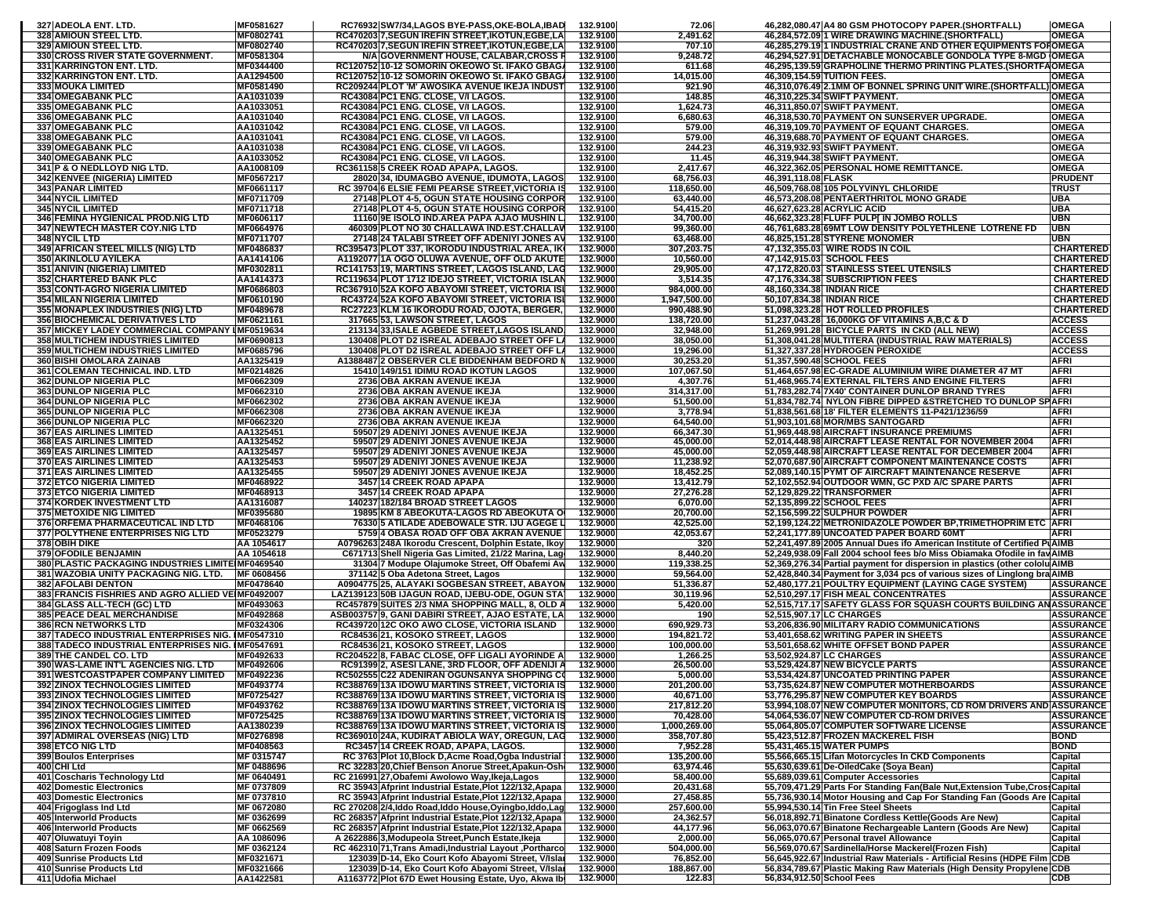| 327 ADEOLA ENT. LTD.                                                                     | MF0581627        | RC76932 SW7/34,LAGOS BYE-PASS,OKE-BOLA,IBAD                                    | 132.9100             | 72.06             |                           | 46,282,080.47 A4 80 GSM PHOTOCOPY PAPER.(SHORTFALL)                           | <b>OMEGA</b>                   |
|------------------------------------------------------------------------------------------|------------------|--------------------------------------------------------------------------------|----------------------|-------------------|---------------------------|-------------------------------------------------------------------------------|--------------------------------|
| 328 AMIOUN STEEL LTD.                                                                    | MF0802741        | RC470203 7,SEGUN IREFIN STREET,IKOTUN,EGBE,LA                                  | 132.9100             | 2,491.62          |                           | 46,284,572.09 1 WIRE DRAWING MACHINE.(SHORTFALL)                              | <b>OMEGA</b>                   |
| 329 AMIOUN STEEL LTD.                                                                    | MF0802740        | RC470203 7, SEGUN IREFIN STREET, IKOTUN, EGBE, LA                              | 132.9100             | 707.10            |                           | 46,285,279.19 1 INDUSTRIAL CRANE AND OTHER EQUIPMENTS FOROMEGA                |                                |
| 330 CROSS RIVER STATE GOVERNMENT.                                                        | MF0581304        | N/A GOVERNMENT HOUSE, CALABAR, CROSS F                                         | 132.9100             | 9,248.72          |                           | 46,294,527.91 DETACHABLE MONOCABLE GONDOLA TYPE 8-MGD OMEGA                   |                                |
| 331 KARRINGTON ENT. LTD.                                                                 | MF0344400        | RC120752 10-12 SOMORIN OKEOWO St. IFAKO GBAG                                   | 132.9100             | 611.68            |                           | 46,295,139.59 GRAPHOLINE THERMO PRINTING PLATES.(SHORTFAOMEGA                 |                                |
| 332 KARRINGTON ENT. LTD.                                                                 | AA1294500        | RC120752 10-12 SOMORIN OKEOWO St. IFAKO GBAGA                                  | 132.9100             | 14,015.00         |                           | 46,309,154.59 TUITION FEES.                                                   | <b>OMEGA</b>                   |
| <b>333 MOUKA LIMITED</b>                                                                 | MF0581490        | RC209244 PLOT 'M' AWOSIKA AVENUE IKEJA INDUST                                  | 132.9100             | 921.90            |                           | 46,310,076.49 2.1MM OF BONNEL SPRING UNIT WIRE. (SHORTFAL                     | <b>OMEGA</b>                   |
| <b>334 OMEGABANK PLC</b>                                                                 | AA1031039        | RC43084 PC1 ENG. CLOSE, V/I LAGOS.                                             | 132.9100             | 148.85            |                           | 46,310,225.34 SWIFT PAYMENT.                                                  | <b>OMEGA</b>                   |
| 335 OMEGABANK PLC                                                                        | AA1033051        | RC43084 PC1 ENG. CLOSE, V/I LAGOS.                                             | 132.9100             | 1,624.73          |                           | 46,311,850.07 SWIFT PAYMENT.                                                  | <b>OMEGA</b>                   |
| <b>336 OMEGABANK PLC</b>                                                                 | AA1031040        | RC43084 PC1 ENG. CLOSE, V/I LAGOS.                                             | 132.9100             | 6,680.63          |                           | 46.318.530.70 PAYMENT ON SUNSERVER UPGRADE.                                   | <b>OMEGA</b>                   |
| <b>337 OMEGABANK PLC</b>                                                                 | AA1031042        | RC43084 PC1 ENG. CLOSE, V/I LAGOS.                                             | 132.9100             | 579.00            |                           | 46,319,109.70 PAYMENT OF EQUANT CHARGES                                       | <b>OMEGA</b>                   |
| 338 OMEGABANK PLC                                                                        | AA1031041        | RC43084 PC1 ENG. CLOSE, V/I LAGOS.                                             | 132.9100             | 579.00            |                           | 46,319,688.70 PAYMENT OF EQUANT CHARGES.                                      | <b>OMEGA</b>                   |
| 339 OMEGABANK PLC                                                                        | AA1031038        | RC43084 PC1 ENG. CLOSE, V/I LAGOS.                                             | 132.9100             | 244.23            |                           | 46,319,932.93 SWIFT PAYMENT.                                                  | <b>OMEGA</b>                   |
| <b>340 OMEGABANK PLC</b>                                                                 | AA1033052        | RC43084 PC1 ENG. CLOSE, V/I LAGOS.                                             | 132.9100             | 11.45             |                           | 46,319,944.38 SWIFT PAYMENT.                                                  | <b>OMEGA</b>                   |
| 341 P & O NEDLLOYD NIG LTD.                                                              | AA1008109        | RC361158 5 CREEK ROAD APAPA, LAGOS.                                            | 132.9100             | 2,417.67          |                           | 46,322,362.05 PERSONAL HOME REMITTANCE.                                       | <b>OMEGA</b>                   |
| 342 KENVEE (NIGERIA) LIMITED                                                             | MF0567217        | 28020 34, IDUMAGBO AVENUE, IDUMOTA, LAGOS                                      | 132.9100             | 68,756.03         | 46,391,118.08 FLASK       |                                                                               | <b>PRUDENT</b>                 |
| <b>343 PANAR LIMITED</b>                                                                 | MF0661117        | RC 39704 6 ELSIE FEMI PEARSE STREET, VICTORIA IS                               | 132.9100             | 118,650.00        |                           | 46,509,768.08 105 POLYVINYL CHLORIDE                                          | <b>TRUS1</b>                   |
| <b>344 NYCIL LIMITED</b>                                                                 | MF0711709        | 27148 PLOT 4-5, OGUN STATE HOUSING CORPOR                                      | 132.9100             | 63,440.00         |                           | 46,573,208.08 PENTAERTHRITOL MONO GRADE                                       | <b>UBA</b>                     |
| <b>345 NYCIL LIMITED</b>                                                                 | MF0711718        | 27148 PLOT 4-5, OGUN STATE HOUSING CORPOR                                      | 132.9100             | 54,415.20         |                           | 46,627,623.28 ACRYLIC ACID                                                    | UBA                            |
| 346 FEMINA HYGIENICAL PROD.NIG LTD                                                       | MF0606117        | 11160 9E ISOLO IND.AREA PAPA AJAO MUSHIN L                                     | 132.9100             | 34,700.00         |                           | 46,662,323.28 FLUFF PULP[ IN JOMBO ROLLS                                      | UBN                            |
| 347 NEWTECH MASTER COY.NIG LTD                                                           | MF0664976        | 460309 PLOT NO 30 CHALLAWA IND.EST.CHALLAV                                     | 132.9100             | 99,360.00         |                           | 46,761,683.28 69MT LOW DENSITY POLYETHLENE LOTRENE FD                         | <b>UBN</b>                     |
| 348 NYCIL LTD                                                                            | MF0711707        | 27148 24 TALABI STREET OFF ADENIYI JONES AV                                    | 132.9100             | 63,468.00         |                           | 46,825,151.28 STYRENE MONOMER                                                 | <b>UBN</b>                     |
| 349 AFRICAN STEEL MILLS (NIG) LTD                                                        | MF0486837        | RC395473 PLOT 337, IKORODU INDUSTRIAL AREA, IK                                 | 132.9000             | 307,203.75        |                           | 47,132,355.03 WIRE RODS IN COIL                                               | <b>CHARTERED</b>               |
| 350 AKINLOLU AYILEKA                                                                     | AA1414106        | A1192077 1A OGO OLUWA AVENUE, OFF OLD AKUTE                                    | 132.9000             | 10,560.00         |                           | 47,142,915.03 SCHOOL FEES                                                     | <b>CHARTERED</b>               |
| 351 ANIVIN (NIGERIA) LIMITED                                                             | MF0302811        | RC141753 19, MARTINS STREET, LAGOS ISLAND, LAG                                 | 132.9000             | 29,905.00         |                           | 47,172,820.03 STAINLESS STEEL UTENSILS                                        | <b>CHARTERED</b>               |
| 352 CHARTERED BANK PLC                                                                   | AA1414373        | RC119634 PLOT 1712 IDEJO STREET, VICTORIA ISLAN                                | 132.9000             | 3,514.35          |                           | 47,176,334.38 SUBSCRIPTION FEES                                               | <b>CHARTERED</b>               |
| 353 CONTI-AGRO NIGERIA LIMITED                                                           | MF0686803        | RC367910 52A KOFO ABAYOMI STREET, VICTORIA IS                                  | 132.9000             | 984,000.00        | 48,160,334.38 INDIAN RICE |                                                                               | <b>CHARTERED</b>               |
|                                                                                          | MF0610190        |                                                                                |                      | 1,947,500.00      | 50,107,834.38 INDIAN RICE |                                                                               | <b>CHARTERED</b>               |
| <b>354 MILAN NIGERIA LIMITED</b>                                                         | MF0489678        | RC43724 52A KOFO ABAYOMI STREET, VICTORIA ISI                                  | 132.9000<br>132.9000 |                   |                           |                                                                               | <b>CHARTERED</b>               |
| 355 MONAPLEX INDUSTRIES (NIG) LTD                                                        |                  | RC27223 KLM 16 IKORODU ROAD, OJOTA, BERGER,<br>317665 53. LAWSON STREET. LAGOS |                      | 990,488.90        |                           | 51,098,323.28 HOT ROLLED PROFILES                                             |                                |
| <b>356 BIOCHEMICAL DERIVATIVES LTD</b><br>357 MICKEY LADEY COMMERCIAL COMPANY IMF0519634 | MF0621161        |                                                                                | 132.9000<br>132.9000 | 138,720.00        |                           | 51,237,043.28 16,000KG OF VITAMINS A,B,C & D                                  | <b>ACCESS</b><br><b>ACCESS</b> |
|                                                                                          |                  | 213134 33, ISALE AGBEDE STREET, LAGOS ISLAND                                   |                      | 32,948.00         |                           | 51,269,991.28 BICYCLE PARTS IN CKD (ALL NEW)                                  |                                |
| <b>358 MULTICHEM INDUSTRIES LIMITED</b>                                                  | MF0690813        | 130408 PLOT D2 ISREAL ADEBAJO STREET OFF L.                                    | 132.9000             | 38,050.00         |                           | 51,308,041.28 MULTITERA (INDUSTRIAL RAW MATERIALS)                            | <b>ACCESS</b>                  |
| <b>359 MULTICHEM INDUSTRIES LIMITED</b>                                                  | MF0685796        | 130408 PLOT D2 ISREAL ADEBAJO STREET OFF L/                                    | 132.9000             | 19,296.00         |                           | 51,327,337.28 HYDROGEN PEROXIDE                                               | <b>ACCESS</b>                  |
| 360 BISHI OMOLARA ZAINAB                                                                 | AA1325419        | A1388487 2 OBSERVER CLE BIDDENHAM BEDFORD I                                    | 132.9000             | 30,253.20         |                           | 51,357,590.48 SCHOOL FEES                                                     | <b>AFRI</b>                    |
| 361 COLEMAN TECHNICAL IND. LTD                                                           | MF0214826        | 15410 149/151 IDIMU ROAD IKOTUN LAGOS                                          | 132.9000             | 107,067.50        |                           | 51,464,657.98 EC-GRADE ALUMINIUM WIRE DIAMETER 47 MT                          | <b>AFRI</b>                    |
| <b>362 DUNLOP NIGERIA PLC</b>                                                            | MF0662309        | 2736 OBA AKRAN AVENUE IKEJA                                                    | 132.9000             | 4,307.76          |                           | 51,468,965.74 EXTERNAL FILTERS AND ENGINE FILTERS                             | <b>AFRI</b>                    |
| 363 DUNLOP NIGERIA PLC                                                                   | MF0662310        | 2736 OBA AKRAN AVENUE IKEJA                                                    | 132.9000             | 314,317.00        |                           | 51,783,282.74 7X40' CONTAINER DUNLOP BRAND TYRES                              | <b>AFRI</b>                    |
| 364 DUNLOP NIGERIA PLC                                                                   | MF0662302        | 2736 OBA AKRAN AVENUE IKEJA                                                    | 132.9000             | 51,500.00         |                           | 51,834,782.74 NYLON FIBRE DIPPED & STRETCHED TO DUNLOP SPAFRI                 |                                |
| <b>365 DUNLOP NIGERIA PLC</b>                                                            | MF0662308        | 2736 OBA AKRAN AVENUE IKEJA                                                    | 132.9000             | 3,778.94          |                           | 51,838,561.68 18' FILTER ELEMENTS 11-P421/1236/59                             | <b>AFRI</b>                    |
| <b>366 DUNLOP NIGERIA PLC</b>                                                            | MF0662320        | 2736 OBA AKRAN AVENUE IKEJA                                                    | 132.9000             | 64,540.00         |                           | 51,903,101.68 MOR/MBS SANTOGARD                                               | <b>AFRI</b>                    |
| <b>367 EAS AIRLINES LIMITED</b>                                                          | AA1325451        | 59507 29 ADENIYI JONES AVENUE IKEJA                                            | 132.9000             | 66,347.30         |                           | 51,969,448.98 AIRCRAFT INSURANCE PREMIUMS                                     | <b>AFRI</b>                    |
| <b>368 EAS AIRLINES LIMITED</b>                                                          | AA1325452        | 59507 29 ADENIYI JONES AVENUE IKEJA                                            | 132.9000             | 45,000.00         |                           | 52,014,448.98 AIRCRAFT LEASE RENTAL FOR NOVEMBER 2004                         | AFRI                           |
| <b>369 EAS AIRLINES LIMITED</b>                                                          | AA1325457        | 59507 29 ADENIYI JONES AVENUE IKEJA                                            | 132.9000             | 45,000.00         |                           | 52,059,448.98 AIRCRAFT LEASE RENTAL FOR DECEMBER 2004                         | <b>AFRI</b>                    |
| <b>370 EAS AIRLINES LIMITED</b>                                                          | AA1325453        | 59507 29 ADENIYI JONES AVENUE IKEJA                                            | 132.9000             | 11,238.92         |                           | 52,070,687.90 AIRCRAFT COMPONENT MAINTENANCE COSTS                            | <b>AFRI</b>                    |
| <b>371 EAS AIRLINES LIMITED</b>                                                          | AA1325455        | 59507 29 ADENIYI JONES AVENUE IKEJA                                            | 132.9000             | 18,452.25         |                           | 52,089,140.15 PYMT OF AIRCRAFT MAINTENANCE RESERVE                            | <b>AFRI</b>                    |
| <b>372 ETCO NIGERIA LIMITED</b>                                                          | MF0468922        | 3457 14 CREEK ROAD APAPA                                                       | 132.9000             | 13,412.79         |                           | 52,102,552.94 OUTDOOR WMN, GC PXD A/C SPARE PARTS                             | <b>AFRI</b>                    |
| 373 ETCO NIGERIA LIMITED                                                                 | MF0468913        | 3457 14 CREEK ROAD APAPA                                                       | 132.9000             | 27,276.28         |                           | 52,129,829.22 TRANSFORMER                                                     | <b>AFRI</b>                    |
| <b>374 KORDEK INVESTMENT LTD</b>                                                         | AA1316087        | 140237 182/184 BROAD STREET LAGOS                                              | 132.9000             | 6,070.00          |                           | 52,135,899.22 SCHOOL FEES                                                     | <b>AFRI</b>                    |
| <b>375 METOXIDE NIG LIMITED</b>                                                          | MF0395680        | 19895 KM 8 ABEOKUTA-LAGOS RD ABEOKUTA O                                        | 132.9000             | 20,700.00         |                           | 52,156,599.22 SULPHUR POWDER                                                  | <b>AFRI</b>                    |
| 376 ORFEMA PHARMACEUTICAL IND LTD                                                        | MF0468106        | 76330 5 ATILADE ADEBOWALE STR. IJU AGEGE L                                     | 132.9000             | 42,525.00         |                           | 52,199,124.22 METRONIDAZOLE POWDER BP, TRIMETHOPRIM ETC AFRI                  |                                |
| 377 POLYTHENE ENTERPRISES NIG LTD                                                        | MF0523279        | 5759 4 OBASA ROAD OFF OBA AKRAN AVENUE                                         | 132.9000             | 42,053.67         |                           | 52,241,177.89 UNCOATED PAPER BOARD 60MT                                       | <b>AFRI</b>                    |
| 378 OBIH DIKE                                                                            | AA 1054617       | A0796263 248A Ikorodu Crescent, Dolphin Estate, Ikoy                           | 132.9000             | 320               |                           | 52,241,497.89 2005 Annual Dues ifo American Institute of Certified PIAIMB     |                                |
| 379 OFODILE BENJAMIN                                                                     | AA 1054618       | C671713 Shell Nigeria Gas Limited, 21/22 Marina, Lag                           | 132.9000             | 8,440.20          |                           | 52,249,938.09 Fall 2004 school fees b/o Miss Obiamaka Ofodile in fay AIMB     |                                |
| 380 PLASTIC PACKAGING INDUSTRIES LIMITE MF0469540                                        |                  | 31304 7 Modupe Olajumoke Street, Off Obafemi Aw                                | 132.9000             | 119,338.25        |                           | 52,369,276.34 Partial payment for dispersion in plastics (other cololu AIMB   |                                |
| 381 WAZOBIA UNITY PACKAGING NIG. LTD.                                                    | MF 0608456       | 371142 5 Oba Adetona Street, Lagos                                             | 132.9000             | 59,564.00         |                           | 52,428,840.34 Payment for 3,034 pcs of various sizes of Linglong bra AIMB     |                                |
| <b>382 AFOLABI DENTON</b>                                                                | MF0478640        | A0904775 25, ALAYAKI SOGBESAN STREET, ABAYON                                   | 132.9000             | 51,336.87         |                           | 52,480,177.21 POULTRY EQUIPMENT (LAYING CAGE SYSTEM)                          | <b>ASSURANCE</b>               |
| 383 FRANCIS FISHRIES AND AGRO ALLIED VEIMF0492007                                        |                  | LAZ139123 50B IJAGUN ROAD, IJEBU-ODE, OGUN STA                                 | 132.9000             | 30,119.96         |                           | 52,510,297.17 FISH MEAL CONCENTRATES                                          | <b>ASSURANCE</b>               |
| 384 GLASS ALL-TECH (GC) LTD                                                              | MF0493063        | RC457879 SUITES 2/3 NMA SHOPPING MALL, 8, OLD A                                | 132.9000             | 5,420.00          |                           | 52,515,717.17 SAFETY GLASS FOR SQUASH COURTS BUILDING AN ASSURANCE            |                                |
| <b>385 PEACE DEAL MERCHANDISE</b>                                                        | MF0492868        | ASB003757 9, GANI DABIRI STREET, AJAO ESTATE, LA                               | 132.9000             | 190               |                           | 52,515,907.17 LC CHARGES                                                      | <b>ASSURANCE</b>               |
| <b>386 RCN NETWORKS LTD</b>                                                              | MF0324306        | RC439720112C OKO AWO CLOSE, VICTORIA ISLAND                                    | 132.9000             | 690,929.73        |                           | 53,206,836.90 MILITARY RADIO COMMUNICATIONS                                   | <b>ASSURANCE</b>               |
| 387 TADECO INDUSTRIAL ENTERPRISES NIG. IMF0547310                                        |                  | RC84536 21, KOSOKO STREET, LAGOS                                               | 132.9000             | 194,821.72        |                           | 53,401,658.62 WRITING PAPER IN SHEETS                                         | <b>ASSURANCE</b>               |
| 388 TADECO INDUSTRIAL ENTERPRISES NIG. IMF0547691                                        |                  | RC84536 21, KOSOKO STREET, LAGOS                                               | 132.9000             | 100,000.00        |                           | 53,501,658.62 WHITE OFFSET BOND PAPER                                         | <b>ASSURANCE</b>               |
| 389 THE CANDEL CO. LTD                                                                   | MF0492633        | RC204522 8, FABAC CLOSE, OFF LIGALI AYORINDE A                                 | 132.9000             | 1,266.25          | 53,502,924.87 LC CHARGES  |                                                                               | <b>ASSURANCE</b>               |
| 390 WAS-LAME INT'L AGENCIES NIG. LTD                                                     | MF0492606        | RC91399 2, ASESI LANE, 3RD FLOOR, OFF ADENIJI A                                | 132.9000             | 26,500.00         |                           | 53,529,424.87 NEW BICYCLE PARTS                                               | <b>ASSURANCE</b>               |
| <b>391 WESTCOASTPAPER COMPANY LIMITED</b>                                                | MF0492236        | RC502555 C22 ADENIRAN OGUNSANYA SHOPPING CO                                    | 132.9000             | 5,000.00          |                           | 53,534,424.87 UNCOATED PRINTING PAPER                                         | <b>ASSURANCE</b>               |
| <b>392 ZINOX TECHNOLOGIES LIMITED</b>                                                    | <b>MF0493774</b> | RC388769 13A IDOWU MARTINS STREET, VICTORIA IS                                 | 132.9000             | <b>201,200.00</b> |                           | 53,735,624.87 NEW COMPUTER MOTHERBOARDS                                       | <b>ASSURANCE</b>               |
| 393 ZINOX TECHNOLOGIES LIMITED                                                           | MF0725427        | RC388769 13A IDOWU MARTINS STREET, VICTORIA IS                                 | 132.9000             | 40,671.00         |                           | 53,776,295.87 NEW COMPUTER KEY BOARDS                                         | <b>ASSURANCE</b>               |
| 394 ZINOX TECHNOLOGIES LIMITED                                                           | MF0493762        | RC388769 13A IDOWU MARTINS STREET, VICTORIA IS                                 | 132.9000             | 217,812.20        |                           | 53,994,108.07 NEW COMPUTER MONITORS, CD ROM DRIVERS AND ASSURANCE             |                                |
| 395 ZINOX TECHNOLOGIES LIMITED                                                           | MF0725425        | RC388769 13A IDOWU MARTINS STREET, VICTORIA IS                                 | 132.9000             | 70,428.00         |                           | 54,064,536.07 NEW COMPUTER CD-ROM DRIVES                                      | <b>ASSURANCE</b>               |
| <b>396 ZINOX TECHNOLOGIES LIMITED</b>                                                    | AA1380239        | RC388769 13A IDOWU MARTINS STREET, VICTORIA IS                                 | 132.9000             | 1,000,269.00      |                           | 55,064,805.07 COMPUTER SOFTWARE LICENSE                                       | <b>ASSURANCE</b>               |
| 397 ADMIRAL OVERSEAS (NIG) LTD                                                           | MF0276898        | RC369010 24A, KUDIRAT ABIOLA WAY, OREGUN, LAG                                  | 132.9000             | 358,707.80        |                           | 55.423.512.87 FROZEN MACKEREL FISH                                            | <b>BOND</b>                    |
| <b>398 ETCO NIG LTD</b>                                                                  | MF0408563        | RC3457 14 CREEK ROAD, APAPA, LAGOS.                                            | 132.9000             | 7,952.28          |                           | 55,431,465.15 WATER PUMPS                                                     | <b>BOND</b>                    |
| 399 Boulos Enterprises                                                                   | MF 0315747       | RC 3763 Plot 10, Block D, Acme Road, Ogba Industrial                           | 132.9000             | 135,200.00        |                           | 55,566,665.15 Lifan Motorcycles In CKD Components                             | Capital                        |
| 400 CHI Ltd                                                                              | MF 0488696       | RC 32283 20, Chief Benson Anorue Street, Apakun-Osh                            | 132.9000             | 63,974.46         |                           | 55,630,639.61 De-OiledCake (Soya Bean)                                        | Capital                        |
| 401 Coscharis Technology Ltd                                                             | MF 0640491       | RC 216991 27, Obafemi Awolowo Way, Ikeja, Lagos                                | 132.9000             | 58,400.00         |                           | 55,689,039.61 Computer Accessories                                            | Capital                        |
| 402 Domestic Electronics                                                                 | MF 0737809       | RC 35943 Afprint Industrial Estate, Plot 122/132, Apapa                        | 132.9000             | 20,431.68         |                           | 55,709,471.29 Parts For Standing Fan (Bale Nut, Extension Tube, Cross Capital |                                |
| <b>403 Domestic Electronics</b>                                                          | MF 0737810       | RC 35943 Afprint Industrial Estate, Plot 122/132, Apapa                        | 132.9000             | 27,458.85         |                           | 55,736,930.14 Motor Housing and Cap For Standing Fan (Goods Are Capital       |                                |
| 404 Frigoglass Ind Ltd                                                                   | MF 0672080       | RC 270208 2/4, Iddo Road, Iddo House, Oyingbo, Iddo, Lag                       | 132.9000             | 257,600.00        |                           | 55,994,530.14 Tin Free Steel Sheets                                           | Capital                        |
| 405 Interworld Products                                                                  | MF 0362699       | RC 268357 Afprint Industrial Estate, Plot 122/132, Apapa                       | 132.9000             | 24,362.57         |                           | 56,018,892.71 Binatone Cordless Kettle(Goods Are New)                         | Capital                        |
| 406 Interworld Products                                                                  | MF 0662569       | RC 268357 Afprint Industrial Estate, Plot 122/132, Apapa                       | 132.9000             | 44,177.96         |                           | 56,063,070.67 Binatone Rechargeable Lantern (Goods Are New)                   | Capital                        |
| 407 Oluwatuyi Toyin                                                                      | AA 1086096       | A 2622886 3, Modupeola Street, Punch Estate, Ikeja                             | 132.9000             | 2,000.00          |                           | 56,065,070.67 Personal travel Allowance                                       | Capital                        |
| 408 Saturn Frozen Foods                                                                  | MF 0362124       | RC 462310 71, Trans Amadi, Industrial Layout, Portharco                        | 132.9000             | 504,000.00        |                           | 56,569,070.67 Sardinella/Horse Mackerel(Frozen Fish)                          | Capital                        |
| 409 Sunrise Products Ltd                                                                 | MF0321671        | 123039 D-14, Eko Court Kofo Abayomi Street, V/Islaı                            | 132.9000             | 76,852.00         |                           | 56,645,922.67 Industrial Raw Materials - Artificial Resins (HDPE Film CDB     |                                |
| 410 Sunrise Products Ltd                                                                 | MF0321666        | 123039 D-14, Eko Court Kofo Abayomi Street, V/Islar                            | 132.9000             | 188,867.00        |                           | 56,834,789.67 Plastic Making Raw Materials (High Density Propylene CDB        |                                |
| 411 Udofia Michael                                                                       | AA1422581        | A1163772 Plot 67D Ewet Housing Estate, Uyo, Akwa Ib                            | 132.9000             | 122.83            | 56,834,912.50 School Fees |                                                                               | CDB                            |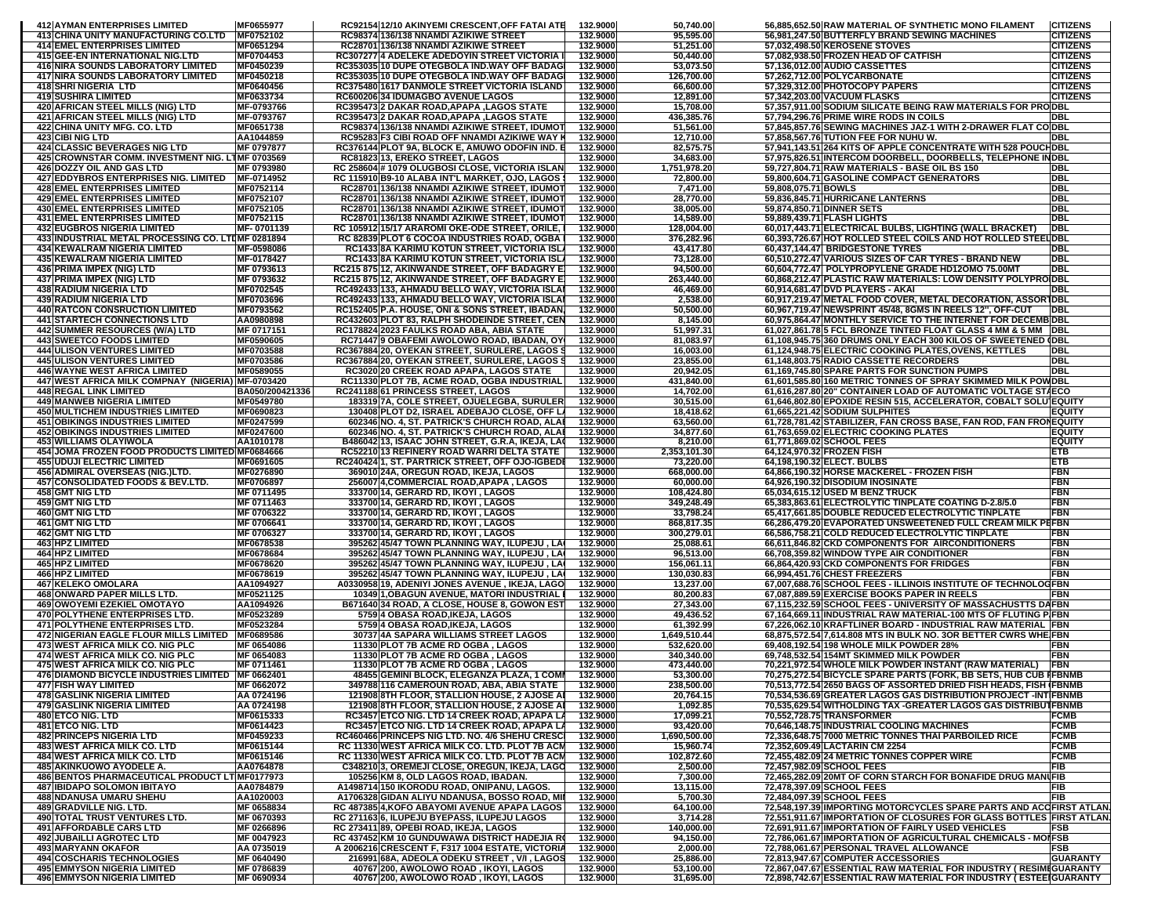| <b>412 AYMAN ENTERPRISES LIMITED</b>                                            | MF0655977                | RC92154 12/10 AKINYEMI CRESCENT, OFF FATAI ATE                                                   | 132.9000             | 50,740.00                 |                     | 56,885,652.50 RAW MATERIAL OF SYNTHETIC MONO FILAMENT                                                             | <b>CITIZENS</b>                    |
|---------------------------------------------------------------------------------|--------------------------|--------------------------------------------------------------------------------------------------|----------------------|---------------------------|---------------------|-------------------------------------------------------------------------------------------------------------------|------------------------------------|
| 413 CHINA UNITY MANUFACTURING CO.LTD                                            | MF0752102                | RC98374 136/138 NNAMDI AZIKIWE STREET                                                            | 132.9000             | 95,595.00                 |                     | 56,981,247.50 BUTTERFLY BRAND SEWING MACHINES                                                                     | <b>CITIZENS</b>                    |
| <b>414 EMEL ENTERPRISES LIMITED</b>                                             | MF0651294                | RC28701 136/138 NNAMDI AZIKIWE STREET                                                            | 132.9000             | 51,251.00                 |                     | 57,032,498.50 KEROSENE STOVES                                                                                     | <b>CITIZENS</b>                    |
| 415 GEE-EN INTERNATIONAL NIG.LTD                                                | MF0704453                | RC307277 4 ADELEKE ADEDOYIN STREET VICTORIA                                                      | 132.9000             | 50,440.00                 |                     | 57,082,938.50 FROZEN HEAD OF CATFISH                                                                              | <b>CITIZENS</b>                    |
| 416 NIRA SOUNDS LABORATORY LIMITED<br><b>417 NIRA SOUNDS LABORATORY LIMITED</b> | MF0450239<br>MF0450218   | RC353035 10 DUPE OTEGBOLA IND WAY OFF BADAG<br>RC353035 10 DUPE OTEGBOLA IND.WAY OFF BADAG       | 132.9000<br>132.9000 | 53,073.50<br>126,700.00   |                     | 57,136,012.00 AUDIO CASSETTES<br>57,262,712.00 POLYCARBONATE                                                      | <b>CITIZENS</b><br><b>CITIZENS</b> |
| 418 SHRI NIGERIA LTD                                                            | MF0640456                | RC375480 1617 DANMOLE STREET VICTORIA ISLAND                                                     | 132.9000             | 66,600.00                 |                     | 57,329,312.00 PHOTOCOPY PAPERS                                                                                    | <b>CITIZENS</b>                    |
| <b>419 SUSHIRA LIMITED</b>                                                      | MF0633734                | RC600206 34 IDUMAGBO AVENUE LAGOS                                                                | 132.9000             | 12,891.00                 |                     | 57,342,203.00 VACUUM FLASKS                                                                                       | <b>CITIZENS</b>                    |
| 420 AFRICAN STEEL MILLS (NIG) LTD                                               | MF-0793766               | RC395473 2 DAKAR ROAD, APAPA, LAGOS STATE                                                        | 132.9000             | 15,708.00                 |                     | 57,357,911.00 SODIUM SILICATE BEING RAW MATERIALS FOR PRODBL                                                      |                                    |
| 421 AFRICAN STEEL MILLS (NIG) LTD                                               | MF-0793767               | RC395473 2 DAKAR ROAD, APAPA, LAGOS STATE                                                        | 132.9000             | 436,385.76                |                     | 57,794,296.76 PRIME WIRE RODS IN COILS                                                                            | DBL                                |
| 422 CHINA UNITY MFG. CO. LTD                                                    | MF0651738                | RC98374 136/138 NNAMDI AZIKIWE STREET, IDUMOT                                                    | 132.9000             | 51,561.00                 |                     | 57,845,857.76 SEWING MACHINES JAZ-1 WITH 2-DRAWER FLAT CO DBL                                                     |                                    |
| <b>423 CIBI NIG LTD</b>                                                         | AA1044859                | RC95283 F3 CIBI ROAD OFF NNAMDI AZIKIWE WAY                                                      | 132.9000             | 12,710.00                 |                     | 57,858,567.76 TUTION FEE FOR NUHU W.                                                                              | DBL                                |
| <b>424 CLASSIC BEVERAGES NIG LTD</b>                                            | MF 0797877               | RC376144 PLOT 9A, BLOCK E, AMUWO ODOFIN IND.                                                     | 132.9000             | 82,575.75                 |                     | 57,941,143.51 264 KITS OF APPLE CONCENTRATE WITH 528 POUCHDBL                                                     |                                    |
| 425 CROWNSTAR COMM. INVESTMENT NIG. LTMF 0703569                                | MF 0793980               | RC81823 13, EREKO STREET, LAGOS<br>RC 258604 # 1079 OLUGBOSI CLOSE, VICTORIA ISLAN               | 132.9000<br>132.9000 | 34,683.00                 |                     | 57,975,826.51 INTERCOM DOORBELL, DOORBELLS, TELEPHONE INDBL                                                       | <b>DBL</b>                         |
| 426 DOZZY OIL AND GAS LTD<br><b>427 EDDYBROS ENTERPRISES NIG. LIMITED</b>       | MF-0714952               | RC 115910 B9-10 ALABA INT'L MARKET, OJO, LAGOS                                                   | 132.9000             | 1,751,978.20<br>72,800.00 |                     | 59,727,804.71 RAW MATERIALS - BASE OIL BS 150<br>59,800,604.71 GASOLINE COMPACT GENERATORS                        | <b>DBL</b>                         |
| <b>428 EMEL ENTERPRISES LIMITED</b>                                             | MF0752114                | RC28701 136/138 NNAMDI AZIKIWE STREET, IDUMOT                                                    | 132.9000             | 7,471.00                  | 59,808,075.71 BOWLS |                                                                                                                   | <b>DBL</b>                         |
| <b>429 EMEL ENTERPRISES LIMITED</b>                                             | MF0752107                | RC28701 136/138 NNAMDI AZIKIWE STREET, IDUMOT                                                    | 132.9000             | 28,770.00                 |                     | 59,836,845.71 HURRICANE LANTERNS                                                                                  | <b>DBL</b>                         |
| <b>430 EMEL ENTERPRISES LIMITED</b>                                             | MF0752105                | RC28701 136/138 NNAMDI AZIKIWE STREET, IDUMOT                                                    | 132.9000             | 38,005.00                 |                     | 59,874,850.71 DINNER SETS                                                                                         | <b>DBL</b>                         |
| <b>431 EMEL ENTERPRISES LIMITED</b>                                             | MF0752115                | RC28701 136/138 NNAMDI AZIKIWE STREET, IDUMOT                                                    | 132.9000             | 14,589.00                 |                     | 59,889,439.71 FLASH LIGHTS                                                                                        | <b>DBL</b>                         |
| <b>432 EUGBROS NIGERIA LIMITED</b>                                              | MF-0701139               | RC 105912 15/17 ARAROMI OKE-ODE STREET, ORILE,                                                   | 132.9000             | 128,004.00                |                     | 60,017,443.71 ELECTRICAL BULBS, LIGHTING (WALL BRACKET)                                                           | <b>DBL</b>                         |
| 433 INDUSTRIAL METAL PROCESSING CO. LTUMF 0281894                               |                          | RC 82839 PLOT 6 COCOA INDUSTRIES ROAD, OGBA                                                      | 132.9000             | 376,282.96                |                     | 60,393,726.67 HOT ROLLED STEEL COILS AND HOT ROLLED STEELDBL                                                      |                                    |
| <b>434 KEWALRAM NIGERIA LIMITED</b>                                             | MF-0598086               | RC1433 8A KARIMU KOTUN STREET, VICTORIA ISL                                                      | 132.9000             | 43,417.80                 |                     | 60,437,144.47 BRIDGESTONE TYRES                                                                                   | <b>DBL</b>                         |
| <b>435 KEWALRAM NIGERIA LIMITED</b>                                             | MF-0178427               | RC1433 8A KARIMU KOTUN STREET, VICTORIA ISL                                                      | 132.9000             | 73,128.00                 |                     | 60,510,272.47 VARIOUS SIZES OF CAR TYRES - BRAND NEW                                                              | <b>DBL</b><br><b>DBL</b>           |
| 436 PRIMA IMPEX (NIG) LTD<br>437 PRIMA IMPEX (NIG) LTD                          | MF 0793613<br>MF 0793632 | RC215 875 12, AKINWANDE STREET, OFF BADAGRY E<br>RC215 875 12, AKINWANDE STREET, OFF BADAGRY E   | 132.9000<br>132.9000 | 94,500.00<br>263,440.00   |                     | 60,604,772.47 POLYPROPYLENE GRADE HD12OMO 75.00MT<br>60,868,212.47 PLASTIC RAW MATERIALS: LOW DENSITY POLYPRO DBL |                                    |
| <b>438 RADIUM NIGERIA LTD</b>                                                   | MF0702545                | RC492433 133, AHMADU BELLO WAY, VICTORIA ISLA                                                    | 132.9000             | 46,469.00                 |                     | 60,914,681.47 DVD PLAYERS - AKAI                                                                                  | <b>DBL</b>                         |
| <b>439 RADIUM NIGERIA LTD</b>                                                   | MF0703696                | RC492433 133, AHMADU BELLO WAY, VICTORIA ISLA                                                    | 132.9000             | 2,538.00                  |                     | 60,917,219.47 METAL FOOD COVER, METAL DECORATION, ASSOR IDBL                                                      |                                    |
| <b>440 RATCON CONSRUCTION LIMITED</b>                                           | MF0793562                | RC152405 P.A. HOUSE, ONI & SONS STREET, IBADAN                                                   | 132.9000             | 50,500.00                 |                     | 60,967,719.47 NEWSPRINT 45/48, 8GMS IN REELS 12", OFF-CUT                                                         | <b>DBL</b>                         |
| <b>441 STARTECH CONNECTIONS LTD</b>                                             | AA0980898                | RC432603 PLOT 83, RALPH SHODEINDE STREET, CEN                                                    | 132.9000             | 8,145.00                  |                     | 60,975,864.47 MONTHLY SERVICE TO THE INTERNET FOR DECEMB DBL                                                      |                                    |
| 442 SUMMER RESOURCES (W/A) LTD                                                  | MF 0717151               | RC178824 2023 FAULKS ROAD ABA, ABIA STATE                                                        | 132.9000             | 51,997.31                 |                     | 61,027,861.78 5 FCL BRONZE TINTED FLOAT GLASS 4 MM & 5 MM DBL                                                     |                                    |
| <b>443 SWEETCO FOODS LIMITED</b>                                                | MF0590605                | RC71447 9 OBAFEMI AWOLOWO ROAD, IBADAN, OY                                                       | 132.9000             | 81,083.97                 |                     | 61,108,945.75 360 DRUMS ONLY EACH 300 KILOS OF SWEETENED (DBL                                                     |                                    |
| <b>444 ULISON VENTURES LIMITED</b>                                              | MF0703588                | RC367884 20, OYEKAN STREET, SURULERE, LAGOS                                                      | 132.9000             | 16,003.00                 |                     | 61,124,948.75 ELECTRIC COOKING PLATES, OVENS, KETTLES                                                             | <b>DBL</b>                         |
| <b>445 ULISON VENTURES LIMITED</b><br><b>446 WAYNE WEST AFRICA LIMITED</b>      | MF0703586<br>MF0589055   | RC367884 20, OYEKAN STREET, SURULERE, LAGOS                                                      | 132.9000<br>132.9000 | 23,855.00                 |                     | 61,148,803.75 RADIO CASSETTE RECORDERS                                                                            | <b>DBL</b><br>DBL                  |
| 447 WEST AFRICA MILK COMPNAY (NIGERIA) MF-0703420                               |                          | RC3020 20 CREEK ROAD APAPA, LAGOS STATE<br>RC11330 PLOT 7B, ACME ROAD, OGBA INDUSTRIAL           | 132.9000             | 20,942.05<br>431,840.00   |                     | 61,169,745.80 SPARE PARTS FOR SUNCTION PUMPS<br>61,601,585.80 160 METRIC TONNES OF SPRAY SKIMMED MILK POWDBL      |                                    |
| <b>448 REGAL LINK LIMITED</b>                                                   | BA050/200421336          | RC241188 61 PRINCESS STREET, LAGOS                                                               | 132.9000             | 14,702.00                 |                     | 61,616,287.80 20" CONTAINER LOAD OF AUTOMATIC VOLTAGE STAECO                                                      |                                    |
| <b>449 MANWEB NIGERIA LIMITED</b>                                               | MF0549780                | 183319 7A, COLE STREET, OJUELEGBA, SURULEI                                                       | 132.9000             | 30,515.00                 |                     | 61,646,802.80 EPOXIDE RESIN 515, ACCELERATOR, COBALT SOLUIEQUIT                                                   |                                    |
| <b>450 MULTICHEM INDUSTRIES LIMITED</b>                                         | MF0690823                | 130408 PLOT D2, ISRAEL ADEBAJO CLOSE, OFF L.                                                     | 132.9000             | 18,418.62                 |                     | 61,665,221.42 SODIUM SULPHITES                                                                                    | <b>EQUITY</b>                      |
| <b>451 OBIKINGS INDUSTRIES LIMITED</b>                                          | MF0247599                | 602346 NO. 4, ST. PATRICK'S CHURCH ROAD, ALA                                                     | 132.9000             | 63,560.00                 |                     | 61,728,781.42 STABILIZER, FAN CROSS BASE, FAN ROD, FAN FRONEQUITY                                                 |                                    |
| <b>452 OBIKINGS INDUSTRIES LIMITED</b>                                          | MF0247600                | 602346 NO. 4, ST. PATRICK'S CHURCH ROAD, ALA                                                     | 132.9000             | 34,877.60                 |                     | 61,763,659.02 ELECTRIC COOKING PLATES                                                                             | <b>EQUITY</b>                      |
| <b>453 WILLIAMS OLAYIWOLA</b>                                                   | AA1010178                | B486042 13, ISAAC JOHN STREET, G.R.A, IKEJA, LA                                                  | 132.9000             | 8,210.00                  |                     | 61,771,869.02 SCHOOL FEES                                                                                         | <b>EQUITY</b>                      |
| 454 JOMA FROZEN FOOD PRODUCTS LIMITED MF0684666                                 |                          | RC52210 13 REFINERY ROAD WARRI DELTA STATE                                                       | 132.9000             | 2,353,101.30              |                     | 64,124,970.32 FROZEN FISH                                                                                         | <b>ETB</b>                         |
| <b>455 UDUJI ELECTRIC LIMITED</b><br>456 ADMIRAL OVERSEAS (NIG.)LTD.            | MF0691605<br>MF0276890   | RC240424 1, ST. PARTRICK STREET, OFF OJO-IGBEDI<br>369010 24A, OREGUN ROAD, IKEJA, LAGOS         | 132.9000<br>132.9000 | 73,220.00<br>668,000.00   |                     | 64,198,190.32 ELECT. BULBS<br>64,866,190.32 HORSE MACKEREL - FROZEN FISH                                          | ETB<br><b>FBN</b>                  |
| 457 CONSOLIDATED FOODS & BEV.LTD.                                               | MF0706897                | 256007 4, COMMERCIAL ROAD, APAPA, LAGOS                                                          | 132.9000             | 60,000.00                 |                     | 64,926,190.32 DISODIUM INOSINATE                                                                                  | <b>FBN</b>                         |
| 458 GMT NIG LTD                                                                 | MF 0711495               | 333700 14, GERARD RD, IKOYI, LAGOS                                                               | 132.9000             | 108,424.80                |                     | 65,034,615.12 USED M BENZ TRUCK                                                                                   | <b>FBN</b>                         |
| <b>459 GMT NIG LTD</b>                                                          | MF 0711463               | 333700 14, GERARD RD, IKOYI, LAGOS                                                               | 132.9000             | 349,248.49                |                     | 65,383,863.61 ELECTROLYTIC TINPLATE COATING D-2.8/5.0                                                             | <b>FBN</b>                         |
| <b>460 GMT NIG LTD</b>                                                          | MF 0706322               | 333700 14, GERARD RD, IKOYI, LAGOS                                                               | 132.9000             | 33,798.24                 |                     | 65,417,661.85 DOUBLE REDUCED ELECTROLYTIC TINPLATE                                                                | <b>FBN</b>                         |
| 461 GMT NIG LTD                                                                 | MF 0706641               | 333700 14, GERARD RD, IKOYI, LAGOS                                                               | 132.9000             | 868,817.35                |                     | 66,286,479.20 EVAPORATED UNSWEETENED FULL CREAM MILK                                                              | <b>PEFBN</b>                       |
| 462 GMT NIG LTD                                                                 | MF 0706327               | 333700 14, GERARD RD, IKOYI, LAGOS                                                               | 132.9000             | 300,279.01                |                     | 66,586,758.21 COLD REDUCED ELECTROLYTIC TINPLATE                                                                  | <b>FBN</b>                         |
| <b>463 HPZ LIMITED</b>                                                          | MF0678538                | 395262 45/47 TOWN PLANNING WAY, ILUPEJU, LA                                                      | 132.9000             | 25,088.61                 |                     | 66,611,846.82 CKD COMPONENTS FOR AIRCONDITIONERS                                                                  | <b>FBN</b>                         |
| <b>464 HPZ LIMITED</b><br>465 HPZ LIMITED                                       | MF0678684                | 395262 45/47 TOWN PLANNING WAY, ILUPEJU, LA                                                      | 132.9000<br>132.9000 | 96,513.00                 |                     | 66,708,359.82 WINDOW TYPE AIR CONDITIONER                                                                         | <b>FBN</b><br><b>FBN</b>           |
| <b>466 HPZ LIMITED</b>                                                          | MF0678620<br>MF0678619   | 395262 45/47 TOWN PLANNING WAY, ILUPEJU, LA<br>395262 45/47 TOWN PLANNING WAY, ILUPEJU, LA       | 132.9000             | 156,061.11<br>130,030.83  |                     | 66,864,420.93 CKD COMPONENTS FOR FRIDGES<br>66,994,451.76 CHEST FREEZERS                                          | <b>FBN</b>                         |
| <b>467 KELEKO OMOLARA</b>                                                       | AA1094927                | A0330958 19, ADENIYI JONES AVENUE, IKEJA, LAGO                                                   | 132.9000             | 13,237.00                 |                     | 67,007,688.76 SCHOOL FEES - ILLINOIS INSTITUTE OF TECHNOLOGFBN                                                    |                                    |
| 468 ONWARD PAPER MILLS LTD.                                                     | MF0521125                | 10349 1, OBAGUN AVENUE, MATORI INDUSTRIAL                                                        | 132.9000             | 80,200.83                 |                     | 67,087,889.59 EXERCISE BOOKS PAPER IN REELS                                                                       | <b>FBN</b>                         |
| <b>469 OWOYEMI EZEKIEL OMOTAYO</b>                                              | AA1094926                | B671640 34 ROAD, A CLOSE, HOUSE 8, GOWON EST                                                     | 132.9000             | 27,343.00                 |                     | 67,115,232.59 SCHOOL FEES - UNIVERSITY OF MASSACHUSTTS DAFBN                                                      |                                    |
| 470 POLYTHENE ENTERPRISES LTD.                                                  | MF0523289                | 5759 4 OBASA ROAD, IKEJA, LAGOS                                                                  | 132.9000             | 49,436.52                 |                     | 67,164,669.11 INDUSTRIAL RAW MATERIAL-100 MTS OF FLUTING P FBN                                                    |                                    |
| <b>471 POLYTHENE ENTERPRISES LTD.</b>                                           | MF0523284                | 5759 4 OBASA ROAD, IKEJA, LAGOS                                                                  | 132.9000             | 61,392.99                 |                     | 67,226,062.10 KRAFTLINER BOARD - INDUSTRIAL RAW MATERIAL FBN                                                      |                                    |
| 472 NIGERIAN EAGLE FLOUR MILLS LIMITED   MF0689586                              |                          | 30737 4A SAPARA WILLIAMS STREET LAGOS                                                            | 132.9000             | 1,649,510.44              |                     | 68,875,572.54 7,614.808 MTS IN BULK NO. 3OR BETTER CWRS WHE FBN                                                   |                                    |
| <b>473 WEST AFRICA MILK CO. NIG PLC</b>                                         | MF 0654086               | 11330 PLOT 7B ACME RD OGBA, LAGOS<br>11330 PLOT 7B ACME RD OGBA, LAGOS                           | 132.9000             | 532,620.00                |                     | 69,408,192.54 198 WHOLE MILK POWDER 28%<br>69,748,532.54 154MT SKIMMED MILK POWDER                                | FBN<br><b>FBN</b>                  |
| 474 WEST AFRICA MILK CO. NIG PLC<br>475 WEST AFRICA MILK CO. NIG PLC            | MF 0654083<br>MF 0711461 | 11330 PLOT 7B ACME RD OGBA, LAGOS                                                                | 132.9000<br>132.9000 | 340,340.00<br>473,440.00  |                     | 70,221,972.54 WHOLE MILK POWDER INSTANT (RAW MATERIAL)                                                            | <b>FBN</b>                         |
| 476 DIAMOND BICYCLE INDUSTRIES LIMITED   MF 0662401                             |                          | 48455 GEMINI BLOCK, ELEGANZA PLAZA, 1 COMI                                                       | 132.9000             | 53,300.00                 |                     | 70,275,272.54 BICYCLE SPARE PARTS (FORK, BB SETS, HUB CUB IFBNMB                                                  |                                    |
| 4//IFISH WAY LIMITED                                                            | <b>MF 0002072</b>        | 349788 116 CAMEROUN ROAD, ABA, ABIA STATE                                                        | 132.9000             | 238,500.00                |                     | 70,513,772.54 2650 BAGS OF ASSORTED DRIED FISH HEADS, FISH IFBNMB                                                 |                                    |
| <b>478 GASLINK NIGERIA LIMITED</b>                                              | AA 0724196               | 121908 8TH FLOOR, STALLION HOUSE, 2 AJOSE AI                                                     | 132.9000             | 20,764.15                 |                     | 70,534,536.69 GREATER LAGOS GAS DISTRIBUTION PROJECT -INT FBNMB                                                   |                                    |
| 479 GASLINK NIGERIA LIMITED                                                     | AA 0724198               | 121908 8TH FLOOR, STALLION HOUSE, 2 AJOSE AI                                                     | 132.9000             | 1,092.85                  |                     | 70,535,629.54 WITHOLDING TAX -GREATER LAGOS GAS DISTRIBUT FBNMB                                                   |                                    |
| <b>480 ETCO NIG. LTD</b>                                                        | MF0615333                | RC3457 ETCO NIG. LTD 14 CREEK ROAD, APAPA LA                                                     | 132.9000             | 17,099.21                 |                     | 70,552,728.75 TRANSFORMER                                                                                         | <b>FCMB</b>                        |
| 481 ETCO NIG. LTD                                                               | MF0614423                | RC3457 ETCO NIG. LTD 14 CREEK ROAD, APAPA L.                                                     | 132.9000             | 93,420.00                 |                     | 70,646,148.75 INDUSTRIAL COOLING MACHINES                                                                         | <b>FCMB</b>                        |
| <b>482 PRINCEPS NIGERIA LTD</b><br><b>483 WEST AFRICA MILK CO. LTD</b>          | MF0459233                | RC460466 PRINCEPS NIG LTD. NO. 4/6 SHEHU CRESC                                                   | 132.9000             | 1,690,500.00              |                     | 72,336,648.75 7000 METRIC TONNES THAI PARBOILED RICE                                                              | <b>FCMB</b>                        |
| <b>484 WEST AFRICA MILK CO. LTD</b>                                             | MF0615144<br>MF0615146   | RC 11330 WEST AFRICA MILK CO. LTD. PLOT 7B ACM<br>RC 11330 WEST AFRICA MILK CO. LTD. PLOT 7B ACM | 132.9000<br>132.9000 | 15,960.74<br>102,872.60   |                     | 72,352,609.49 LACTARIN CM 2254<br>72,455,482.09 24 METRIC TONNES COPPER WIRE                                      | <b>FCMB</b><br><b>FCMB</b>         |
| 485 AKINKUOWO AYODELE A.                                                        | AA0764878                | C348210 3, OREMEJI CLOSE, OREGUN, IKEJA, LAGO                                                    | 132.9000             | 2,500.00                  |                     | 72,457,982.09 SCHOOL FEES                                                                                         | <b>FIB</b>                         |
| 486 BENTOS PHARMACEUTICAL PRODUCT LT MF0177973                                  |                          | 105256 KM 8, OLD LAGOS ROAD, IBADAN.                                                             | 132.9000             | 7,300.00                  |                     | 72,465,282.09 20MT OF CORN STARCH FOR BONAFIDE DRUG MANIFIB                                                       |                                    |
| <b>487 IBIDAPO SOLOMON IBITAYO</b>                                              | AA0784879                | A1498714 150 IKORODU ROAD, ONIPANU, LAGOS.                                                       | 132.9000             | 13,115.00                 |                     | 72,478,397.09 SCHOOL FEES                                                                                         | FIB                                |
| <b>488 NDANUSA UMARU SHEHU</b>                                                  | AA1020003                | A1706328 GIDAN ALIYU NDANUSA, BOSSO ROAD, MII                                                    | 132.9000             | 5,700.30                  |                     | 72,484,097.39 SCHOOL FEES                                                                                         | <b>FIB</b>                         |
| 489 GRADVILLE NIG. LTD.                                                         | MF 0658834               | RC 487385 4, KOFO ABAYOMI AVENUE APAPA LAGOS                                                     | 132.9000             | 64,100.00                 |                     | 72,548,197.39 IMPORTING MOTORCYCLES SPARE PARTS AND ACCFIRST ATLAN.                                               |                                    |
| 490 TOTAL TRUST VENTURES LTD.                                                   | MF 0670393               | RC 271163 6, ILUPEJU BYEPASS, ILUPEJU LAGOS                                                      | 132.9000             | 3,714.28                  |                     | 72,551,911.67 IMPORTATION OF CLOSURES FOR GLASS BOTTLES FIRST ATLAN                                               |                                    |
| <b>491 AFFORDABLE CARS LTD</b>                                                  | MF 0266896               | RC 273411 89, OPEBI ROAD, IKEJA, LAGOS                                                           | 132.9000             | 140.000.00                |                     | 72,691,911.67 IMPORTATION OF FAIRLY USED VEHICLES                                                                 | <b>FSB</b>                         |
| <b>492 JUBAILLI AGROTEC LTD</b>                                                 | MF 0047923               | RC 437452 KM 10 GUNDUWAWA DISTRICT HADEJIA R                                                     | 132.9000             | 94,150.00                 |                     | 72,786,061.67 IMPORTATION OF AGRICULTURAL CHEMICALS - MOIFSB                                                      | FSB                                |
| 493 MARYANN OKAFOR<br><b>494 COSCHARIS TECHNOLOGIES</b>                         | AA 0735019<br>MF 0640490 | A 2006216 CRESCENT F, F317 1004 ESTATE, VICTORIA<br>216991 68A, ADEOLA ODEKU STREET, V/I, LAGOS  | 132.9000<br>132.9000 | 2,000.00<br>25,886.00     |                     | 72,788,061.67 PERSONAL TRAVEL ALLOWANCE<br>72,813,947.67 COMPUTER ACCESSORIES                                     | <b>GUARANTY</b>                    |
| <b>495 EMMYSON NIGERIA LIMITED</b>                                              |                          | 40767 200, AWOLOWO ROAD, IKOYI, LAGOS                                                            | 132.9000             | 53,100.00                 |                     | 72,867,047.67 ESSENTIAL RAW MATERIAL FOR INDUSTRY (RESIMIGUARANTY                                                 |                                    |
|                                                                                 | MF 0786839               |                                                                                                  |                      |                           |                     |                                                                                                                   |                                    |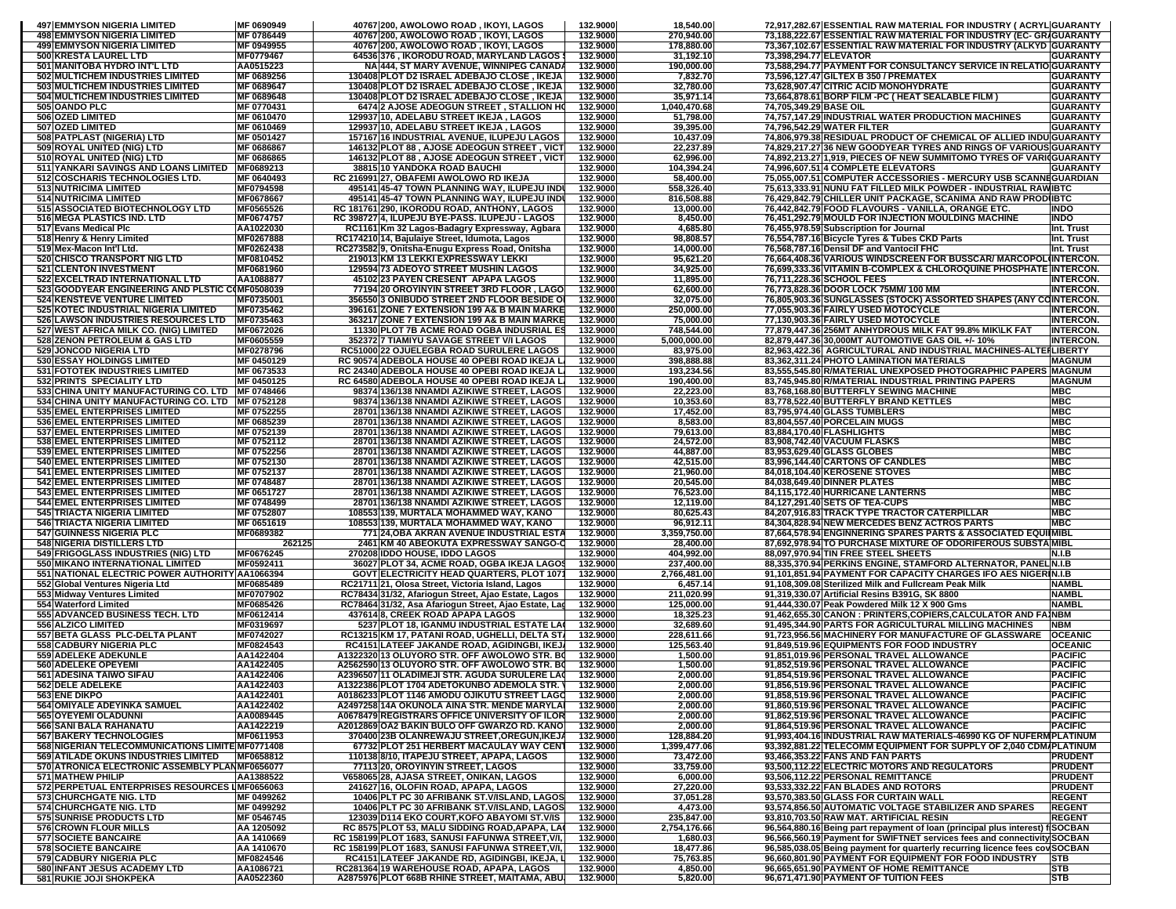| <b>497 EMMYSON NIGERIA LIMITED</b>                                                            | MF 0690949               | 40767 200, AWOLOWO ROAD, IKOYI, LAGOS                                                         | 132.9000             | 18,540.00                  | 72,917,282.67 ESSENTIAL RAW MATERIAL FOR INDUSTRY ( ACRYL GUARANTY                                                                     |
|-----------------------------------------------------------------------------------------------|--------------------------|-----------------------------------------------------------------------------------------------|----------------------|----------------------------|----------------------------------------------------------------------------------------------------------------------------------------|
| <b>498 EMMYSON NIGERIA LIMITED</b>                                                            | <b>MF 0786449</b>        | 40767 200, AWOLOWO ROAD, IKOYI, LAGOS                                                         | 132.9000             | 270,940.00                 | 73,188,222.67 ESSENTIAL RAW MATERIAL FOR INDUSTRY (EC- GRIGUARANTY                                                                     |
| <b>499 EMMYSON NIGERIA LIMITED</b><br>500 KRESTA LAUREL LTD                                   | MF 0949955<br>MF0779467  | 40767 200, AWOLOWO ROAD, IKOYI, LAGOS<br>64536 376, IKORODU ROAD, MARYLAND LAGOS :            | 132.9000<br>132.9000 | 178,880.00<br>31,192.10    | 73,367,102.67 ESSENTIAL RAW MATERIAL FOR INDUSTRY (ALKYD GUARANTY<br>73,398,294.77 ELEVATOR<br><b>GUARANTY</b>                         |
| 501 MANITOBA HYDRO INT'L LTD                                                                  | AA0515223                | NA 444, ST MARY AVENUE, WINNIPEG CANADA                                                       | 132.9000             | 190,000.00                 | 73,588,294.77 PAYMENT FOR CONSULTANCY SERVICE IN RELATIO GUARANTY                                                                      |
| 502 MULTICHEM INDUSTRIES LIMITED                                                              | MF 0689256               | 130408 PLOT D2 ISRAEL ADEBAJO CLOSE, IKEJA                                                    | 132.9000             | 7,832.70                   | 73,596,127.47 GILTEX B 350 / PREMATEX<br><b>GUARANTY</b>                                                                               |
| 503 MULTICHEM INDUSTRIES LIMITED                                                              | MF 0689647               | 130408 PLOT D2 ISRAEL ADEBAJO CLOSE, IKEJA                                                    | 132.9000             | 32,780.00                  | 73,628,907.47 CITRIC ACID MONOHYDRATE<br><b>GUARANTY</b>                                                                               |
| 504 MULTICHEM INDUSTRIES LIMITED<br>505 OANDO PLC                                             | MF 0689648<br>MF 0770431 | 130408 PLOT D2 ISRAEL ADEBAJO CLOSE, IKEJA<br>6474 2 AJOSE ADEOGUN STREET, STALLION HO        | 132.9000<br>132.9000 | 35,971.14<br>1,040,470.68  | 73,664,878.61 BORP FILM -PC ( HEAT SEALABLE FILM )<br><b>GUARANTY</b><br>74,705,349.29 BASE OIL<br><b>GUARANTY</b>                     |
| 506 OZED LIMITED                                                                              | MF 0610470               | 129937 10, ADELABU STREET IKEJA, LAGOS                                                        | 132.9000             | 51,798.00                  | 74,757,147.29 INDUSTRIAL WATER PRODUCTION MACHINES<br><b>GUARANTY</b>                                                                  |
| 507 OZED LIMITED                                                                              | MF 0610469               | 129937 10, ADELABU STREET IKEJA , LAGOS                                                       | 132.9000             | 39,395.00                  | 74,796,542.29 WATER FILTER<br><b>GUARANTY</b>                                                                                          |
| 508 PATPLAST (NIGERIA) LTD                                                                    | MF 0501427               | 157167 16 INDUSTRIAL AVENUE, ILUPEJU LAGOS                                                    | 132.9000             | 10,437.09                  | 74,806,979.38 RESIDUAL PRODUCT OF CHEMICAL OF ALLIED INDU GUARANTY                                                                     |
| 509 ROYAL UNITED (NIG) LTD                                                                    | MF 0686867               | 146132 PLOT 88, AJOSE ADEOGUN STREET, VICT                                                    | 132.9000             | 22,237.89                  | 74,829,217.27 36 NEW GOODYEAR TYRES AND RINGS OF VARIOUS GUARANTY                                                                      |
| 510 ROYAL UNITED (NIG) LTD<br>511 YANKARI SAVINGS AND LOANS LIMITED                           | MF 0686865<br>MF0689213  | 146132 PLOT 88, AJOSE ADEOGUN STREET, VICT<br>38815 10 YANDOKA ROAD BAUCHI                    | 132.9000<br>132.9000 | 62,996.00<br>104,394.24    | 74,892,213.27 1,919, PIECES OF NEW SUMMITOMO TYRES OF VARI GUARANTY<br>74,996,607.51 4 COMPLETE ELEVATORS<br><b>GUARANTY</b>           |
| 512 COSCHARIS TECHNOLOGIES LTD.                                                               | MF 0640493               | RC 216991 27, OBAFEMI AWOLOWO RD IKEJA                                                        | 132.9000             | 58,400.00                  | 75,055,007.51 COMPUTER ACCESSORIES - MERCURY USB SCANNEGUARDIAN                                                                        |
| <b>513 NUTRICIMA LIMITED</b>                                                                  | MF0794598                | 495141 45-47 TOWN PLANNING WAY, ILUPEJU IND                                                   | 132.9000             | 558,326.40                 | 75.613.333.91 NUNU FAT FILLED MILK POWDER - INDUSTRIAL RAWIBTC                                                                         |
| <b>514 NUTRICIMA LIMITED</b>                                                                  | MF0678667                | 495141 45-47 TOWN PLANNING WAY, ILUPEJU INDU                                                  | 132.9000             | 816,508.88                 | 76,429,842.79 CHILLER UNIT PACKAGE, SCANIMA AND RAW PRODUBTC                                                                           |
| 515 ASSOCIATED BIOTECHNOLOGY LTD<br>516 MEGA PLASTICS IND. LTD                                | MF0565526<br>MF0674757   | RC 181761 290, IKORODU ROAD, ANTHONY, LAGOS<br>RC 398727 4, ILUPEJU BYE-PASS. ILUPEJU - LAGOS | 132.9000<br>132.9000 | 13,000.00<br>8,450.00      | 76,442,842.79 FOOD FLAVOURS - VANILLA, ORANGE ETC.<br>INDO<br>INDO<br>76,451,292.79 MOULD FOR INJECTION MOULDING MACHINE               |
| 517 Evans Medical Plc                                                                         | AA1022030                | RC1161 Km 32 Lagos-Badagry Expressway, Agbara                                                 | 132.9000             | 4,685.80                   | 76,455,978.59 Subscription for Journal<br>Int. Trust                                                                                   |
| 518 Henry & Henry Limited                                                                     | MF0267888                | RC174210 14, Bajulaiye Street, Idumota, Lagos                                                 | 132.9000             | 98,808.57                  | 76,554,787.16 Bicycle Tyres & Tubes CKD Parts<br>Int. Trust                                                                            |
| 519 Mex-Macon Int'l Ltd.                                                                      | MF0262438                | RC27358219, Onitsha-Enugu Express Road, Onitsha                                               | 132.9000             | 14,000.00                  | 76,568,787.16 Densil DF and Vantocil FHC<br>Int. Trust                                                                                 |
| 520 CHISCO TRANSPORT NIG LTD                                                                  | MF0810452                | 219013 KM 13 LEKKI EXPRESSWAY LEKKI                                                           | 132.9000             | 95,621.20                  | 76,664,408.36 VARIOUS WINDSCREEN FOR BUSSCAR/ MARCOPOLINTERCON.<br>76,699,333.36 VITAMIN B-COMPLEX & CHLOROQUINE PHOSPHATE INTERCON.   |
| 521 CLENTON INVESTMENT<br>522 EXCELTRAD INTERNATIONAL LTD                                     | MF0681960<br>AA1088877   | 129594 73 ADEOYO STREET MUSHIN LAGOS<br>45102 23 PAYEN CRESENT APAPA LAGOS                    | 132.9000<br>132.9000 | 34,925.00<br>11,895.00     | 76,711,228.36 SCHOOL FEES<br><b>INTERCON.</b>                                                                                          |
| 523 GOODYEAR ENGINEERING AND PLSTIC COMF0508039                                               |                          | 77194 20 OROYINYIN STREET 3RD FLOOR, LAGO                                                     | 132.9000             | 62,600.00                  | 76,773,828.36 DOOR LOCK 75MM/ 100 MM<br><b>INTERCON.</b>                                                                               |
| <b>524 KENSTEVE VENTURE LIMITED</b>                                                           | MF0735001                | 356550 3 ONIBUDO STREET 2ND FLOOR BESIDE OI                                                   | 132.9000             | 32,075.00                  | 76,805,903.36 SUNGLASSES (STOCK) ASSORTED SHAPES (ANY COINTERCON.                                                                      |
| 525 KOTEC INDUSTRIAL NIGERIA LIMITED                                                          | MF0735462                | 396161 ZONE 7 EXTENSION 199 A& B MAIN MARKE                                                   | 132.9000             | 250.000.00                 | 77,055,903.36 FAIRLY USED MOTOCYCLE<br><b>INTERCON.</b>                                                                                |
| 526 LAWSON INDUSTRIES RESOURCES LTD<br>527 WEST AFRICA MILK CO. (NIG) LIMITED                 | MF0735463<br>MF0672026   | 363217 ZONE 7 EXTENSION 199 A& B MAIN MARKE<br>11330 PLOT 7B ACME ROAD OGBA INDUSRIAL ES      | 132.9000<br>132.9000 | 75,000.00<br>748.544.00    | 77,130,903.36 FAIRLY USED MOTOCYCLE<br><b>INTERCON.</b><br>77,879,447.36 256MT ANHYDROUS MILK FAT 99.8% MIK\LK FAT<br><b>INTERCON.</b> |
| 528 ZENON PETROLEUM & GAS LTD                                                                 | MF0605559                | 352372 7 TIAMIYU SAVAGE STREET V/I LAGOS                                                      | 132.9000             | 5,000,000.00               | 82,879,447.36 30,000MT AUTOMOTIVE GAS OIL +/- 10%<br><b>INTERCON.</b>                                                                  |
| <b>529 JONCOD NIGERIA LTD</b>                                                                 | MF0278796                | RC51000 22 OJUELEGBA ROAD SURULERE LAGOS                                                      | 132.9000             | 83,975.00                  | 82.963.422.36 AGRICULTURAL AND INDUSTRIAL MACHINES-ALTEILIBERTY                                                                        |
| 530 ESSAY HOLDINGS LIMITED                                                                    | MF 0450129               | RC 90574 ADEBOLA HOUSE 40 OPEBI ROAD IKEJA L                                                  | 132.9000             | 398,888.88                 | 83,362,311.24 PHOTO LAMINATION MATERIALS<br><b>MAGNUM</b>                                                                              |
| <b>531 FOTOTEK INDUSTRIES LIMITED</b>                                                         | MF 0673533               | RC 24340 ADEBOLA HOUSE 40 OPEBI ROAD IKEJA L                                                  | 132.9000             | 193,234.56                 | 83,555,545.80 R/MATERIAL UNEXPOSED PHOTOGRAPHIC PAPERS MAGNUM                                                                          |
| 532 PRINTS SPECIALITY LTD<br>533 CHINA UNITY MANUFACTURING CO. LTD   MF 0748466               | MF 0450125               | RC 64580 ADEBOLA HOUSE 40 OPEBI ROAD IKEJA L<br>98374 136/138 NNAMDI AZIKIWE STREET, LAGOS    | 132.9000<br>132.9000 | 190,400.00<br>22,223.00    | 83,745,945.80 R/MATERIAL INDUSTRIAL PRINTING PAPERS<br><b>MAGNUM</b><br>83,768,168.80 BUTTERFLY SEWING MACHINE<br>MBC                  |
| 534 CHINA UNITY MANUFACTURING CO. LTD MF 0752128                                              |                          | 98374 136/138 NNAMDI AZIKIWE STREET, LAGOS                                                    | 132.9000             | 10,353.60                  | 83,778,522.40 BUTTERFLY BRAND KETTLES<br><b>MBC</b>                                                                                    |
| 535 EMEL ENTERPRISES LIMITED                                                                  | MF 0752255               | 28701 136/138 NNAMDI AZIKIWE STREET, LAGOS                                                    | 132.9000             | 17,452.00                  | <b>MBC</b><br>83.795.974.40 GLASS TUMBLERS                                                                                             |
| <b>536 EMEL ENTERPRISES LIMITED</b>                                                           | MF 0685239               | 28701 136/138 NNAMDI AZIKIWE STREET, LAGOS                                                    | 132.9000             | 8,583.00                   | <b>MBC</b><br>83,804,557.40 PORCELAIN MUGS                                                                                             |
| <b>537 EMEL ENTERPRISES LIMITED</b><br>538 EMEL ENTERPRISES LIMITED                           | MF 0752139<br>MF 0752112 | 28701 136/138 NNAMDI AZIKIWE STREET, LAGOS<br>28701 136/138 NNAMDI AZIKIWE STREET, LAGOS      | 132.9000<br>132.9000 | 79,613.00<br>24,572.00     | <b>MBC</b><br>83,884,170.40 FLASHLIGHTS<br><b>MBC</b><br>83,908,742.40 VACUUM FLASKS                                                   |
| 539 EMEL ENTERPRISES LIMITED                                                                  | MF 0752256               | 28701 136/138 NNAMDI AZIKIWE STREET, LAGOS                                                    | 132.9000             | 44,887.00                  | <b>MBC</b><br>83,953,629.40 GLASS GLOBES                                                                                               |
| <b>540 EMEL ENTERPRISES LIMITED</b>                                                           | MF 0752130               | 28701 136/138 NNAMDI AZIKIWE STREET, LAGOS                                                    | 132.9000             | 42,515.00                  | <b>MBC</b><br>83,996,144.40 CARTONS OF CANDLES                                                                                         |
| <b>541 EMEL ENTERPRISES LIMITED</b>                                                           | MF 0752137               | 28701 136/138 NNAMDI AZIKIWE STREET, LAGOS                                                    | 132.9000             | 21,960.00                  | <b>MBC</b><br>84,018,104.40 KEROSENE STOVES                                                                                            |
| <b>542 EMEL ENTERPRISES LIMITED</b>                                                           | MF 0748487               | 28701 136/138 NNAMDI AZIKIWE STREET, LAGOS                                                    | 132.9000             | 20,545.00                  | 84,038,649.40 DINNER PLATES<br><b>MBC</b>                                                                                              |
| <b>543 EMEL ENTERPRISES LIMITED</b><br><b>544 EMEL ENTERPRISES LIMITED</b>                    | MF 0651727<br>MF 0748499 | 28701 136/138 NNAMDI AZIKIWE STREET, LAGOS<br>28701 136/138 NNAMDI AZIKIWE STREET, LAGOS      | 132.9000<br>132.9000 | 76,523.00<br>12,119.00     | 84,115,172.40 HURRICANE LANTERNS<br><b>MBC</b><br><b>MBC</b><br>84,127,291.40 SETS OF TEA-CUPS                                         |
| <b>545 TRIACTA NIGERIA LIMITED</b>                                                            | MF 0752807               | 108553 139, MURTALA MOHAMMED WAY, KANO                                                        | 132.9000             | 80,625.43                  | <b>MBC</b><br>84,207,916.83 TRACK TYPE TRACTOR CATERPILLAR                                                                             |
| <b>546 TRIACTA NIGERIA LIMITED</b>                                                            | MF 0651619               | 108553 139, MURTALA MOHAMMED WAY, KANO                                                        | 132.9000             | 96,912.11                  | 84,304,828.94 NEW MERCEDES BENZ ACTROS PARTS<br><b>MBC</b>                                                                             |
| 547 GUINNESS NIGERIA PLC                                                                      | MF0689382                | 771 24, OBA AKRAN AVENUE INDUSTRIAL ESTA                                                      | 132.9000             | 3,359,750.00               | 87,664,578.94 ENGINNERING SPARES PARTS & ASSOCIATED EQUILMIBL                                                                          |
| 548 NIGERIA DISTILLERS LTD<br>549 FRIGOGLASS INDUSTRIES (NIG) LTD                             | 262125<br>MF0676245      | 2461 KM 40 ABEOKUTA EXPRESSWAY SANGO-O<br>270208 IDDO HOUSE, IDDO LAGOS                       | 132.9000<br>132.9000 | 28,400.00<br>404,992.00    | 87,692,978.94 TO PURCHASE MIXTURE OF ODORIFEROUS SUBSTAMIBL<br><b>N.I.B</b><br>88,097,970.94 TIN FREE STEEL SHEETS                     |
| 550 MIKANO INTERNATIONAL LIMITED                                                              | MF0592411                | 36027 PLOT 34, ACME ROAD, OGBA IKEJA LAGOS                                                    | 132.9000             | 237,400.00                 | 88,335,370.94 PERKINS ENGINE, STAMFORD ALTERNATOR, PANEL N.I.B                                                                         |
| 551 NATIONAL ELECTRIC POWER AUTHORITY AA1066394                                               |                          | <b>GOVT ELECTRICITY HEAD QUARTERS, PLOT 1071</b>                                              | 132.9000             | 2,766,481.00               | 91,101,851.94 PAYMENT FOR CAPACITY CHARGES IFO AES NIGERIN.I.B                                                                         |
| 552 Global Ventures Nigeria Ltd                                                               | MF0685489                | RC21711 21, Olosa Street, Victoria Island, Lagos                                              | 132.9000             | 6,457.14                   | 91,108,309.08 Sterilized Milk and Fullcream Peak Milk<br><b>NAMB</b>                                                                   |
| 553 Midway Ventures Limited                                                                   | MF0707902<br>MF0685426   | RC78434 31/32, Afariogun Street, Ajao Estate, Lagos                                           | 132.9000<br>132.9000 | 211,020.99<br>125,000.00   | 91,319,330.07 Artificial Resins B391G, SK 8800<br><b>NAMBL</b><br><b>NAMBL</b>                                                         |
| 554 Waterford Limited<br>555 ADVANCED BUSINESS TECH. LTD                                      | MF0612414                | RC78464 31/32, Asa Afariogun Street, Ajao Estate, Lag<br>437614 8, CREEK ROAD APAPA LAGOS     | 132.9000             | 18,325.23                  | 91,444,330.07 Peak Powdered Milk 12 X 900 Gms<br>91,462,655.30 CANON : PRINTERS, COPIERS, CALCULATOR AND FAINBM                        |
| 556 ALZICO LIMITED                                                                            | MF0319697                | 5237 PLOT 18. IGANMU INDUSTRIAL ESTATE LA                                                     | 132.9000             | 32,689.60                  | <b>NBM</b><br>91,495,344.90 PARTS FOR AGRICULTURAL MILLING MACHINES                                                                    |
| 557 BETA GLASS PLC-DELTA PLANT                                                                | MF0742027                | RC13215 KM 17, PATANI ROAD, UGHELLI, DELTA ST.                                                | 132.9000             | 228,611.66                 | 91,723,956.56 MACHINERY FOR MANUFACTURE OF GLASSWARE<br><b>OCEANIC</b>                                                                 |
| 558 CADBURY NIGERIA PLC<br>559 ADELEKE ADEKUNLE                                               | MF0824543<br>AA1422404   | RC4151 LATEEF JAKANDE ROAD, AGIDINGBI, IKEJ<br>A132232013 OLUYORO STR. OFF AWOLOWO STR. BO    | 132.9000<br>132.9000 | 125,563.40<br>1,500.00     | 91,849,519.96 EQUIPMENTS FOR FOOD INDUSTRY<br><b>OCEANIC</b><br><b>PACIFIC</b>                                                         |
| 560 ADELEKE OPEYEMI                                                                           | AA1422405                | A2562590 13 OLUYORO STR. OFF AWOLOWO STR. BO                                                  | 132.9000             | 1,500.00                   | 91,851,019.96 PERSONAL TRAVEL ALLOWANCE<br>91,852,519.96 PERSONAL TRAVEL ALLOWANCE<br><b>PACIFIC</b>                                   |
| 561 ADESINA TAIWO SIFAU                                                                       | AA1422406                | A2396507 11 OLADIMEJI STR. AGUDA SURULERE LAC                                                 | 132.9000             | 2,000.00                   | 91,854,519.96 PERSONAL TRAVEL ALLOWANCE<br><b>PACIFIC</b>                                                                              |
| <b>562 DELE ADELEKE</b>                                                                       | AA1422403                | A 1322386 PLOT 1704 ADETOKUNBO ADEMOLA STR.                                                   | 132.9000             | 2,000.00                   | 91,856,519.96 PERSONAL IRAVEL ALLOWANCE<br><b>PACIFIC</b>                                                                              |
| 563 ENE DIKPO                                                                                 | AA1422401                | A0186233 PLOT 1146 AMODU OJIKUTU STREET LAGO                                                  | 132.9000             | 2,000.00                   | <b>PACIFIC</b><br>91,858,519.96 PERSONAL TRAVEL ALLOWANCE                                                                              |
| 564 OMIYALE ADEYINKA SAMUEL<br>565 OYEYEMI OLADUNNI                                           | AA1422402<br>AA0089445   | A2497258 14A OKUNOLA AINA STR. MENDE MARYLAI<br>A0678479 REGISTRARS OFFICE UNIVERSITY OF ILOR | 132.9000<br>132.9000 | 2,000.00<br>2,000.00       | <b>PACIFIC</b><br>91,860,519.96 PERSONAL TRAVEL ALLOWANCE<br>91,862,519.96 PERSONAL TRAVEL ALLOWANCE<br><b>PACIFIC</b>                 |
| 566 SANI BALA RAHANATU                                                                        | AA1422219                | A2012869 OA2 BAKIN BULO OFF GWARZO RD. KANO                                                   | 132.9000             | 2,000.00                   | <b>PACIFIC</b><br>91,864,519.96 PERSONAL TRAVEL ALLOWANCE                                                                              |
| <b>567 BAKERY TECHNOLOGIES</b>                                                                | MF0611953                | 370400 23B OLANREWAJU STREET, OREGUN, IKEJA                                                   | 132.9000             | 128,884.20                 | 91,993,404.16 INDUSTRIAL RAW MATERIALS-46990 KG OF NUFERM PLATINUM                                                                     |
| 568 NIGERIAN TELECOMMUNICATIONS LIMITE MF0771408                                              |                          | 67732 PLOT 251 HERBERT MACAULAY WAY CENT                                                      | 132.9000             | 1,399,477.06               | 93,392,881.22 TELECOMM EQUIPMENT FOR SUPPLY OF 2,040 CDM/PLATINUM                                                                      |
| <b>569 ATILADE OKUNS INDUSTRIES LIMITED</b><br>570 ATRONICA ELECTRONIC ASSEMBLY PLANMF0656077 | MF0658812                | 110138 8/10, ITAPEJU STREET, APAPA, LAGOS<br>77113 20, OROYINYIN STREET, LAGOS                | 132.9000<br>132.9000 | 73,472.00<br>33,759.00     | 93,466,353.22 FANS AND FAN PARTS<br><b>PRUDENT</b><br>93,500,112.22 ELECTRIC MOTORS AND REGULATORS<br><b>PRUDENT</b>                   |
| <b>571 MATHEW PHILIP</b>                                                                      | AA1388522                | V658065 28, AJASA STREET, ONIKAN, LAGOS                                                       | 132.9000             | 6,000.00                   | 93,506,112.22 PERSONAL REMITTANCE<br><b>PRUDENT</b>                                                                                    |
| 572 PERPETUAL ENTERPRISES RESOURCES LMF0656063                                                |                          | 241627 16, OLOFIN ROAD, APAPA, LAGOS                                                          | 132.9000             | 27,220.00                  | 93.533.332.22 FAN BLADES AND ROTORS<br><b>PRUDENT</b>                                                                                  |
| <b>573 CHURCHGATE NIG. LTD</b>                                                                | MF 0499262               | 10406 PLT PC 30 AFRIBANK ST.V/ISLAND, LAGOS                                                   | 132.9000             | 37,051.28                  | 93,570,383.50 GLASS FOR CURTAIN WALL<br><b>REGENT</b>                                                                                  |
| <b>574 CHURCHGATE NIG. LTD</b>                                                                | MF 0499292               | 10406 PLT PC 30 AFRIBANK ST.V/ISLAND, LAGOS                                                   | 132.9000             | 4,473.00                   | 93,574,856.50 AUTOMATIC VOLTAGE STABILIZER AND SPARES<br><b>REGENT</b><br>93,810,703.50 RAW MAT. ARTIFICIAL RESIN<br><b>REGENT</b>     |
| 575 SUNRISE PRODUCTS LTD<br>576 CROWN FLOUR MILLS                                             | MF 0546745<br>AA 1205092 | 123039 D114 EKO COURT, KOFO ABAYOMI ST.V/IS<br>RC 8575 PLOT 53, MALU SIDDING ROAD, APAPA, LA  | 132.9000<br>132.9000 | 235,847.00<br>2,754,176.66 | 96,564,880.16 Being part repayment of loan (principal plus interest) f SOCBAN                                                          |
| <b>577 SOCIETE BANCAIRE</b>                                                                   | AA 1410669               | RC 158199 PLOT 1683, SANUSI FAFUNWA STREET, V/I,                                              | 132.9000             | 1,680.03                   | 96,566,560.19 Payment for SWIFTNET services fees and connectivity SOCBAN                                                               |
| <b>578 SOCIETE BANCAIRE</b>                                                                   | AA 1410670               | RC 158199 PLOT 1683, SANUSI FAFUNWA STREET, V/I,                                              | 132.9000             | 18,477.86                  | 96,585,038.05 Being payment for quarterly recurring licence fees cov SOCBAN                                                            |
| 579 CADBURY NIGERIA PLC                                                                       | MF0824546                | RC4151 LATEEF JAKANDE RD, AGIDINGBI, IKEJA, L                                                 | 132.9000             | 75,763.85                  | 96,660,801.90 PAYMENT FOR EQUIPMENT FOR FOOD INDUSTRY STB                                                                              |
| 580 INFANT JESUS ACADEMY LTD                                                                  | AA1086721<br>AA0522360   | RC281364 19 WAREHOUSE ROAD, APAPA, LAGOS<br>A2875976 PLOT 668B RHINE STREET, MAITAMA, ABU     | 132.9000<br>132.9000 | 4,850.00<br>5,820.00       | 96,665,651.90 PAYMENT OF HOME REMITTANCE<br><b>STB</b><br>96,671,471.90 PAYMENT OF TUITION FEES<br><b>STB</b>                          |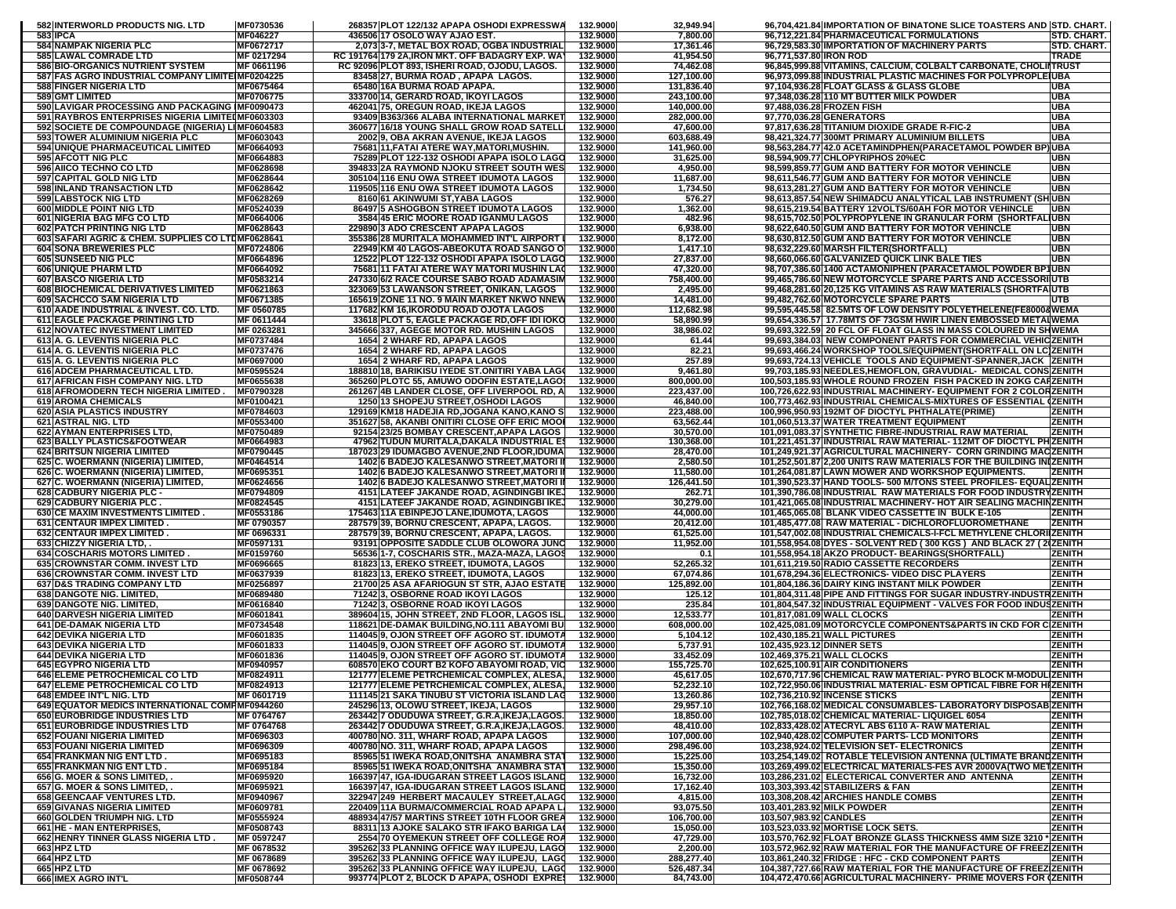| 582 INTERWORLD PRODUCTS NIG. LTD                                                | MF0730536                | 268357 PLOT 122/132 APAPA OSHODI EXPRESSWA                                                          | 132.9000             | 32,949.94                | 96,704,421.84 IMPORTATION OF BINATONE SLICE TOASTERS AND STD. CHART.                                                                    |
|---------------------------------------------------------------------------------|--------------------------|-----------------------------------------------------------------------------------------------------|----------------------|--------------------------|-----------------------------------------------------------------------------------------------------------------------------------------|
| 583 IPCA                                                                        | MF046227                 | 436506 17 OSOLO WAY AJAO EST.                                                                       | 132.9000             | 7,800.00                 | 96,712,221.84 PHARMACEUTICAL FORMULATIONS<br>STD. CHART.<br>96,729,583.30 IMPORTATION OF MACHINERY PARTS                                |
| 584 NAMPAK NIGERIA PLC<br>585 LAWAL COMRADE LTD                                 | MF0672717<br>MF 0217294  | 2,073 3-7, METAL BOX ROAD, OGBA INDUSTRIAL<br>RC 191764 179 2A, IRON MKT. OFF BADAGRY EXP. WAY      | 132.9000<br>132.9000 | 17,361.46<br>41,954.50   | STD. CHART.<br>96,771,537.80 IRON ROD<br><b>TRADE</b>                                                                                   |
| <b>586 BIO-ORGANICS NUTRIENT SYSTEM</b>                                         | MF 0661196               | RC 92096 PLOT 893, ISHERI ROAD, OJODU, LAGOS.                                                       | 132.9000             | 74,462.08                | 96,845,999.88 VITAMINS, CALCIUM, COLBALT CARBONATE, CHOLIITRUST                                                                         |
| 587 FAS AGRO INDUSTRIAL COMPANY LIMITE MF0204225                                |                          | 83458 27, BURMA ROAD, APAPA LAGOS.                                                                  | 132.9000             | 127,100.00               | 96,973,099.88 INDUSTRIAL PLASTIC MACHINES FOR POLYPROPLE UBA                                                                            |
| 588 FINGER NIGERIA LTD<br>589 GMT LIMITED                                       | MF0675464<br>MF0706775   | 65480 16A BURMA ROAD APAPA.<br>333700 14, GERARD ROAD, IKOYI LAGOS                                  | 132.9000<br>132.9000 | 131,836.40<br>243,100.00 | UBA<br>97,104,936.28 FLOAT GLASS & GLASS GLOBE<br>97.348.036.28 110 MT BUTTER MILK POWDER<br>UBA                                        |
| 590 LAVIGAR PROCESSING AND PACKAGING IMF0090473                                 |                          | 462041 75, OREGUN ROAD, IKEJA LAGOS                                                                 | 132.9000             | 140,000.00               | 97,488,036.28 FROZEN FISH<br><b>UBA</b>                                                                                                 |
| 591 RAYBROS ENTERPRISES NIGERIA LIMITEDMF0603303                                |                          | 93409 B363/366 ALABA INTERNATIONAL MARKET                                                           | 132.9000             | 282,000.00               | 97,770,036.28 GENERATORS<br><b>UBA</b>                                                                                                  |
| 592 SOCIETE DE COMPOUNDAGE (NIGERIA) LIMF0604583                                |                          | 360677 16/18 YOUNG SHALL GROW ROAD SATELL                                                           | 132.9000             | 47,600.00                | 97,817,636.28 TITANIUM DIOXIDE GRADE R-FIC-2<br>UBA<br><b>UBA</b>                                                                       |
| 593 TOWER ALUMINIUM NIGERIA PLC<br>594 UNIQUE PHARMACEUTICAL LIMITED            | MF0603043<br>MF0664093   | 2002 9, OBA AKRAN AVENUE, IKEJA LAGOS<br>75681 11, FATAI ATERE WAY, MATORI, MUSHIN.                 | 132.9000<br>132.9000 | 603,688.49<br>141,960.00 | 98,421,324.77 300MT PRIMARY ALUMINIUM BILLETS<br>98,563,284.77 42.0 ACETAMINDPHEN(PARACETAMOL POWDER BP)UBA                             |
| 595 AFCOTT NIG PLC                                                              | MF0664883                | 75289 PLOT 122-132 OSHODI APAPA ISOLO LAGO                                                          | 132.9000             | 31,625.00                | UBN<br>98,594,909.77 CHLOPYRIPHOS 20%EC                                                                                                 |
| 596 AIICO TECHNO CO LTD                                                         | MF0628698                | 394833 2A RAYMOND NJOKU STREET SOUTH WES                                                            | 132.9000             | 4,950.00                 | 98.599.859.77 GUM AND BATTERY FOR MOTOR VEHINCLE<br>UBN                                                                                 |
| 597 CAPITAL GOLD NIG LTD<br>598 INLAND TRANSACTION LTD                          | MF0628644<br>MF0628642   | 305104 116 ENU OWA STREET IDUMOTA LAGOS<br>119505 116 ENU OWA STREET IDUMOTA LAGOS                  | 132.9000<br>132.9000 | 11,687.00<br>1,734.50    | 98,611,546.77 GUM AND BATTERY FOR MOTOR VEHINCLE<br>UBN<br>98,613,281.27 GUM AND BATTERY FOR MOTOR VEHINCLE<br>UBN                      |
| 599 LABSTOCK NIG LTD                                                            | MF0628269                | 8160 61 AKINWUMI ST, YABA LAGOS                                                                     | 132.9000             | 576.27                   | 98,613,857.54 NEW SHIMADCU ANALYTICAL LAB INSTRUMENT (SHIUBN                                                                            |
| <b>600 MIDDLE POINT NIG LTD</b>                                                 | MF0524039                | 86497 5 ASHOGBON STREET IDUMOTA LAGOS                                                               | 132.9000             | 1,362.00                 | 98,615,219.54 BATTERY 12VOLTS/60AH FOR MOTOR VEHINCLE<br>UBN                                                                            |
| 601 NIGERIA BAG MFG CO LTD                                                      | MF0664006                | <b>3584 45 ERIC MOORE ROAD IGANMU LAGOS</b>                                                         | 132.9000<br>132.9000 | 482.96                   | 98,615,702.50 POLYPROPYLENE IN GRANULAR FORM (SHORTFALIUBN<br>UBN                                                                       |
| 602 PATCH PRINTING NIG LTD<br>603 SAFARI AGRIC & CHEM. SUPPLIES CO LTUMF0628641 | MF0628643                | 229890 3 ADO CRESCENT APAPA LAGOS<br>355386 28 MURITALA MOHAMMED INT'L AIRPORT                      | 132.9000             | 6,938.00<br>8,172.00     | 98,622,640.50 GUM AND BATTERY FOR MOTOR VEHINCLE<br>98,630,812.50 GUM AND BATTERY FOR MOTOR VEHINCLE<br>UBN                             |
| <b>604 SONA BREWERIES PLC</b>                                                   | <b>MF0724806</b>         | 22949 KM 40 LAGOS-ABEOKUTA ROAD SANGO O                                                             | 132.9000             | 1,417.10                 | 98,632,229.60 MARSH FILTER(SHORTFALL)<br>UBN                                                                                            |
| <b>605 SUNSEED NIG PLC</b>                                                      | MF0664896                | 12522 PLOT 122-132 OSHODI APAPA ISOLO LAGO                                                          | 132.9000             | 27,837.00                | UBN<br>98,660,066.60 GALVANIZED QUICK LINK BALE TIES                                                                                    |
| 606 UNIQUE PHARM LTD<br><b>607 BASCO NIGERIA LTD</b>                            | MF0664092<br>MF0583214   | 75681 11 FATAI ATERE WAY MATORI MUSHIN LAC<br>247330 6/2 RACE COURSE SABO ROAD ADAMASIM             | 132.9000<br>132.9000 | 47,320.00<br>758,400.00  | 98,707,386.60 1400 ACTAMONIPHEN (PARACETAMOL POWDER BP1UBN<br>99,465,786.60 NEW MOTORCYCLE SPARE PARTS AND ACCESSORI UTB                |
| 608 BIOCHEMICAL DERIVATIVES LIMITED                                             | MF0621863                | 323069 53 LAWANSON STREET, ONIKAN, LAGOS                                                            | 132.9000             | 2,495.00                 | 99,468,281.60 20,125 KG VITAMINS AS RAW MATERIALS (SHORTFA UTB                                                                          |
| 609 SACHCCO SAM NIGERIA LTD                                                     | MF0671385                | 165619 ZONE 11 NO. 9 MAIN MARKET NKWO NNEV                                                          | 132.9000             | 14,481.00                | 99,482,762.60 MOTORCYCLE SPARE PARTS<br>UTB                                                                                             |
| 610 AADE INDUSTRIAL & INVEST. CO. LTD.<br>611 EAGLE PACKAGE PRINTING LTD        | MF 0560785               | 117682 KM 16, IKORODU ROAD OJOTA LAGOS                                                              | 132.9000             | 112,682.98               | 99,595,445.58 82.5MTS OF LOW DENSITY POLYETHELENE(FE80008WEMA                                                                           |
| <b>612 NOVATEC INVESTMENT LIMITED</b>                                           | MF 0611444<br>MF 0263281 | 33618 PLOT 5, EAGLE PACKAGE RD, OFF IDI IOKO<br><b>345666 337, AGEGE MOTOR RD. MUSHIN LAGOS</b>     | 132.9000<br>132.9000 | 58,890.99<br>38,986.02   | 99,654,336.57 17.78MTS OF 73GSM HWIR LINEN EMBOSSED METAIWEMA<br>99,693,322.59 20 FCL OF FLOAT GLASS IN MASS COLOURED IN SHWEMA         |
| 613 A. G. LEVENTIS NIGERIA PLC                                                  | MF0737484                | 1654 2 WHARF RD, APAPA LAGOS                                                                        | 132.9000             | 61.44                    | 99,693,384.03 NEW COMPONENT PARTS FOR COMMERCIAL VEHICZENITH                                                                            |
| 614 A. G. LEVENTIS NIGERIA PLC                                                  | MF0737476                | 1654 2 WHARF RD, APAPA LAGOS                                                                        | 132.9000             | 82.21                    | 99,693,466.24 WORKSHOP TOOLS/EQUIPMENT(SHORTFALL ON LC ZENITH                                                                           |
| 615 A. G. LEVENTIS NIGERIA PLC<br>616 ADCEM PHARMACEUTICAL LTD.                 | MF0697000<br>MF0595524   | 1654 2 WHARF RD, APAPA LAGOS<br>188810118, BARIKISU IYEDE ST.ONITIRI YABA LAGO                      | 132.9000<br>132.9000 | 257.89<br>9,461.80       | 99,693,724.13 VEHICLE TOOLS AND EQUIPMENT-SPANNER,JACK   ZENITH                                                                         |
| 617 AFRICAN FISH COMPANY NIG. LTD                                               | MF0655638                | 365260 PLOTC 55, AMUWO ODOFIN ESTATE,LAGO                                                           | 132.9000             | 800,000.00               | 99,703,185.93 NEEDLES, HEMOFLON, GRAVUDIAL- MEDICAL CONS ZENITH<br>100,503,185.93 WHOLE ROUND FROZEN FISH PACKED IN 2OKG CAI ZENITH     |
| 618 AFROMODERN TECH NIGERIA LIMITED.                                            | MF0790328                | 261267 4B LANDER CLOSE, OFF LIVERPOOL RD, A                                                         | 132.9000             | 223,437.00               | 100,726,622.93 INDUSTRIAL MACHINERY- EQUIPMENT FOR 2 COLORZENITH                                                                        |
| <b>619 AROMA CHEMICALS</b>                                                      | MF0100421                | 1250 13 SHOPEJU STREET, OSHODI LAGOS                                                                | 132.9000             | 46,840.00                | 100.773.462.93 INDUSTRIAL CHEMICALS-MIXTURES OF ESSENTIAL (ZENITH                                                                       |
| 620 ASIA PLASTICS INDUSTRY<br><b>621 ASTRAL NIG. LTD</b>                        | MF0784603<br>MF0553400   | 129169 KM18 HADEJIA RD, JOGANA KANO, KANO S<br>351627 58, AKANBI ONITIRI CLOSE OFF ERIC MOOI        | 132.9000<br>132.9000 | 223,488.00<br>63,562.44  | 100,996,950.93 192MT OF DIOCTYL PHTHALATE(PRIME)<br>ZENITH<br>ZENITH<br>101,060,513.37 WATER TREATMENT EQUIPMENT                        |
| <b>622 AYMAN ENTERPRISES LTD,</b>                                               | MF0750489                | 92154 23/25 BOMBAY CRESCENT, APAPA LAGOS                                                            | 132.9000             | 30,570.00                | 101,091,083.37 SYNTHETIC FIBRE-INDUSTRIAL RAW MATERIAL<br>ZENITH                                                                        |
| 623 BALLY PLASTICS&FOOTWEAR                                                     | MF0664983                | 47962 TUDUN MURITALA, DAKALA INDUSTRIAL ES                                                          | 132.9000             | 130,368.00               | 101,221,451.37 INDUSTRIAL RAW MATERIAL-112MT OF DIOCTYL PHZENITH                                                                        |
| <b>624 BRITSUN NIGERIA LIMITED</b><br>625 C. WOERMANN (NIGERIA) LIMITED,        | MF0790445<br>MF0464514   | 187023 29 IDUMAGBO AVENUE, 2ND FLOOR, IDUMA                                                         | 132.9000<br>132.9000 | 28,470.00<br>2,580.50    | 101,249,921.37 AGRICULTURAL MACHINERY- CORN GRINDING MACZENITH                                                                          |
| 626 C. WOERMANN (NIGERIA) LIMITED,                                              | MF0695351                | 1402 6 BADEJO KALESANWO STREET, MATORI II<br>1402 6 BADEJO KALESANWO STREET, MATORI II              | 132.9000             | 11,580.00                | 101,252,501.87 2,200 UNITS RAW MATERIALS FOR THE BUILDING IN ZENITH<br>101,264,081.87 LAWN MOWER AND WORKSHOP EQUIPMENTS.<br>ZENITH     |
| 627 C. WOERMANN (NIGERIA) LIMITED,                                              | MF0624656                | 1402 6 BADEJO KALESANWO STREET, MATORI II                                                           | 132.9000             | 126,441.50               | 101,390,523.37 HAND TOOLS- 500 M/TONS STEEL PROFILES- EQUAL ZENITH                                                                      |
| 628 CADBURY NIGERIA PLC -                                                       | MF0794809                | 4151 LATEEF JAKANDE ROAD, AGINDINGBI IKE,                                                           | 132.9000             | 262.71                   | 101,390,786.08 INDUSTRIAL  RAW MATERIALS FOR FOOD INDUSTRYZENITH                                                                        |
| 629 CADBURY NIGERIA PLC.<br><b>630 CE MAXIM INVESTMENTS LIMITED.</b>            | MF0824545<br>MF0553186   | 4151 LATEEF JAKANDE ROAD, AGINDINGBI IKE,<br>175463 11A EBINPEJO LANE, IDUMOTA, LAGOS               | 132.9000<br>132.9000 | 30,279.00<br>44,000.00   | 101,421,065.08 INDUSTRIAL MACHINERY- HOT AIR SEALING MACHINZENITH<br>101,465,065.08 BLANK VIDEO CASSETTE IN BULK E-105<br><b>ZENITH</b> |
| <b>631 CENTAUR IMPEX LIMITED</b>                                                | MF 0790357               | 287579 39, BORNU CRESCENT, APAPA, LAGOS                                                             | 132.9000             | 20,412.00                | 101,485,477.08 RAW MATERIAL - DICHLOROFLUOROMETHANE<br>ZENITH                                                                           |
| 632 CENTAUR IMPEX LIMITED                                                       | MF 0696331               | 287579 39, BORNU CRESCENT, APAPA, LAGOS.                                                            | 132.9000             | 61,525.00                | 101,547,002.08 INDUSTRIAL CHEMICALS-I-FCL METHYLENE CHLORI ZENITH                                                                       |
| 633 CHIZZY NIGERIA LTD,<br><b>634 COSCHARIS MOTORS LIMITED.</b>                 | MF0597131<br>MF0159760   | 93191 OPPOSITE SADDLE CLUB OLOWORA JUNC<br>56536 1-7, COSCHARIS STR., MAZA-MAZA, LAGOS              | 132.9000<br>132.9000 | 11,952.00<br>0.1         | 101,558,954.08 DYES - SOLVENT RED (300 KGS) AND BLACK 27 (2 ZENITH<br>101,558,954.18 AKZO PRODUCT- BEARINGS(SHORTFALL)<br><b>ZENITH</b> |
| 635 CROWNSTAR COMM. INVEST LTD                                                  | MF0696665                | 81823 13, EREKO STREET, IDUMOTA, LAGOS                                                              | 132.9000             | 52,265.32                | 101,611,219.50 RADIO CASSETTE RECORDERS<br><b>ZENITH</b>                                                                                |
| <b>636 CROWNSTAR COMM. INVEST LTD</b>                                           | MF0637939                | 81823 13, EREKO STREET, IDUMOTA, LAGOS                                                              | 132.9000             | 67,074.86                | 101,678,294.36 ELECTRONICS- VIDEO DISC PLAYERS<br><b>ZENITH</b>                                                                         |
| <b>637 D&amp;S TRADING COMPANY LTD</b>                                          | MF0256897                | 21700 25 ASA AFARIOGUN ST STR, AJAO ESTATE                                                          | 132.9000             | 125,892.00               | <b>ZENITH</b><br>101,804,186.36 DAIRY KING INSTANT MILK POWDER                                                                          |
| <b>638 DANGOTE NIG. LIMITED,</b><br><b>639 DANGOTE NIG. LIMITED,</b>            | MF0689480<br>MF0616840   | 71242 3, OSBORNE ROAD IKOYI LAGOS<br>712423, OSBORNE ROAD IKOYI LAGOS                               | 132.9000<br>132.9000 | 125.12<br>235.84         | 101,804,311.48 PIPE AND FITTINGS FOR SUGAR INDUSTRY-INDUSTRZENITH<br>101,804,547.32 INDUSTRIAL EQUIPMENT - VALVES FOR FOOD INDUSZENITH  |
| <b>640 DARVESH NIGERIA LIMITED</b>                                              | MF0601841                | 389604 15, JOHN STREET, 2ND FLOOR, LAGOS ISL                                                        | 132.9000             | 12,533.77                | 101,817,081.09 WALL CLOCKS<br><b>ZENITH</b>                                                                                             |
| 641 DE-DAMAK NIGERIA LTD                                                        | MF0734548                | 118621 IDE-DAMAK BUILDING.NO.111 ABAYOMI BUI                                                        | 132.9000             | 608,000.00               | 102.425.081.09 MOTORCYCLE COMPONENTS&PARTS IN CKD FOR CIZENITH                                                                          |
| <b>642 DEVIKA NIGERIA LTD</b><br><b>643 DEVIKA NIGERIA LTD</b>                  | MF0601835<br>MF0601833   | 114045 9, OJON STREET OFF AGORO ST. IDUMOTA<br>114045 9, OJON STREET OFF AGORO ST. IDUMOTA          | 132.9000<br>132.9000 | 5,104.12<br>5,737.91     | 102,430,185.21 WALL PICTURES<br><b>ZENITH</b><br>102,435,923.12 DINNER SETS<br><b>ZENITH</b>                                            |
| <b>644 DEVIKA NIGERIA LTD</b>                                                   | MF0601836                | 114045 9, OJON STREET OFF AGORO ST. IDUMOTA                                                         | 132.9000             | 33,452.09                | 102,469,375.21 WALL CLOCKS<br><b>ZENITH</b>                                                                                             |
| <b>645 EGYPRO NIGERIA LTD</b>                                                   | MF0940957                | 608570 EKO COURT B2 KOFO ABAYOMI ROAD, VIC                                                          | 132.9000             | 155,725.70               | 102,625,100.91 AIR CONDITIONERS<br><b>ZENITH</b>                                                                                        |
| <b>646 ELEME PETROCHEMICAL CO LTD</b>                                           | MF0824911                | 121777 ELEME PETRCHEMICAL COMPLEX, ALESA,                                                           | 132.9000             | 45,617.05                | 102,670,717.96 CHEMICAL RAW MATERIAL- PYRO BLOCK M-MODUL ZENITH                                                                         |
| 647 ELEME PETROCHEMICAL CO LTD<br>648 EMDEE INT'L NIG. LTD                      | MF0824913<br>MF 0601719  | 121/// ELEME PETRCHEMICAL COMPLEX, ALESA,<br>111145 21 SAKA TINUBU ST VICTORIA ISLAND LAG           | 132.9000<br>132.9000 | 52,232.10<br>13,260.86   | 102,722,950.06 INDUSTRIAL MATERIAL-ESM OPTICAL FIBRE FOR HIZENITH<br>102,736,210.92 INCENSE STICKS<br><b>ZENITH</b>                     |
| 649 EQUATOR MEDICS INTERNATIONAL COMPMF0944260                                  |                          | 245296 13, OLOWU STREET, IKEJA, LAGOS                                                               | 132.9000             | 29,957.10                | 102,766,168.02 MEDICAL CONSUMABLES- LABORATORY DISPOSAB ZENITH                                                                          |
| 650 EUROBRIDGE INDUSTRIES LTD                                                   | MF 0764767               | 263442 7 ODUDUWA STREET, G.R.A.IKEJA,LAGOS.                                                         | 132.9000             | 18,850.00                | 102,785,018.02 CHEMICAL MATERIAL- LIQUIGEL 6054<br><b>ZENITH</b>                                                                        |
| <b>651 EUROBRIDGE INDUSTRIES LTD</b><br><b>652 FOUANI NIGERIA LIMITED</b>       | MF 0764768<br>MF0696303  | 263442 7 ODUDUWA STREET, G.R.A, IKEJA, LAGOS.<br>400780 NO. 311, WHARF ROAD, APAPA LAGOS            | 132.9000<br>132.9000 | 48,410.00<br>107,000.00  | <b>ZENITH</b><br>102,833,428.02 ATECRYL ABS 6110 A- RAW MATERIAL<br>102,940,428.02 COMPUTER PARTS- LCD MONITORS<br><b>ZENITH</b>        |
| 653 FOUANI NIGERIA LIMITED                                                      | MF0696309                | 400780 NO. 311, WHARF ROAD, APAPA LAGOS                                                             | 132.9000             | 298.496.00               | 103,238,924.02 TELEVISION SET- ELECTRONICS<br><b>ZENITH</b>                                                                             |
| 654 FRANKMAN NIG ENT LTD.                                                       | MF0695183                | 85965 51 IWEKA ROAD, ONITSHA ANAMBRA STAT                                                           | 132.9000             | 15,225.00                | 103,254,149.02 ROTABLE TELEVISION ANTENNA (ULTIMATE BRANDZENITH                                                                         |
| 655 FRANKMAN NIG ENT LTD.                                                       | MF0695184                | 85965 51 IWEKA ROAD, ONITSHA ANAMBRA STAT                                                           | 132.9000             | 15,350.00                | 103,269,499.02 ELECTRICAL MATERIALS-FES AVR 2000VA(TWO METZENITH<br>103,286,231.02 ELECTERICAL CONVERTER AND ANTENNA                    |
| 656 G. MOER & SONS LIMITED,<br>657 G. MOER & SONS LIMITED,                      | MF0695920<br>MF0695921   | 166397 47, IGA-IDUGARAN STREET LAGOS ISLAND<br>166397 47, IGA-IDUGARAN STREET LAGOS ISLAND          | 132.9000<br>132.9000 | 16,732.00<br>17,162.40   | <b>ZENITH</b><br>103,303,393.42 STABILIZERS & FAN<br><b>ZENITH</b>                                                                      |
| <b>658 GEENCAAF VENTURES LTD.</b>                                               | MF0940967                | 322947 249 HERBERT MACAULEY STREET, ALAGO                                                           | 132.9000             | 4,815.00                 | 103,308,208.42 ARCHIES HANDLE COMBS<br><b>ZENITH</b>                                                                                    |
| 659 GIVANAS NIGERIA LIMITED                                                     | MF0609781                | 220409 11A BURMA/COMMERCIAL ROAD APAPA LI                                                           | 132.9000             | 93,075.50                | 103,401,283.92 MILK POWDER<br><b>ZENITH</b>                                                                                             |
| 660 GOLDEN TRIUMPH NIG. LTD<br>661 HE - MAN ENTERPRISES,                        | MF0555924<br>MF0508743   | 488934 47/57 MARTINS STREET 10TH FLOOR GREA<br>88311 13 AJOKE SALAKO STR IFAKO BARIGA LA            | 132.9000<br>132.9000 | 106,700.00<br>15,050.00  | 103,507,983.92 CANDLES<br><b>ZENITH</b><br>103,523,033.92 MORTISE LOCK SETS.<br><b>ZENITH</b>                                           |
| 662 HENRY TINNER GLASS NIGERIA LTD.                                             | MF 0597247               | 2554170 OYEMEKUN STREET OFF COLLEGE ROA                                                             | 132.9000             | 47,729.00                | 103,570,762.92 FLOAT BRONZE GLASS THICKNESS 4MM SIZE 3210 * ZENITH                                                                      |
| 663 HPZ LTD                                                                     | MF 0678532               | 395262 33 PLANNING OFFICE WAY ILUPEJU, LAGO                                                         | 132.9000             | 2,200.00                 | 103,572,962.92 RAW MATERIAL FOR THE MANUFACTURE OF FREEZ ZENITH                                                                         |
| 664 HPZ LTD<br>665 HPZ LTD                                                      | MF 0678689               | 395262 33 PLANNING OFFICE WAY ILUPEJU, LAGO                                                         | 132.9000             | 288,277.40               | 103,861,240.32 FRIDGE : HFC - CKD COMPONENT PARTS<br><b>ZENITH</b>                                                                      |
| 666 IMEX AGRO INT'L                                                             | MF 0678692<br>MF0508744  | 395262 33 PLANNING OFFICE WAY ILUPEJU, LAGO<br>993774 PLOT 2, BLOCK D APAPA, OSHODI EXPRE: 132.9000 | 132.9000             | 526,487.34<br>84,743.00  | 104,387,727.66 RAW MATERIAL FOR THE MANUFACTURE OF FREEZ ZENITH<br>104,472,470.66 AGRICULTURAL MACHINERY- PRIME MOVERS FOR (ZENITH      |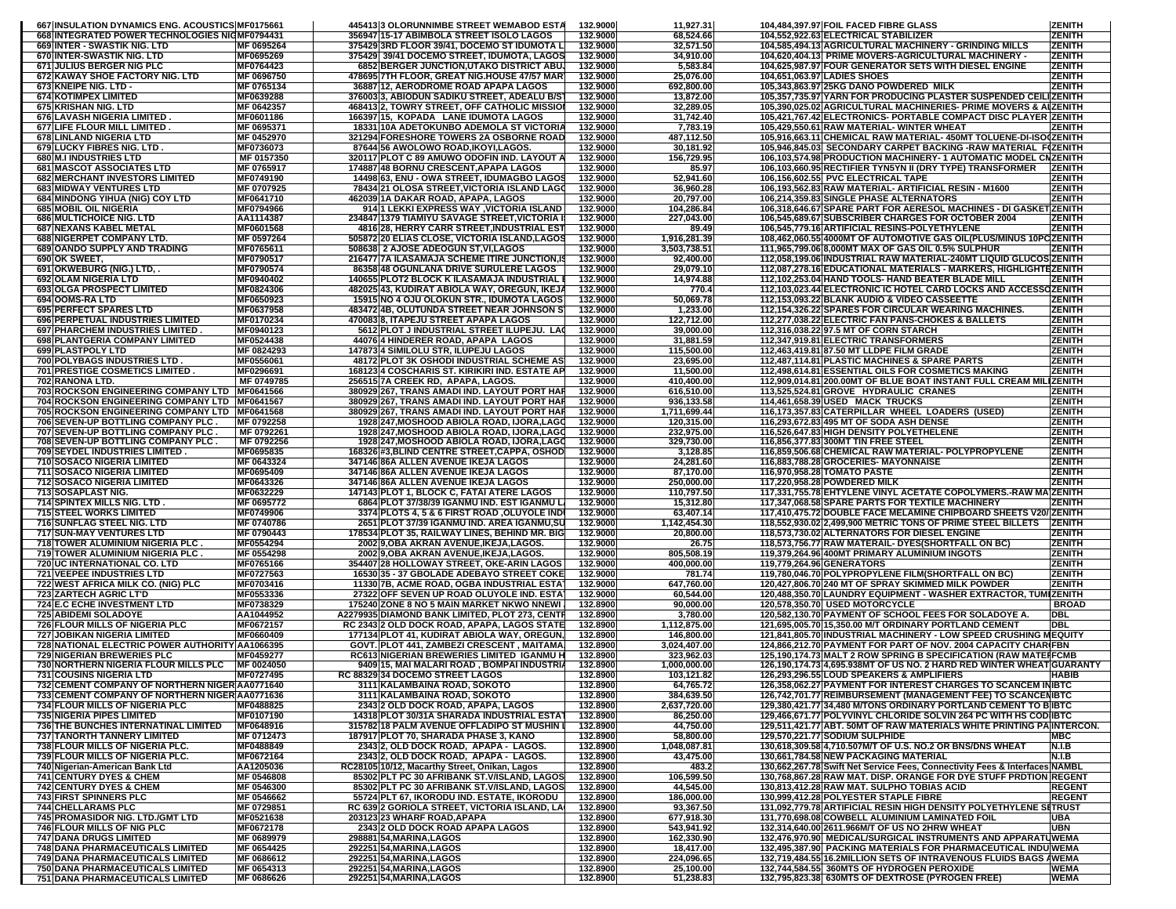| 667 INSULATION DYNAMICS ENG. ACOUSTICS MF0175661                                      |                               | 445413 3 OLORUNNIMBE STREET WEMABOD ESTA                                                      | 132.9000             | 11,927.31                  | 104,484,397.97 FOIL FACED FIBRE GLASS                                                                                                | <b>ZENITH</b>                  |
|---------------------------------------------------------------------------------------|-------------------------------|-----------------------------------------------------------------------------------------------|----------------------|----------------------------|--------------------------------------------------------------------------------------------------------------------------------------|--------------------------------|
| 668 INTEGRATED POWER TECHNOLOGIES NIGMF0794431<br><b>669 INTER - SWASTIK NIG, LTD</b> | MF 0695264                    | 356947 15-17 ABIMBOLA STREET ISOLO LAGOS<br>375429 3RD FLOOR 39/41, DOCEMO ST IDUMOTA L       | 132.9000             | 68,524.66                  | 104,552,922.63 ELECTRICAL STABILIZER                                                                                                 | <b>ZENITH</b><br><b>ZENITH</b> |
| 670 INTER-SWASTIK NIG. LTD                                                            | MF0695269                     | 375429 39/41 DOCEMO STREET, IDUMOTA, LAGOS                                                    | 132.9000<br>132.9000 | 32,571.50<br>34,910.00     | 104,585,494.13 AGRICULTURAL MACHINERY - GRINDING MILLS<br>104,620,404.13 PRIME MOVERS-AGRICULTURAL MACHINERY -                       | <b>ZENITH</b>                  |
| 671 JULIUS BERGER NIG PLC                                                             | MF0764423                     | 6852 BERGER JUNCTION,UTAKO DISTRICT ABU.                                                      | 132.9000             | 5,583.84                   | 104,625,987.97 FOUR GENERATOR SETS WITH DIESEL ENGINE                                                                                | <b>ZENITH</b>                  |
| 672 KAWAY SHOE FACTORY NIG. LTD                                                       | MF 0696750                    | 478695 7TH FLOOR, GREAT NIG.HOUSE 47/57 MAR                                                   | 132.9000             | 25,076.00                  | 104,651,063.97 LADIES SHOES                                                                                                          | <b>ZENITH</b>                  |
| 673 KNEIPE NIG. LTD -<br><b>674 KOTIMPEX LIMITED</b>                                  | MF 0765134<br>MF0639288       | 36887 12, AERODROME ROAD APAPA LAGOS<br>376003 3, ABIODUN SADIKU STREET, ADEALU B/S           | 132.9000<br>132.9000 | 692,800.00<br>13,872.00    | 105,343,863.97 25KG DANO POWDERED MILK<br>105,357,735.97 YARN FOR PRODUCING PLASTER SUSPENDED CEILIZENITH                            | <b>ZENITH</b>                  |
| 675 KRISHAN NIG. LTD                                                                  | MF 0642357                    | 468413 2, TOWRY STREET, OFF CATHOLIC MISSIOI                                                  | 132.9000             | 32,289.05                  | 105,390,025.02 AGRICULTURAL MACHINERIES- PRIME MOVERS & ALZENITH                                                                     |                                |
| 676 LAVASH NIGERIA LIMITED.                                                           | <b>MF0601186</b>              | 166397115. KOPADA LANE IDUMOTA LAGOS                                                          | 132.9000             | 31,742.40                  | 105.421.767.42 ELECTRONICS- PORTABLE COMPACT DISC PLAYER ZENITH                                                                      |                                |
| 677 LIFE FLOUR MILL LIMITED.                                                          | MF 0695371                    | 18331 10A ADETOKUNBO ADEMOLA ST VICTORIA                                                      | 132.9000             | 7,783.19                   | 105,429,550.61 RAW MATERIAL- WINTER WHEAT                                                                                            | <b>ZENITH</b>                  |
| 678 LINLAND NIGERIA LTD<br><b>679 LUCKY FIBRES NIG. LTD</b>                           | MF 0452970<br>MF0736073       | <b>321294 FORESHORE TOWERS 2A OSBORNE ROAD</b><br>87644 56 AWOLOWO ROAD, IKOYI, LAGOS.        | 132.9000<br>132.9000 | 487,112.50<br>30,181.92    | 105,916,663.11 CHEMICAL RAW MATERIAL- 450MT TOLUENE-DI-ISO (ZENITH<br>105,946,845.03 SECONDARY CARPET BACKING -RAW MATERIAL F(ZENITH |                                |
| 680 M.I INDUSTRIES LTD                                                                | MF 0157350                    | 320117 PLOT C 89 AMUWO ODOFIN IND. LAYOUT A                                                   | 132.9000             | 156,729.95                 | 106,103,574.98 PRODUCTION MACHINERY-1 AUTOMATIC MODEL CNZENITH                                                                       |                                |
| <b>681 MASCOT ASSOCIATES LTD</b>                                                      | MF 0765917                    | 174887 48 BORNU CRESCENT, APAPA LAGOS                                                         | 132.9000             | 85.97                      | 106,103,660.95 RECTIFIER TYN5YN II (DRY TYPE) TRANSFORMER                                                                            | <b>ZENITH</b>                  |
| <b>682 MERCHANT INVESTORS LIMITED</b>                                                 | MF0749190                     | 14498 63, ENU - OWA STREET, IDUMAGBO LAGOS                                                    | 132.9000             | 52,941.60                  | 106,156,602.55 PVC ELECTRICAL TAPE                                                                                                   | <b>ZENITH</b>                  |
| 683 MIDWAY VENTURES LTD<br>684 MINDONG YIHUA (NIG) COY LTD                            | MF 0707925<br>MF0641710       | 78434 21 OLOSA STREET, VICTORIA ISLAND LAGO<br>462039 1A DAKAR ROAD, APAPA, LAGOS             | 132.9000<br>132.9000 | 36,960.28<br>20,797.00     | 106,193,562.83 RAW MATERIAL- ARTIFICIAL RESIN - M1600<br>106,214,359.83 SINGLE PHASE ALTERNATORS                                     | <b>ZENITH</b><br><b>ZENITH</b> |
| <b>685IMOBIL OIL NIGERIA</b>                                                          | MF0794966                     | 914 1 LEKKI EXPRESS WAY, VICTORIA ISLAND                                                      | 132.9000             | 104,286.84                 | 106,318,646.67 SPARE PART FOR AERESOL MACHINES - DI GASKET ZENITH                                                                    |                                |
| 686 MULTICHOICE NIG. LTD                                                              | AA1114387                     | 234847 1379 TIAMIYU SAVAGE STREET, VICTORIA                                                   | 132.9000             | 227,043.00                 | 106,545,689.67 SUBSCRIBER CHARGES FOR OCTOBER 2004                                                                                   | <b>ZENITH</b>                  |
| <b>687 NEXANS KABEL METAL</b><br>688 NIGERPET COMPANY LTD.                            | MF0601568<br>MF 0597264       | 4816 28, HERRY CARR STREET, INDUSTRIAL EST<br>505872 20 ELIAS CLOSE, VICTORIA ISLAND, LAGOS   | 132.9000<br>132.9000 | 89.49<br>1,916,281.39      | 106,545,779.16 ARTIFICIAL RESINS-POLYETHYLENE<br>108,462,060.55 4000MT OF AUTOMOTIVE GAS OIL(PLUS/MINUS 10PCZENITH                   | <b>ZENITH</b>                  |
| 689 OANDO SUPPLY AND TRADING                                                          | MF0765611                     | 508638 2 AJOSE ADEOGUN ST, VI, LAGOS                                                          | 132.9000             | 3,503,738.51               | 111,965,799.06 8,000MT MAX OF GAS OIL 0.5% SULPHUR                                                                                   | <b>ZENITH</b>                  |
| 690 OK SWEET,                                                                         | MF0790517                     | 216477 7A ILASAMAJA SCHEME ITIRE JUNCTION, I                                                  | 132.9000             | 92,400.00                  | 112,058,199.06 INDUSTRIAL RAW MATERIAL-240MT LIQUID GLUCOS ZENITH                                                                    |                                |
| 691 OKWEBURG (NIG.) LTD,                                                              | MF0790574                     | 86358 48 OGUNLANA DRIVE SURULERE LAGOS                                                        | 132.9000             | 29,079.10                  | 112,087,278.16 EDUCATIONAL MATERIALS - MARKERS, HIGHLIGHTEZENITH                                                                     |                                |
| 692 OLAM NIGERIA LTD<br>693 OLGA PROSPECT LIMITED                                     | MF0940402<br>MF0824306        | 140655 PLOT2 BLOCK K ILASAMAJA INDUSTRIAL<br>482025 43, KUDIRAT ABIOLA WAY, OREGUN, IKEJ/     | 132.9000<br>132.9000 | 14,974.88<br>770.          | 112,102,253.04 HAND TOOLS- HAND BEATER BLADE MILL<br>112,103,023.44 ELECTRONIC IC HOTEL CARD LOCKS AND ACCESSOZENITH                 | <b>ZENITH</b>                  |
| 694 OOMS-RALTD                                                                        | MF0650923                     | 15915 NO 4 OJU OLOKUN STR., IDUMOTA LAGOS                                                     | 132.9000             | 50,069.78                  | 112,153,093.22 BLANK AUDIO & VIDEO CASSEETTE                                                                                         | <b>ZENITH</b>                  |
| 695 PERFECT SPARES LTD                                                                | MF0637958                     | 483472 4B, OLUTUNDA STREET NEAR JOHNSON S                                                     | 132.9000             | 1,233.00                   | 112,154,326.22 SPARES FOR CIRCULAR WEARING MACHINES.                                                                                 | <b>ZENITH</b>                  |
| 696 PERPETUAL INDUSTRIES LIMITED                                                      | MF0170234                     | 470083 8. ITAPEJU STREET APAPA LAGOS                                                          | 132.9000             | 122,712.00                 | 112,277,038.22 ELECTRIC FAN PANS-CHOKES & BALLETS                                                                                    | <b>ZENITH</b>                  |
| 697 PHARCHEM INDUSTRIES LIMITED<br>698 PLANTGERIA COMPANY LIMITED                     | MF0940123<br>MF0524438        | 5612 PLOT J INDUSTRIAL STREET ILUPEJU. LAO<br>44076 4 HINDERER ROAD, APAPA LAGOS              | 132.9000<br>132.9000 | 39,000.00<br>31,881.59     | 112,316,038.22 97.5 MT OF CORN STARCH<br>112,347,919.81 ELECTRIC TRANSFORMERS                                                        | <b>ZENITH</b><br><b>ZENITH</b> |
| 699 PLASTPOLY LTD                                                                     | MF 0824293                    | 147873 4 SIMILOLU STR, ILUPEJU LAGOS                                                          | 132.9000             | 115,500.00                 | 112,463,419.81 87.50 MT LLDPE FILM GRADE                                                                                             | <b>ZENITH</b>                  |
| 700 POLYBAGS INDUSTRIES LTD.                                                          | MF0556061                     | 48172 PLOT 3K OSHODI INDUSTRIAL SCHEME AS                                                     | 132.9000             | 23,695.00                  | 112,487,114.81 PLASTIC MACHINES & SPARE PARTS                                                                                        | <b>ZENITH</b>                  |
| 701 PRESTIGE COSMETICS LIMITED.                                                       | MF0296691                     | 16812314 COSCHARIS ST. KIRIKIRI IND. ESTATE AP                                                | 132.9000             | 11,500.00                  | 112,498,614.81 ESSENTIAL OILS FOR COSMETICS MAKING                                                                                   | <b>ZENITH</b>                  |
| 702 RANONA LTD.<br>703 ROCKSON ENGINEERING COMPANY LTD   MF0641566                    | MF 0749785                    | 256515 7A CREEK RD, APAPA, LAGOS<br>380929 267, TRANS AMADI IND. LAYOUT PORT HAI              | 132.9000<br>132.9000 | 410,400.00<br>616,510.00   | 112,909,014.81 200.00MT OF BLUE BOAT INSTANT FULL CREAM MILIZENITH<br>113,525,524.81 GROVE HYDRAULIC CRANES                          | ZENITH                         |
| 704 ROCKSON ENGINEERING COMPANY LTD MF0641567                                         |                               | 380929 267, TRANS AMADI IND. LAYOUT PORT HAI                                                  | 132.9000             | 936,133.58                 | 114,461,658.39 USED MACK TRUCKS                                                                                                      | ZENITH                         |
| 705 ROCKSON ENGINEERING COMPANY LTD   MF0641568                                       |                               | 3809291267, TRANS AMADI IND, LAYOUT PORT HAI                                                  | 132.9000             | 1,711,699.44               | 116,173,357.83 CATERPILLAR WHEEL LOADERS (USED)                                                                                      | <b>ZENITH</b>                  |
| 706 SEVEN-UP BOTTLING COMPANY PLC.                                                    | MF 0792258<br>MF 0792261      | 1928 247, MOSHOOD ABIOLA ROAD, IJORA, LAGO                                                    | 132.9000             | 120,315.00                 | 116,293,672.83 495 MT OF SODA ASH DENSE                                                                                              | <b>ZENITH</b>                  |
| 707 SEVEN-UP BOTTLING COMPANY PLC.<br>708 SEVEN-UP BOTTLING COMPANY PLC.              | MF 0792256                    | 1928 247, MOSHOOD ABIOLA ROAD, IJORA, LAGO<br>1928 247, MOSHOOD ABIOLA ROAD, IJORA, LAGO      | 132.9000<br>132.9000 | 232,975.00<br>329,730.00   | 116,526,647.83 HIGH DENSITY POLYETHELENE<br>116,856,377.83 300MT TIN FREE STEEL                                                      | <b>ZENITH</b><br><b>ZENITH</b> |
| <b>709 SEYDEL INDUSTRIES LIMITED</b>                                                  | MF0695835                     | 168326 #3, BLIND CENTRE STREET, CAPPA, OSHOD                                                  | 132.9000             | 3,128.85                   | 116,859,506.68 CHEMICAL RAW MATERIAL- POLYPROPYLENE                                                                                  | <b>ZENITH</b>                  |
| 710 SOSACO NIGERIA LIMITED                                                            | MF 0643324                    | 347146 86A ALLEN AVENUE IKEJA LAGOS                                                           | 132.9000             | 24,281.60                  | 116,883,788.28 GROCERIES- MAYONNAISE                                                                                                 | <b>ZENITH</b>                  |
| <b>711 SOSACO NIGERIA LIMITED</b><br><b>712 SOSACO NIGERIA LIMITED</b>                | MF0695409<br>MF0643326        | 347146 86A ALLEN AVENUE IKEJA LAGOS<br>347146 86A ALLEN AVENUE IKEJA LAGOS                    | 132.9000<br>132.9000 | 87,170.00<br>250,000.00    | 116,970,958.28 TOMATO PASTE<br>117,220,958.28 POWDERED MILK                                                                          | <b>ZENITH</b><br><b>ZENITH</b> |
| 713 SOSAPLAST NIG.                                                                    | MF0632229                     | 147143 PLOT 1, BLOCK C, FATAI ATERE LAGOS                                                     | 132.9000             | 110,797.50                 | 117,331,755.78 EHTYLENE VINYL ACETATE COPOLYMERS.-RAW MA ZENITH                                                                      |                                |
| 714 SPINTEX MILLS NIG. LTD.                                                           | MF 0695772                    | 6864 PLOT 37/38/39 IGANMU IND. EST IGANMU L                                                   | 132.9000             | 15,312.80                  | 117,347,068.58 SPARE PARTS FOR TEXTILE MACHINERY                                                                                     | <b>ZENITH</b>                  |
| <b>715 STEEL WORKS LIMITED</b>                                                        | MF0749906                     | 3374 PLOTS 4, 5 & 6 FIRST ROAD, OLUYOLE IND                                                   | 132.9000             | 63,407.14                  | 117,410,475.72 DOUBLE FACE MELAMINE CHIPBOARD SHEETS V20/ ZENITH                                                                     |                                |
| 716 SUNFLAG STEEL NIG. LTD<br>717 SUN-MAY VENTURES LTD                                | MF 0740786<br>MF 0790443      | 2651 PLOT 37/39 IGANMU IND. AREA IGANMU,SU<br>178534 PLOT 35, RAILWAY LINES, BEHIND MR. BIG   | 132.9000<br>132.9000 | 1,142,454.30<br>20,800.00  | 118,552,930.02 2,499,900 METRIC TONS OF PRIME STEEL BILLETS<br>118,573,730.02 ALTERNATORS FOR DIESEL ENGINE                          | <b>ZENITH</b><br><b>ZENITH</b> |
| 718 TOWER ALUMINIUM NIGERIA PLC.                                                      | MF0554294                     | 2002 9, OBA AKRAN AVENUE, IKEJA, LAGOS.                                                       | 132.9000             | 26.75                      | 118,573,756.77 RAW MATERAIL- DYES (SHORTFALL ON BC)                                                                                  | ZENITH                         |
| 719 TOWER ALUMINIUM NIGERIA PLC.                                                      | MF 0554298                    | 2002 9, OBA AKRAN AVENUE, IKEJA, LAGOS.                                                       | 132.9000             | 805,508.19                 | 119,379,264.96 400MT PRIMARY ALUMINIUM INGOTS                                                                                        | <b>ZENITH</b>                  |
| 720 UC INTERNATIONAL CO. LTD                                                          | MF0765166                     | 354407 28 HOLLOWAY STREET, OKE-ARIN LAGOS                                                     | 132.9000             | 400,000.00                 | 119,779,264.96 GENERATORS                                                                                                            | <b>ZENITH</b>                  |
| <b>721 VEEPEE INDUSTRIES LTD</b><br>722 WEST AFRICA MILK CO. (NIG) PLC                | MF0727563<br><b>MF0703416</b> | 16530 35 - 37 GBOLADE ADEBAYO STREET COKE<br>11330 7B, ACME ROAD, OGBA INDUSTRIAL ESTA        | 132.9000<br>132.9000 | 781.74<br>647,760.00       | 119,780,046.70 POLYPROPYLENE FILM(SHORTFALL ON BC)<br>120,427,806.70 240 MT OF SPRAY SKIMMED MILK POWDER                             | <b>ZENITH</b><br><b>ZENITH</b> |
| 723 ZARTECH AGRIC LT'D                                                                | MF0553336                     | 27322 OFF SEVEN UP ROAD OLUYOLE IND. ESTA                                                     | 132.9000             | 60,544.00                  | 120,488,350.70 LAUNDRY EQUIPMENT - WASHER EXTRACTOR, TUMIZENITH                                                                      |                                |
| <b>724 E.C ECHE INVESTMENT LTD</b>                                                    | MF0738329                     | 175240 ZONE 8 NO 5 MAIN MARKET NKWO NNEWI                                                     | 132.8900             | 90,000.00                  | 120,578,350.70 USED MOTORCYCLE                                                                                                       | <b>BROAD</b>                   |
| <b>725 ABIDEMI SOLADOYE</b><br>726 FLOUR MILLS OF NIGERIA PLC                         | AA1044952<br>MF0672157        | A2279935 DIAMOND BANK LIMITED, PLOT 273, CENTF<br>RC 2343 2 OLD DOCK ROAD, APAPA, LAGOS STATE | 132.8900<br>132.8900 | 3,780.00<br>1.112.875.00   | 120,582,130.70 PAYMENT OF SCHOOL FEES FOR SOLADOYE A.<br>121,695,005.70 15,350.00 M/T ORDINARY PORTLAND CEMENT                       | DBL<br>DBL                     |
| <b>727 JOBIKAN NIGERIA LIMITED</b>                                                    | MF0660409                     | 177134 PLOT 41, KUDIRAT ABIOLA WAY, OREGUN,                                                   | 132.8900             | 146,800.00                 | 121,841,805.70 INDUSTRIAL MACHINERY - LOW SPEED CRUSHING MEQUITY                                                                     |                                |
| 728 NATIONAL ELECTRIC POWER AUTHORITY AA1066395                                       |                               | GOVT. PLOT 441, ZAMBEZI CRESCENT, MAITAMA                                                     | 132.8900             | 3,024,407.00               | 124,866,212.70 PAYMENT FOR PART OF NOV. 2004 CAPACITY CHAR FBN                                                                       |                                |
| <b>729 NIGERIAN BREWERIES PLC</b>                                                     | MF0459277                     | <b>RC613 NIGERIAN BREWERIES LIMITED IGANMU H</b>                                              | 132.8900             | 323,962.03                 | 125,190,174.73 MALT 2 ROW SPRING B SPECIFICATION (RAW MATELFCMB                                                                      |                                |
| 730 NORTHERN NIGERIA FLOUR MILLS PLC<br><b>731 COUSINS NIGERIA LTD</b>                | MF 0024050<br>MF0727495       | 9409 15, MAI MALARI ROAD, BOMPAI INDUSTRIA<br>RC 88329 34 DOCEMO STREET LAGOS                 | 132.8900<br>132.8900 | 1,000,000.00<br>103,121.82 | 126,190,174.73 4,695.938MT OF US NO. 2 HARD RED WINTER WHEAT GUARANTY<br>126,293,296.55 LOUD SPEAKERS & AMPLIFIERS                   | <b>HABIB</b>                   |
| 732 CEMENT COMPANY OF NORTHERN NIGER AAU 71640                                        |                               | 3111 KALAMBAINA ROAD, SOKOTO                                                                  | 132.8900             | 64,765.72                  | 126,358,062.27 PAYMENT FOR INTEREST CHARGES TO SCANCEM INIBIC                                                                        |                                |
| 733 CEMENT COMPANY OF NORTHERN NIGER AA0771636                                        |                               | 3111 KALAMBAINA ROAD, SOKOTO                                                                  | 132.8900             | 384,639.50                 | 126,742,701.77 REIMBURSEMENT (MANAGEMENT FEE) TO SCANCENIBTC                                                                         |                                |
| 734 FLOUR MILLS OF NIGERIA PLC                                                        | MF0488825                     | 2343 2 OLD DOCK ROAD, APAPA, LAGOS<br>14318 PLOT 30/31A SHARADA INDUSTRIAL ESTA               | 132.8900             | 2,637,720.00               | 129,380,421.77 34,480 M/TONS ORDINARY PORTLAND CEMENT TO BIBTC<br>129,466,671.77 POLYVINYL CHLORIDE SOLVIN 264 PC WITH HS CODIBTC    |                                |
| <b>735 NIGERIA PIPES LIMITED</b><br><b>736 THE BUNCHES INTERNATINAL LIMITED</b>       | MF0107190<br>MF0648916        | 315782 18 PALM AVENUE OFFLADIPO ST MUSHIN                                                     | 132.8900<br>132.8900 | 86,250.00<br>44,750.00     | 129,511,421.77 ABT. 50MT OF RAW MATERIALS WHITE PRINTING PAINTERCON.                                                                 |                                |
| 737 TANORTH TANNERY LIMITED                                                           | MF 0712473                    | 187917 PLOT 70, SHARADA PHASE 3, KANO                                                         | 132.8900             | 58,800.00                  | 129,570,221.77 SODIUM SULPHIDE                                                                                                       | МВС                            |
| 738 FLOUR MILLS OF NIGERIA PLC.                                                       | MF0488849                     | 2343 2, OLD DOCK ROAD, APAPA - LAGOS.                                                         | 132.8900             | 1,048,087.81               | 130,618,309.58 4,710.507M/T OF U.S. NO.2 OR BNS/DNS WHEAT                                                                            | N.I.B                          |
| 739 FLOUR MILLS OF NIGERIA PLC.<br>740 Nigerian-American Bank Ltd                     | MF0672164<br>AA1205036        | 2343 2, OLD DOCK ROAD, APAPA - LAGOS.<br>RC28105 10/12, Macarthy Street, Onikan, Lagos        | 132.8900<br>132.8900 | 43,475.00<br>483.2         | 130,661,784.58 NEW PACKAGING MATERIAL<br>130,662,267.78 Swift Net Service Fees, Connectivity Fees & Interfaces NAMBL                 | N.I.B                          |
| 741 CENTURY DYES & CHEM                                                               | MF 0546808                    | 85302 PLT PC 30 AFRIBANK ST.V/ISLAND, LAGOS                                                   | 132.8900             | 106,599.50                 | 130,768,867.28 RAW MAT. DISP. ORANGE FOR DYE STUFF PRDTION REGENT                                                                    |                                |
| <b>742 CENTURY DYES &amp; CHEM</b>                                                    | MF 0546300                    | 85302 PLT PC 30 AFRIBANK ST.V/ISLAND, LAGOS                                                   | 132.8900             | 44,545.00                  | 130.813.412.28 RAW MAT, SULPHO TOBIAS ACID                                                                                           | <b>REGENT</b>                  |
| <b>743 FIRST SPINNERS PLC</b>                                                         | MF 0546662                    | 55724 PLT 67, IKORODU IND. ESTATE, IKORODU                                                    | 132.8900             | 186,000.00                 | 130,999,412.28 POLYESTER STAPLE FIBRE                                                                                                | <b>REGENT</b>                  |
| <b>744 CHELLARAMS PLC</b><br>745 PROMASIDOR NIG. LTD./GMT LTD                         | MF 0729851<br>MF0521638       | RC 639 2 GORIOLA STREET, VICTORIA ISLAND, LA<br>203123 23 WHARF ROAD, APAPA                   | 132.8900<br>132.8900 | 93,367.50<br>677,918.30    | 131,092,779.78 ARTIFICIAL RESIN HIGH DENSITY POLYETHYLENE SITRUST<br>131,770,698.08 COWBELL ALUMINIUM LAMINATED FOIL                 | UBA                            |
| 746 FLOUR MILLS OF NIG PLC                                                            | MF0672178                     | 2343 2 OLD DOCK ROAD APAPA LAGOS                                                              | 132.8900             | 543,941.92                 | 132,314,640.00 2611.966M/T OF US NO 2HRW WHEAT                                                                                       | <b>UBN</b>                     |
| <b>747 DANA DRUGS LIMITED</b>                                                         | MF 0689979                    | 298881 54, MARINA, LAGOS                                                                      | 132.8900             | 162,330.90                 | 132,476,970.90 MEDICAL/SURGICAL INSTRUMENTS AND APPARATUWEMA                                                                         |                                |
| <b>748 DANA PHARMACEUTICALS LIMITED</b>                                               | MF 0654425                    | 292251 54, MARINA, LAGOS                                                                      | 132.8900             | 18,417.00                  | 132,495,387.90 PACKING MATERIALS FOR PHARMACEUTICAL INDU WEMA                                                                        |                                |
| <b>749 DANA PHARMACEUTICALS LIMITED</b><br>750 DANA PHARMACEUTICALS LIMITED           | MF 0686612<br>MF 0654313      | 292251 54, MARINA, LAGOS<br>292251 54, MARINA, LAGOS                                          | 132.8900<br>132.8900 | 224,096.65<br>25,100.00    | 132,719,484.55 16.2MILLION SETS OF INTRAVENOUS FLUIDS BAGS AWEMA<br>132,744,584.55 360MTS OF HYDROGEN PEROXIDE                       | WEMA                           |
| 751 DANA PHARMACEUTICALS LIMITED                                                      | MF 0686626                    | 292251 54, MARINA, LAGOS                                                                      | 132.8900             | 51,238.83                  | 132,795,823.38 630MTS OF DEXTROSE (PYROGEN FREE)                                                                                     | <b>WEMA</b>                    |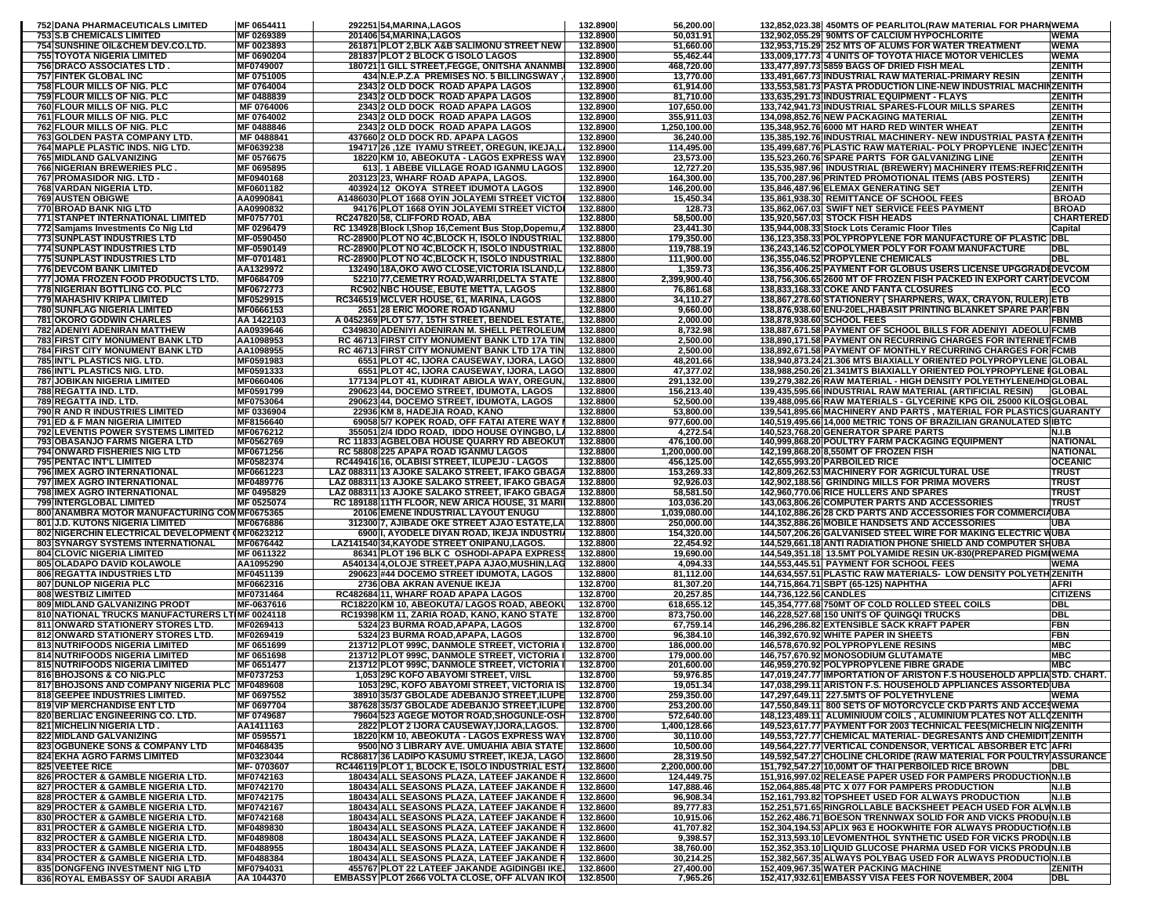| 752 DANA PHARMACEUTICALS LIMITED                                                  | MF 0654411               | 292251 54, MARINA, LAGOS                                                                         | 132.8900             | 56,200.00                |                        | 132,852,023.38 450MTS OF PEARLITOL(RAW MATERIAL FOR PHARNWEMA                                                                           |                              |
|-----------------------------------------------------------------------------------|--------------------------|--------------------------------------------------------------------------------------------------|----------------------|--------------------------|------------------------|-----------------------------------------------------------------------------------------------------------------------------------------|------------------------------|
| <b>753 S.B CHEMICALS LIMITED</b>                                                  | MF 0269389               | 201406 54, MARINA, LAGOS                                                                         | 132.8900             | 50,031.91                |                        | 132,902,055.29 90MTS OF CALCIUM HYPOCHLORITE                                                                                            | <b>WEMA</b>                  |
| 754 SUNSHINE OIL&CHEM DEV.CO.LTD.<br><b>755 TOYOTA NIGERIA LIMITED</b>            | MF 0023893<br>MF 0690204 | 261871 PLOT 2, BLK A&B SALIMONU STREET NEW<br>281837 PLOT 2 BLOCK G ISOLO LAGOS                  | 132.8900<br>132.8900 | 51,660.00<br>55,462.44   |                        | 132,953,715.29 252 MTS OF ALUMS FOR WATER TREATMENT<br>133,009,177.73 4 UNITS OF TOYOTA HIACE MOTOR VEHICLES                            | <b>WEMA</b><br><b>WEMA</b>   |
| 756 DRACO ASSOCIATES LTD.                                                         | MF0749007                | 180721 1 GILL STREET, FEGGE, ONITSHA ANANMB                                                      | 132.8900             | 468,720.00               |                        | 133,477,897.73 5859 BAGS OF DRIED FISH MEAL                                                                                             | ZENITH                       |
| <b>757 FINTEK GLOBAL INC</b>                                                      | MF 0751005               | 434 N.E.P.Z.A PREMISES NO. 5 BILLINGSWAY,                                                        | 132.8900             | 13,770.00                |                        | 133,491,667.73 INDUSTRIAL RAW MATERIAL-PRIMARY RESIN                                                                                    | <b>ZENITH</b>                |
| 758 FLOUR MILLS OF NIG. PLC                                                       | MF 0764004               | 2343 2 OLD DOCK ROAD APAPA LAGOS                                                                 | 132.8900             | 61,914.00                |                        | 133,553,581.73 PASTA PRODUCTION LINE-NEW INDUSTRIAL MACHI                                                                               | <b>MZENITH</b>               |
| 759 FLOUR MILLS OF NIG. PLC<br>760 FLOUR MILLS OF NIG. PLC                        | MF 0488839<br>MF 0764006 | 2343 2 OLD DOCK ROAD APAPA LAGOS<br>2343 2 OLD DOCK ROAD APAPA LAGOS                             | 132.8900<br>132.8900 | 81,710.00<br>107,650.00  |                        | 133,635,291.73 INDUSTRIAL EQUIPMENT - FLAYS<br>133,742,941.73 INDUSTRIAL SPARES-FLOUR MILLS SPARES                                      | ZENITH<br>ZENITH             |
| <b>761 FLOUR MILLS OF NIG. PLC</b>                                                | MF 0764002               | 2343 2 OLD DOCK ROAD APAPA LAGOS                                                                 | 132.8900             | 355,911.03               |                        | 134,098,852.76 NEW PACKAGING MATERIAL                                                                                                   | ZENITH                       |
| 762 FLOUR MILLS OF NIG. PLC                                                       | MF 0488846               | 2343 2 OLD DOCK ROAD APAPA LAGOS                                                                 | 132.8900             | 1,250,100.00             |                        | 135,348,952.76 6000 MT HARD RED WINTER WHEAT                                                                                            | ZENITH                       |
| 763 GOLDEN PASTA COMPANY LTD.                                                     | MF 0488841               | 437660 2 OLD DOCK RD. APAPA LAGOS                                                                | 132.8900             | 36,240.00                |                        | 135,385,192.76 INDUSTRIAL MACHINERY- NEW INDUSTRIAL PASTA IZENITH                                                                       |                              |
| 764 MAPLE PLASTIC INDS. NIG LTD.                                                  | MF0639238                | 194717 26 ,1ZE IYAMU STREET, OREGUN, IKEJA,L                                                     | 132.8900             | 114,495.00               |                        | 135,499,687.76 PLASTIC RAW MATERIAL- POLY PROPYLENE INJEC ZENITH                                                                        | <b>ZENITH</b>                |
| 765 MIDLAND GALVANIZING<br><b>766 NIGERIAN BREWERIES PLC</b>                      | MF 0576675<br>MF 0695895 | 18220 KM 10, ABEOKUTA - LAGOS EXPRESS WAY<br>613 . 1 ABEBE VILLAGE ROAD IGANMU LAGOS             | 132.8900<br>132.8900 | 23,573.00<br>12,727.20   |                        | 135,523,260.76 SPARE PARTS FOR GALVANIZING LINE<br>135,535,987.96  INDUSTRIAL (BREWERY) MACHINERY ITEMS:REFRIQZENITH                    |                              |
| 767 PROMASIDOR NIG. LTD -                                                         | MF0940168                | 203123 23, WHARF ROAD APAPA, LAGOS.                                                              | 132.8900             | 164,300.00               |                        | 135,700,287.96 PRINTED PROMOTIONAL ITEMS (ABS POSTERS)                                                                                  | ZENITH                       |
| 768 VARDAN NIGERIA LTD.                                                           | MF0601182                | 403924 12 OKOYA STREET IDUMOTA LAGOS                                                             | 132.8900             | 146,200.00               |                        | 135,846,487.96 ELEMAX GENERATING SET                                                                                                    | ZENITH                       |
| <b>769 AUSTEN OBIGWE</b><br><b>770 BROAD BANK NIG LTD</b>                         | AA0990841                | A1486030 PLOT 1668 OYIN JOLAYEMI STREET VICTOI                                                   | 132.8800             | 15,450.34                |                        | 135,861,938.30 REMITTANCE OF SCHOOL FEES<br>135,862,067.03 SWIFT NET SERVICE FEES PAYMENT                                               | <b>BROAD</b><br><b>BROAD</b> |
| 771 STANPET INTERNATIONAL LIMITED                                                 | AA0990832<br>MF0757701   | 94176 PLOT 1668 OYIN JOLAYEMI STREET VICTOI<br>RC247820 58, CLIFFORD ROAD, ABA                   | 132.8800<br>132.8800 | 128.73<br>58,500.00      |                        | 135,920,567.03 STOCK FISH HEADS                                                                                                         | <b>CHARTERED</b>             |
| 772 Samjams Investments Co Nig Ltd                                                | MF 0296479               | RC 134928 Block I, Shop 16, Cement Bus Stop, Dopemu,                                             | 132.8800             | 23,441.30                |                        | 135,944,008.33 Stock Lots Ceramic Floor Tiles                                                                                           | Capital                      |
| 773 SUNPLAST INDUSTRIES LTD                                                       | MF-0590450               | RC-28900 PLOT NO 4C, BLOCK H, ISOLO INDUSTRIAL                                                   | 132.8800             | 179,350.00               |                        | 136,123,358.33 POLYPROPYLENE FOR MANUFACTURE OF PLASTIC DBL                                                                             |                              |
| 774 SUNPLAST INDUSTRIES LTD                                                       | MF-0590149               | RC-28900 PLOT NO 4C, BLOCK H, ISOLO INDUSTRIAL                                                   | 132.8800             | 119,788.19               |                        | 136,243,146.52 COPOLYMER POLY FOR FOAM MANUFACTURE                                                                                      | DBL                          |
| 775 SUNPLAST INDUSTRIES LTD<br><b>776 DEVCOM BANK LIMITED</b>                     | MF-0701481<br>AA1329972  | RC-28900 PLOT NO 4C, BLOCK H, ISOLO INDUSTRIAL<br>132490 18A, OKO AWO CLOSE, VICTORIA ISLAND, L  | 132.8800<br>132.8800 | 111,900.00<br>1,359.73   |                        | 136,355,046.52 PROPYLENE CHEMICALS<br>136,356,406.25 PAYMENT FOR GLOBUS USERS LICENSE UPGGRADI DEVCOM                                   | DBL                          |
| 777 JOMA FROZEN FOOD PRODUCTS LTD.                                                | MF0684709                | 52210 77, CEMETRY ROAD, WARRI, DELTA STATE                                                       | 132.8800             | 2,399,900.40             |                        | 138,756,306.65 2600 MT OF FROZEN FISH PACKED IN EXPORT CART DEVCOM                                                                      |                              |
| 778 NIGERIAN BOTTLING CO. PLC                                                     | MF0672773                | <b>RC902 NBC HOUSE, EBUTE METTA, LAGOS</b>                                                       | 132.8800             | 76,861.68                |                        | 138,833,168.33 COKE AND FANTA CLOSURES                                                                                                  | ECO                          |
| <b>779 MAHASHIV KRIPA LIMITED</b>                                                 | MF0529915                | RC346519 MCLVER HOUSE, 61, MARINA, LAGOS                                                         | 132.8800             | 34,110.27                |                        | 138,867,278.60 STATIONERY ( SHARPNERS, WAX, CRAYON, RULER) ETB                                                                          |                              |
| <b>780 SUNFLAG NIGERIA LIMITED</b>                                                | MF0666153                | 2651 28 ERIC MOORE ROAD IGANMU                                                                   | 132.8800             | 9,660.00                 |                        | 138,876,938.60 ENU-20EL, HABASIT PRINTING BLANKET SPARE PAR FBN                                                                         |                              |
| <b>781 OKORO GODWIN CHARLES</b><br><b>782 ADENIYI ADENIRAN MATTHEW</b>            | AA 1422103<br>AA0939646  | A 0452369 PLOT 577, 15TH STREET, BENDEL ESTATE,<br>C349830 ADENIYI ADENIRAN M. SHELL PETROLEUN   | 132.8800<br>132.8800 | 2,000.00<br>8,732.98     |                        | 138,878,938.60 SCHOOL FEES<br>138,887,671.58 PAYMENT OF SCHOOL BILLS FOR ADENIYI ADEOLU FCMB                                            | <b>FBNMB</b>                 |
| <b>783 FIRST CITY MONUMENT BANK LTD</b>                                           | AA1098953                | RC 46713 FIRST CITY MONUMENT BANK LTD 17A TIN                                                    | 132.8800             | 2,500.00                 |                        | 138,890,171.58 PAYMENT ON RECURRING CHARGES FOR INTERNET FCMB                                                                           |                              |
| <b>784 FIRST CITY MONUMENT BANK LTD</b>                                           | AA1098955                | <b>RC 46713 FIRST CITY MONUMENT BANK LTD 17A TIN</b>                                             | 132.8800             | 2,500.00                 |                        | 138,892,671.58 PAYMENT OF MONTHLY RECURRING CHARGES FOR FCMB                                                                            |                              |
| 785 INT'L PLASTICS NIG. LTD.                                                      | MF0591983                | 6551 PLOT 4C, IJORA CAUSEWAY, IJORA, LAGO                                                        | 132.8800             | 48,201.66                |                        | 138,940,873.24 21.306 MTS BIAXIALLY ORIENTED POLYPROPYLENE GLOBAL                                                                       |                              |
| <b>786 INT'L PLASTICS NIG. LTD.</b>                                               | MF0591333<br>MF0660406   | 6551 PLOT 4C, IJORA CAUSEWAY, IJORA, LAGO<br>177134 PLOT 41, KUDIRAT ABIOLA WAY, OREGUN          | 132.8800<br>132.8800 | 47,377.02                |                        | 138,988,250.26 21.341 MTS BIAXIALLY ORIENTED POLYPROPYLENE IGLOBAL<br>139,279,382.26 RAW MATERIAL - HIGH DENSITY POLYETHYLENE/HD GLOBAL |                              |
| <b>787 JOBIKAN NIGERIA LIMITED</b><br>788 REGATTA IND. LTD.                       | MF0591799                | 290623 44, DOCEMO STREET, IDUMOTA, LAGOS                                                         | 132.8800             | 291,132.00<br>156,213.40 |                        | 139,435,595.66 INDUSTRIAL RAW MATERIAL (ARTIFICIAL RESIN)                                                                               | <b>GLOBAL</b>                |
| 789 REGATTA IND. LTD.                                                             | MF0753064                | 290623 44. DOCEMO STREET. IDUMOTA, LAGOS                                                         | 132.8800             | 52,500.00                |                        | 139,488,095.66 RAW MATERIALS - GLYCERINE KPG OIL 25000 KILOSGLOBAL                                                                      |                              |
| 790 R AND R INDUSTRIES LIMITED                                                    | MF 0336904               | 22936 KM 8, HADEJIA ROAD, KANO                                                                   | 132.8800             | 53,800.00                |                        | 139,541,895.66 MACHINERY AND PARTS, MATERIAL FOR PLASTICS GUARANTY                                                                      |                              |
| 791 ED & F MAN NIGERIA LIMITED                                                    | MF8156640                | 69058 5/7 KOPEK ROAD, OFF FATAI ATERE WAY                                                        | 132.8800             | 977,600.00               |                        | 140,519,495.66 14,000 METRIC TONS OF BRAZILIAN GRANULATED SIBTC                                                                         |                              |
| <b>792 LEVENTIS POWER SYSTEMS LIMITED</b><br><b>793 OBASANJO FARMS NIGERA LTD</b> | MF0676212<br>MF0562769   | 355051 2/4 IDDO ROAD, IDDO HOUSE OYINGBO, LA<br>RC 11833 AGBELOBA HOUSE QUARRY RD ABEOKUT        | 132.8800<br>132.8800 | 4,272.54<br>476,100.00   |                        | 140,523,768.20 GENERATOR SPARE PARTS<br>140,999,868.20 POULTRY FARM PACKAGING EQUIPMENT                                                 | N.I.B<br><b>NATIONAL</b>     |
| 794 ONWARD FISHERIES NIG LTD                                                      | MF0671256                | RC 58808 225 APAPA ROAD IGANMU LAGOS                                                             | 132.8800             | 1,200,000.00             |                        | 142,199,868.20 8,550MT OF FROZEN FISH                                                                                                   | <b>NATIONAL</b>              |
|                                                                                   |                          |                                                                                                  |                      |                          |                        |                                                                                                                                         |                              |
| <b>795 PENTAC INT'L LIMITED</b>                                                   | MF0582374                | RC449416 16, OLABISI STREET, ILUPEJU - LAGOS                                                     | 132.8800             | 456,125.00               |                        | 142,655,993.20 PARBOILED RICE                                                                                                           | <b>OCEANIC</b>               |
| 796 IMEX AGRO INTERNATIONAL                                                       | <b>MF0661223</b>         | LAZ 088311 13 AJOKE SALAKO STREET, IFAKO GBAGA                                                   | 132.8800             | 153,269.33               |                        | 142,809,262.53 MACHINERY FOR AGRICULTURAL USE                                                                                           | <b>TRUST</b>                 |
| 797 IMEX AGRO INTERNATIONAL                                                       | MF0489776                | LAZ 088311 13 AJOKE SALAKO STREET, IFAKO GBAGA                                                   | 132.8800             | 92,926.03                |                        | 142,902,188.56 GRINDING MILLS FOR PRIMA MOVERS                                                                                          | <b>TRUS1</b>                 |
| 798 IMEX AGRO INTERNATIONAL<br><b>799 INTERGLOBAL LIMITED</b>                     | MF 0495829<br>MF 0525074 | LAZ 088311 13 AJOKE SALAKO STREET, IFAKO GBAGA<br>RC 189188 11TH FLOOR, NEW ARICA HOUSE, 31 MARI | 132.8800<br>132.8800 | 58,581.50<br>103,036.20  |                        | 142,960,770.06 RICE HULLERS AND SPARES<br>143,063,806.26 COMPUTER PARTS AND ACCESSORIES                                                 | TRUST<br>TRUST               |
| 800 ANAMBRA MOTOR MANUFACTURING COMMF0675365                                      |                          | 20106 EMENE INDUSTRIAL LAYOUT ENUGU                                                              | 132.8800             | 1,039,080.00             |                        | 144,102,886.26 28 CKD PARTS AND ACCESSORIES FOR COMMERCIAUBA                                                                            |                              |
| 801 J.D. KUTONS NIGERIA LIMITED                                                   | MF0676886                | 312300 7, AJIBADE OKE STREET AJAO ESTATE,LA                                                      | 132.8800             | 250,000.00               |                        | 144,352,886.26 MOBILE HANDSETS AND ACCESSORIES                                                                                          | UBA                          |
| 802 NIGERCHIN ELECTRICAL DEVELOPMENT (MF0623212                                   |                          | 6900 I, AYODELE DIYAN ROAD, IKEJA INDUSTRIA                                                      | 132.8800             | 154,320.00               |                        | 144,507,206.26 GALVANISED STEEL WIRE FOR MAKING ELECTRIC WUBA                                                                           |                              |
| 803 SYNARGY SYSTEMS INTERNATIONAL<br><b>804 CLOVIC NIGERIA LIMITED</b>            | MF0676442<br>MF 0611322  | LAZ141540 34, KAYODE STREET ONIPANU, LAGOS.<br>86341 PLOT 196 BLK C OSHODI-APAPA EXPRESS         | 132.8800<br>132.8800 | 22,454.92<br>19,690.00   |                        | 144,529,661.18 ANTI RADIATION PHONE SHIELD AND COMPUTER SHUBA<br>144,549,351.18 13.5MT POLYAMIDE RESIN UK-830(PREPARED PIGMIWEMA        |                              |
| 805 OLADAPO DAVID KOLAWOLE                                                        | AA1095290                | A540134 4, OLOJE STREET, PAPA AJAO, MUSHIN, LAG                                                  | 132.8800             | 4,094.33                 |                        | 144,553,445.51 PAYMENT FOR SCHOOL FEES                                                                                                  | WEMA                         |
| 806 REGATTA INDUSTRIES LTD                                                        | MF0451139                | 290623 #44 DOCEMO STREET IDUMOTA, LAGOS                                                          | 132.8800             | 81,112.00                |                        | 144,634,557.51 PLASTIC RAW MATERIALS- LOW DENSITY POLYETH ZENITH                                                                        |                              |
| <b>807 DUNLOP NIGERIA PLC</b>                                                     | MF0662316                | 2736 OBA AKRAN AVENUE IKEJA                                                                      | 132.8700             | 81,307.20                |                        | 144,715,864.71 SBPT (65-125) NAPHTHA                                                                                                    | <b>AFRI</b>                  |
| <b>808 WESTBIZ LIMITED</b><br>809 MIDLAND GALVANIZING PRODT                       | MF0731464<br>MF-0637616  | RC482684 11, WHARF ROAD APAPA LAGOS<br>RC18220 KM 10, ABEOKUTA/ LAGOS ROAD, ABEOKU               | 132.8700<br>132.8700 | 20,257.85<br>618,655.12  | 144,736,122.56 CANDLES | 145,354,777.68 750MT OF COLD ROLLED STEEL COILS                                                                                         | <b>CITIZENS</b><br>DBL       |
| 810 NATIONAL TRUCKS MANUFACTURERS LTIMF 0024118                                   |                          | RC19398 KM 11, ZARIA ROAD, KANO, KANO STATE                                                      | 132.8700             | 873,750.00               |                        | 146,228,527.68 150 UNITS OF QUINGQI TRUCKS                                                                                              | DBI                          |
| 811 ONWARD STATIONERY STORES LTD.                                                 | MF0269413                | 5324 23 BURMA ROAD, APAPA, LAGOS                                                                 | 132.8700             | 67,759.14                |                        | 146,296,286.82 EXTENSIBLE SACK KRAFT PAPER                                                                                              | FBN                          |
| 812 ONWARD STATIONERY STORES LTD.                                                 | MF0269419                | 5324 23 BURMA ROAD, APAPA, LAGOS                                                                 | 132.8700             | 96,384.10                |                        | 146,392,670.92 WHITE PAPER IN SHEETS                                                                                                    | FBN                          |
| <b>813 NUTRIFOODS NIGERIA LIMITED</b><br>814 NUTRIFOODS NIGERIA LIMITED           | MF 0651699<br>MF 0651698 | 213712 PLOT 999C, DANMOLE STREET, VICTORIA<br>213712 PLOT 999C, DANMOLE STREET, VICTORIA         | 132.8700<br>132.8700 | 186,000.00<br>179,000.00 |                        | 146,578,670.92 POLYPROPYLENE RESINS<br>146,757,670.92 MONOSODIUM GLUTAMATE                                                              | MBC<br>МВС                   |
| <b>815 NUTRIFOODS NIGERIA LIMITED</b>                                             | MF 0651477               | 213712 PLOT 999C, DANMOLE STREET, VICTORIA                                                       | 132.8700             | 201,600.00               |                        | 146,959,270.92 POLYPROPYLENE FIBRE GRADE                                                                                                | <b>MBC</b>                   |
| 816 BHOJSONS & CO NIG.PLC                                                         | MF0737253                | 1,053 29C KOFO ABAYOMI STREET, V/ISL                                                             | 132.8700             | 59,976.85                |                        | 147,019,247.77 IMPORTATION OF ARISTON F.S HOUSEHOLD APPLIASTD. CHART.                                                                   |                              |
| 817 BHOJSONS AND COMPANY NIGERIA PLC MF0489608                                    |                          | 1053 29C, KOFO ABAYOMI STREET, VICTORIA IS                                                       | 132.8700             | 19,051.34                |                        | 147,038,299.11 ARISTON F.S. HOUSEHOLD APPLIANCES ASSORTED UBA                                                                           |                              |
| 818 GEEPEE INDUSTRIES LIMITED.                                                    | MF 0697552               | 38910 35/37 GBOLADE ADEBANJO STREET, ILUPE                                                       | 132.8700             | 259,350.00               |                        | 147,297,649.11 227.5MTS OF POLYETHYLENE                                                                                                 | <b>WEMA</b>                  |
| 819 VIP MERCHANDISE ENT LTD<br>820 BERLIAC ENGINEERING CO. LTD.                   | MF 0697704<br>MF 0749687 | 387628 35/37 GBOLADE ADEBANJO STREET, ILUPE<br>79604 523 AGEGE MOTOR ROAD, SHOGUNLE-OSH          | 132.8700<br>132.8700 | 253,200.00<br>572,640.00 |                        | 147,550,849.11 800 SETS OF MOTORCYCLE CKD PARTS AND ACCESWEMA<br>148,123,489.11  ALUMINIUUM COILS, ALUMINIUM PLATES NOT ALLOZENITH      |                              |
| 821 MICHELIN NIGERIA LTD.                                                         | AA1411163                | 2822 PLOT 2 IJORA CAUSEWAY, IJORA, LAGOS.                                                        | 132.8700             | 1,400,128.66             |                        | 149,523,617.77 PAYMENT FOR 2003 TECHNICAL FEES(MICHELIN NIGZENITH                                                                       |                              |
| 822 MIDLAND GALVANIZING                                                           | MF 0595571               | 18220 KM 10, ABEOKUTA - LAGOS EXPRESS WAY                                                        | 132.8700             | 30,110.00                |                        | 149,553,727.77 CHEMICAL MATERIAL- DEGRESANTS AND CHEMIDIT ZENITH                                                                        |                              |
| 823 OGBUNEKE SONS & COMPANY LTD<br><b>824 EKHA AGRO FARMS LIMITED</b>             | MF0468435<br>MF0323044   | 9500 NO 3 LIBRARY AVE. UMUAHIA ABIA STATE                                                        | 132.8600             | 10,500.00<br>28,319.50   |                        | 149,564,227.77 VERTICAL CONDENSOR, VERTICAL ABSORBER ETC AFRI                                                                           |                              |
| <b>825 VEETEE RICE</b>                                                            | MF-0703607               | RC86817 36 LADIPO KASUMU STREET, IKEJA, LAGO<br>RC446119 PLOT 1, BLOCK E, ISOLO INDUSTRIAL EST/  | 132.8600<br>132.8600 | 2,200,000.00             |                        | 149,592,547.27 CHOLINE CHLORIDE (RAW MATERIAL FOR POULTRY ASSURANCE<br>151,792,547.27 10,00MT OF THAI PERBOILED RICE BROWN              | DBL                          |
| 826 PROCTER & GAMBLE NIGERIA LTD.                                                 | MF0742163                | 180434 ALL SEASONS PLAZA, LATEEF JAKANDE R                                                       | 132.8600             | 124,449.75               |                        | 151,916,997.02 RELEASE PAPER USED FOR PAMPERS PRODUCTIONN.I.B                                                                           |                              |
| 827 PROCTER & GAMBLE NIGERIA LTD.                                                 | MF0742170                | 180434 ALL SEASONS PLAZA, LATEEF JAKANDE R                                                       | 132.8600             | 147,888.46               |                        | 152,064,885.48 PTC X 077 FOR PAMPERS PRODUCTION                                                                                         | <b>N.I.B</b>                 |
| 828 PROCTER & GAMBLE NIGERIA LTD.                                                 | MF0742175                | 180434 ALL SEASONS PLAZA, LATEEF JAKANDE R                                                       | 132.8600             | 96,908.34                |                        | 152,161,793.82 TOPSHEET USED FOR ALWAYS PRODUCTION                                                                                      | N.I.B                        |
| 829 PROCTER & GAMBLE NIGERIA LTD.<br>830 PROCTER & GAMBLE NIGERIA LTD.            | MF0742167<br>MF0742168   | 180434 ALL SEASONS PLAZA, LATEEF JAKANDE R<br>180434 ALL SEASONS PLAZA, LATEEF JAKANDE F         | 132.8600<br>132.8600 | 89,777.83<br>10,915.06   |                        | 152,251,571.65 RINGROLLABLE BACKSHEET PEACH USED FOR ALVIN.I.B<br>152,262,486.71 BOESON TRENNWAX SOLID FOR AND VICKS PRODUN.I.B         |                              |
| 831 PROCTER & GAMBLE NIGERIA LTD.                                                 | MF0489830                | 180434 ALL SEASONS PLAZA, LATEEF JAKANDE R                                                       | 132.8600             | 41,707.82                |                        | 152,304,194.53 APLIX 963 E HOOKWHITE FOR ALWAYS PRODUCTION.I.B                                                                          |                              |
| 832 PROCTER & GAMBLE NIGERIA LTD.                                                 | MF0489808                | 180434 ALL SEASONS PLAZA, LATEEF JAKANDE R                                                       | 132.8600             | 9,398.57                 |                        | 152,313,593.10 LEVOMENTHOL SYNTHETIC USED FOR VICKS PRODUN.I.B                                                                          |                              |
| 833 PROCTER & GAMBLE NIGERIA LTD.                                                 | MF0488955                | 180434 ALL SEASONS PLAZA, LATEEF JAKANDE R                                                       | 132.8600             | 38,760.00                |                        | 152,352,353.10 LIQUID GLUCOSE PHARMA USED FOR VICKS PRODUN.I.B                                                                          |                              |
| 834 PROCTER & GAMBLE NIGERIA LTD.<br>835 DONGFENG INVESTMENT NIG LTD              | MF0488384<br>MF0794031   | 180434 ALL SEASONS PLAZA, LATEEF JAKANDE R<br>455767 PLOT 22 LATEEF JAKANDE AGIDINGBI IKE.       | 132.8600<br>132.8600 | 30,214.25<br>27,400.00   |                        | 152,382,567.35 ALWAYS POLYBAG USED FOR ALWAYS PRODUCTION.I.B<br>152,409,967.35 WATER PACKING MACHINE                                    | ZENITH                       |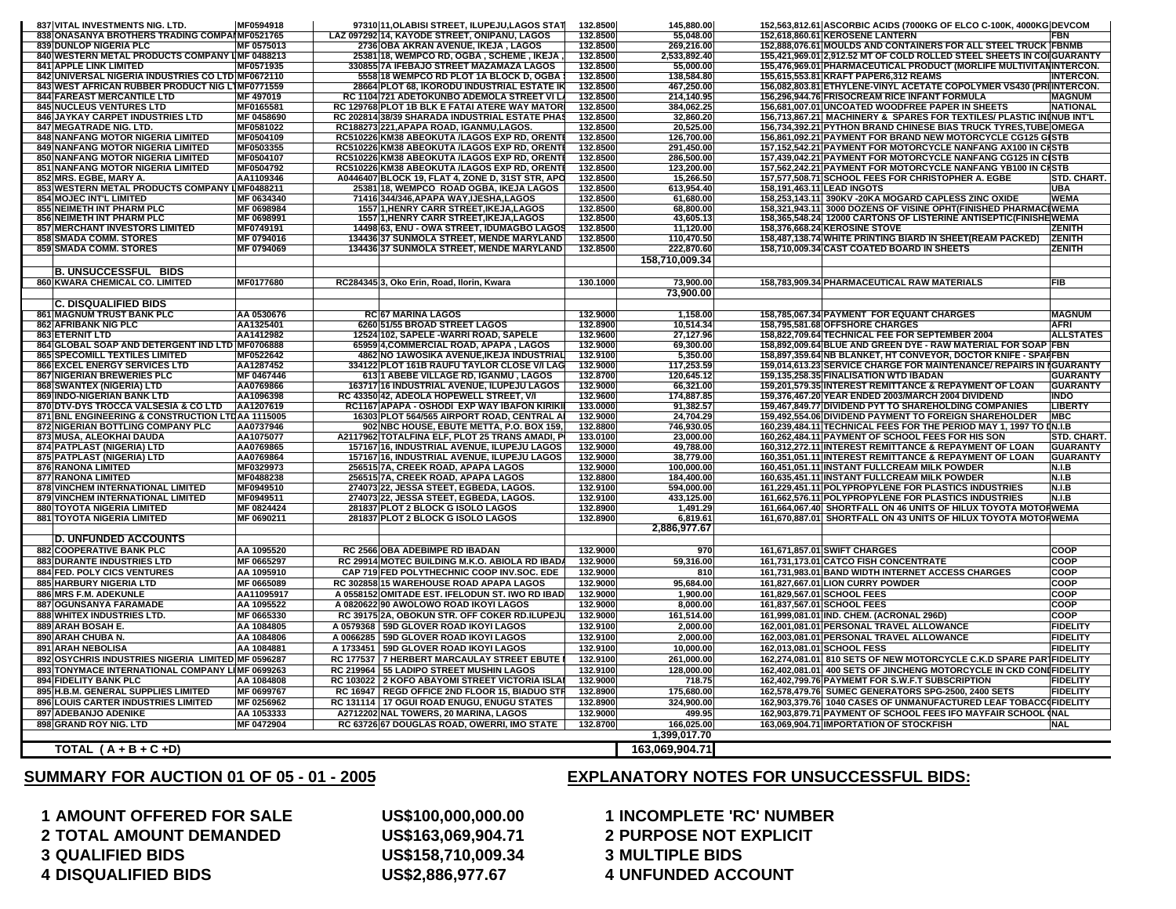**2 TOTAL AMOUNT DEMANDED US\$163,069,904.71 2 PURPOSE NOT EXPLICIT 3 QUALIFIED BIDS US\$158,710,009.34 3 MULTIPLE BIDS 4 DISQUALIFIED BIDS US\$2,886,977.67 4 UNFUNDED ACCOUNT**

**SUMMARY FOR AUCTION 01 OF 05 - 01 - 2005**

## **1 AMOUNT OFFERED FOR SALE US\$100,000,000.00 1 INCOMPLETE 'RC' NUMBER**

## **EXPLANATORY NOTES FOR UNSUCCESSFUL BIDS:**

| 837 VITAL INVESTMENTS NIG. LTD.                                                    | MF0594918              | 97310 11, OLABISI STREET, ILUPEJU, LAGOS STAT                                               | 132.8500             | 145.880.00              | 152,563,812.61 ASCORBIC ACIDS (7000KG OF ELCO C-100K, 4000KG DEVCOM                                                                    |
|------------------------------------------------------------------------------------|------------------------|---------------------------------------------------------------------------------------------|----------------------|-------------------------|----------------------------------------------------------------------------------------------------------------------------------------|
| 838 ONASANYA BROTHERS TRADING COMPAIMF0521765                                      |                        | LAZ 097292 14, KAYODE STREET, ONIPANU, LAGOS                                                | 132,8500             | 55.048.00               | 152,618,860.61 KEROSENE LANTERN<br><b>FBN</b>                                                                                          |
| <b>839 DUNLOP NIGERIA PLC</b>                                                      | MF 0575013             | 2736 OBA AKRAN AVENUE, IKEJA, LAGOS                                                         | 132.8500             | 269,216.00              | 152,888,076.61 MOULDS AND CONTAINERS FOR ALL STEEL TRUCK FBNMB                                                                         |
| 840 WESTERN METAL PRODUCTS COMPANY UMF 0488213                                     |                        | 25381 18, WEMPCO RD, OGBA, SCHEME, IKEJA                                                    | 132.8500             | 2,533,892.40            | 155,421,969.01 2,912.52 MT OF COLD ROLLED STEEL SHEETS IN COIGUARANTY                                                                  |
| <b>841 APPLE LINK LIMITED</b><br>842 UNIVERSAL NIGERIA INDUSTRIES CO LTD MF0672110 | MF0571935              | 330855 7A IFEBAJO STREET MAZAMAZA LAGOS<br>5558 18 WEMPCO RD PLOT 1A BLOCK D, OGBA          | 132.8500<br>132.8500 | 55,000.00<br>138,584.80 | 155,476,969.01 PHARMACEUTICAL PRODUCT (MORLIFE MULTIVITANINTERCON.<br>155,615,553.81 KRAFT PAPER6,312 REAMS<br><b>INTERCON.</b>        |
| 843 WEST AFRICAN RUBBER PRODUCT NIG LIMF0771559                                    |                        | 28664 PLOT 68, IKORODU INDUSTRIAL ESTATE IN                                                 | 132.8500             | 467,250.00              | 156,082,803.81 ETHYLENE-VINYL ACETATE COPOLYMER VS430 (PRIINTERCON.                                                                    |
| <b>844 FAREAST MERCANTILE LTD</b>                                                  | MF 497019              | RC 1104 721 ADETOKUNBO ADEMOLA STREET VI L                                                  | 132.8500             | 214,140.95              | 156,296,944.76 FRISOCREAM RICE INFANT FORMULA<br><b>MAGNUM</b>                                                                         |
| 845 NUCLEUS VENTURES LTD                                                           | MF0165581              | RC 129768 PLOT 1B BLK E FATAI ATERE WAY MATOR                                               | 132.8500             | 384,062.25              | 156,681,007.01 UNCOATED WOODFREE PAPER IN SHEETS<br><b>NATIONAL</b>                                                                    |
| <b>846 JAYKAY CARPET INDUSTRIES LTD</b>                                            | MF 0458690             | RC 202814138/39 SHARADA INDUSTRIAL ESTATE PHA                                               | 132.8500             | 32.860.20               | 156,713,867.21 MACHINERY & SPARES FOR TEXTILES/ PLASTIC ININUB INT'L                                                                   |
| <b>847 MEGATRADE NIG. LTD.</b>                                                     | MF0581022              | RC188273 221, APAPA ROAD, IGANMU, LAGOS.                                                    | 132.8500             | 20.525.00               | 156,734,392.21 PYTHON BRAND CHINESE BIAS TRUCK TYRES, TUBE OMEGA                                                                       |
| <b>848 NANFANG MOTOR NIGERIA LIMITED</b>                                           | MF0504109              | RC510226 KM38 ABEOKUTA /LAGOS EXP RD, ORENT                                                 | 132.8500             | 126,700.00              | 156,861,092.21 PAYMENT FOR BRAND NEW MOTORCYCLE CG125 GISTB                                                                            |
| 849 NANFANG MOTOR NIGERIA LIMITED                                                  | MF0503355              | RC510226 KM38 ABEOKUTA /LAGOS EXP RD, ORENT                                                 | 132.8500             | 291,450.00              | 157,152,542.21 PAYMENT FOR MOTORCYCLE NANFANG AX100 IN CISTB                                                                           |
| 850 NANFANG MOTOR NIGERIA LIMITED                                                  | MF0504107              | RC510226 KM38 ABEOKUTA /LAGOS EXP RD, ORENT                                                 | 132.8500             | 286,500.00              | 157,439,042.21 PAYMENT FOR MOTORCYCLE NANFANG CG125 IN CISTB                                                                           |
| <b>851 NANFANG MOTOR NIGERIA LIMITED</b>                                           | MF0504792              | RC510226 KM38 ABEOKUTA /LAGOS EXP RD, ORENT                                                 | 132.8500<br>132.8500 | 123,200.00              | 157,562,242.21 PAYMENT FOR MOTORCYCLE NANFANG YB100 IN CISTB<br>157,577,508.71 SCHOOL FEES FOR CHRISTOPHER A. EGBE<br>STD. CHART.      |
| 852 MRS. EGBE, MARY A.<br>853 WESTERN METAL PRODUCTS COMPANY LIMF0488211           | AA1109346              | A0446407 BLOCK 19, FLAT 4, ZONE D, 31ST STR, APO<br>25381 18, WEMPCO ROAD OGBA, IKEJA LAGOS | 132.8500             | 15,266.50<br>613,954.40 | 158,191,463.11 LEAD INGOTS<br><b>UBA</b>                                                                                               |
| <b>854 MOJEC INT'L LIMITED</b>                                                     | MF 0634340             | 71416 344/346, APAPA WAY, IJESHA, LAGOS                                                     | 132.8500             | 61,680.00               | 158,253,143.11 390KV - 20KA MOGARD CAPLESS ZINC OXIDE<br><b>WEMA</b>                                                                   |
| <b>855 NEIMETH INT PHARM PLC</b>                                                   | MF 0698984             | <b>155711.HENRY CARR STREET.IKEJA.LAGOS</b>                                                 | 132,8500             | 68.800.00               | 158.321.943.11 3000 DOZENS OF VISINE OPHT(FINISHED PHARMACIWEMA                                                                        |
| <b>856 NEIMETH INT PHARM PLC</b>                                                   | MF 0698991             | 1557 1, HENRY CARR STREET, IKEJA, LAGOS                                                     | 132.8500             | 43,605.13               | 158,365,548.24 12000 CARTONS OF LISTERINE ANTISEPTIC(FINISHEWEMA                                                                       |
| <b>857 MERCHANT INVESTORS LIMITED</b>                                              | MF0749191              | 14498 63, ENU - OWA STREET, IDUMAGBO LAGOS                                                  | 132.8500             | 11,120.00               | 158,376,668.24 KEROSINE STOVE<br><b>ZENITH</b>                                                                                         |
| 858 SMADA COMM. STORES                                                             | MF 0794016             | 134436 37 SUNMOLA STREET, MENDE MARYLAND                                                    | 132.8500             | 110,470.50              | 158,487,138.74 WHITE PRINTING BIARD IN SHEET(REAM PACKED)<br><b>ZENITH</b>                                                             |
| <b>859 SMADA COMM. STORES</b>                                                      | MF 0794069             | 134436 37 SUNMOLA STREET, MENDE MARYLAND                                                    | 132.8500             | 222,870.60              | 158,710,009.34 CAST COATED BOARD IN SHEETS<br><b>ZENITH</b>                                                                            |
|                                                                                    |                        |                                                                                             |                      | 158,710,009.34          |                                                                                                                                        |
| <b>B. UNSUCCESSFUL BIDS</b>                                                        |                        |                                                                                             |                      |                         |                                                                                                                                        |
| 860 KWARA CHEMICAL CO. LIMITED                                                     | MF0177680              | RC28434513, Oko Erin, Road, Ilorin, Kwara                                                   | 130,1000             | 73.900.00               | 158.783.909.34 PHARMACEUTICAL RAW MATERIALS<br><b>FIB</b>                                                                              |
|                                                                                    |                        |                                                                                             |                      | 73,900.00               |                                                                                                                                        |
| <b>C. DISQUALIFIED BIDS</b>                                                        |                        |                                                                                             |                      |                         |                                                                                                                                        |
| <b>861 MAGNUM TRUST BANK PLC</b>                                                   | AA 0530676             | <b>RC 67 MARINA LAGOS</b>                                                                   | 132.9000             | 1,158.00                | 158,785,067.34 PAYMENT FOR EQUANT CHARGES<br><b>MAGNUM</b>                                                                             |
| <b>862 AFRIBANK NIG PLC</b>                                                        | AA1325401              | 6260 51/55 BROAD STREET LAGOS                                                               | 132.8900<br>132.9600 | 10,514.34               | 158,795,581.68 OFFSHORE CHARGES<br><b>AFRI</b><br>158,822,709.64 TECHNICAL FEE FOR SEPTEMBER 2004                                      |
| 863 ETERNIT LTD<br>864 GLOBAL SOAP AND DETERGENT IND LTD MF0706888                 | AA1412982              | 12524 102, SAPELE -WARRI ROAD, SAPELE<br>65959 4, COMMERCIAL ROAD, APAPA, LAGOS             | 132.9000             | 27,127.96<br>69,300.00  | <b>ALLSTATES</b><br>158,892,009.64 BLUE AND GREEN DYE - RAW MATERIAL FOR SOAP FBN                                                      |
| <b>865 SPECOMILL TEXTILES LIMITED</b>                                              | MF0522642              | 4862 NO 1AWOSIKA AVENUE, IKEJA INDUSTRIAL                                                   | 132.9100             | 5,350.00                | 158,897,359.64 NB BLANKET, HT CONVEYOR, DOCTOR KNIFE - SPAIFBN                                                                         |
| 866 EXCEL ENERGY SERVICES LTD                                                      | AA1287452              | 334122 PLOT 161B RAUFU TAYLOR CLOSE V/I LAG                                                 | 132.9000             | 117,253.59              | 159,014,613.23 SERVICE CHARGE FOR MAINTENANCE/ REPAIRS IN IGUARANTY                                                                    |
| <b>867 NIGERIAN BREWERIES PLC</b>                                                  | MF 0467446             | 61311 ABEBE VILLAGE RD. IGANMU, LAGOS                                                       | 132.8700             | 120,645.12              | 159.135.258.35 FINALISATION WTD IBADAN<br><b>GUARANTY</b>                                                                              |
| <b>868 SWANTEX (NIGERIA) LTD</b>                                                   | AA0769866              | <b>163717116 INDUSTRIAL AVENUE. ILUPEJU LAGOS</b>                                           | 132.9000             | 66,321.00               | 159,201,579.35 INTEREST REMITTANCE & REPAYMENT OF LOAN<br><b>GUARANTY</b>                                                              |
| 869 INDO-NIGERIAN BANK LTD                                                         | AA1096398              | RC 43350 42, ADEOLA HOPEWELL STREET, V/I                                                    | 132.9600             | 174,887.85              | 159,376,467.20 YEAR ENDED 2003/MARCH 2004 DIVIDEND<br>INDO                                                                             |
| 870 DTV-DYS TROCCA VALSESIA & CO LTD                                               | AA1207619              | RC1167 APAPA - OSHODI EXP WAY IBAFON KIRIK                                                  | 133.0000             | 91,382.57               | 159,467,849.77 DIVIDEND PYT TO SHAREHOLDING COMPANIES<br><b>LIBERTY</b>                                                                |
| 871 BNL ENGINEERING & CONSTRUCTION LTDAA 1115005                                   |                        | 16303 PLOT 564/565 AIRPORT ROAD, CENTRAL A                                                  | 132.9000             | 24,704.29               | 159,492,554.06 DIVIDEND PAYMENT TO FOREIGN SHAREHOLDER<br><b>MBC</b>                                                                   |
| 872 NIGERIAN BOTTLING COMPANY PLC<br>873 MUSA, ALEOKHAI DAUDA                      | AA0737946<br>AA1075077 | 902 NBC HOUSE, EBUTE METTA, P.O. BOX 159,<br>A2117962 TOTALFINA ELF, PLOT 25 TRANS AMADI, P | 132.8800<br>133.0100 | 746,930.05<br>23,000.00 | 160,239,484.11 TECHNICAL FEES FOR THE PERIOD MAY 1, 1997 TO IN.I.B<br>160,262,484.11 PAYMENT OF SCHOOL FEES FOR HIS SON<br>STD. CHART. |
| 874 PATPLAST (NIGERIA) LTD                                                         | AA0769865              | 157167 16, INDUSTRIAL AVENUE, ILUPEJU LAGOS                                                 | 132.9000             | 49,788.00               | 160,312,272.11 INTEREST REMITTANCE & REPAYMENT OF LOAN<br><b>GUARANTY</b>                                                              |
| 875 PATPLAST (NIGERIA) LTD                                                         | AA0769864              | 157167 16, INDUSTRIAL AVENUE, ILUPEJU LAGOS                                                 | 132.9000             | 38,779.00               | 160,351,051.11 INTEREST REMITTANCE & REPAYMENT OF LOAN<br><b>GUARANTY</b>                                                              |
| <b>876 RANONA LIMITED</b>                                                          | MF0329973              | 25651517A. CREEK ROAD. APAPA LAGOS                                                          | 132.9000             | 100.000.00              | 160,451,051.11 INSTANT FULLCREAM MILK POWDER<br><b>N.I.B</b>                                                                           |
| <b>877 RANONA LIMITED</b>                                                          | MF0488238              | 256515 7A, CREEK ROAD, APAPA LAGOS                                                          | 132,8800             | 184.400.00              | 160,635,451.11 INSTANT FULLCREAM MILK POWDER<br><b>N.I.B</b>                                                                           |
| 878 VINCHEM INTERNATIONAL LIMITED                                                  | MF0949510              | 274073 22, JESSA STEET, EGBEDA, LAGOS                                                       | 132.9100             | 594,000.00              | 161,229,451.11 POLYPROPYLENE FOR PLASTICS INDUSTRIES<br>N.I.B                                                                          |
| 879 VINCHEM INTERNATIONAL LIMITED                                                  | MF0949511              | 274073 22, JESSA STEET, EGBEDA, LAGOS.                                                      | 132.9100             | 433,125.00              | 161,662,576.11 POLYPROPYLENE FOR PLASTICS INDUSTRIES<br>N.I.B                                                                          |
| <b>880 TOYOTA NIGERIA LIMITED</b>                                                  | MF 0824424             | 281837 PLOT 2 BLOCK G ISOLO LAGOS                                                           | 132.8900             | 1,491.29                | 161,664,067.40 SHORTFALL ON 46 UNITS OF HILUX TOYOTA MOTORWEMA                                                                         |
| <b>881 TOYOTA NIGERIA LIMITED</b>                                                  | MF 0690211             | 281837 PLOT 2 BLOCK G ISOLO LAGOS                                                           | 132.8900             | 6,819.61                | 161,670,887.01 SHORTFALL ON 43 UNITS OF HILUX TOYOTA MOTORWEMA                                                                         |
| <b>D. UNFUNDED ACCOUNTS</b>                                                        |                        |                                                                                             |                      | 2,886,977.67            |                                                                                                                                        |
| <b>882 COOPERATIVE BANK PLC</b>                                                    | AA 1095520             | RC 2566 OBA ADEBIMPE RD IBADAN                                                              | 132.9000             | 970                     | 161,671,857.01 SWIFT CHARGES<br>COOP                                                                                                   |
| <b>883 DURANTE INDUSTRIES LTD</b>                                                  | MF 0665297             | RC 29914 MOTEC BUILDING M.K.O. ABIOLA RD IBAD.                                              | 132.9000             | 59,316.00               | COOP<br>161,731,173.01 CATCO FISH CONCENTRATE                                                                                          |
| 884 FED. POLY CICS VENTURES                                                        | AA 1095910             | CAP 719 FED POLYTHECHNIC COOP INV.SOC. EDE                                                  | 132.9000             | 810                     | COOP<br>161,731,983.01 BAND WIDTH INTERNET ACCESS CHARGES                                                                              |
| 885 HARBURY NIGERIA LTD                                                            | MF 0665089             | RC 302858 15 WAREHOUSE ROAD APAPA LAGOS                                                     | 132.9000             | 95,684.00               | 161,827,667.01 LION CURRY POWDER<br>COOP                                                                                               |
| 886 MRS F.M. ADEKUNLE                                                              | AA11095917             | A 0558152 OMITADE EST. IFELODUN ST. IWO RD IBAD                                             | 132.9000             | 1,900.00                | 161,829,567.01 SCHOOL FEES<br>COOP                                                                                                     |
| <b>887 OGUNSANYA FARAMADE</b>                                                      | AA 1095522             | A 0820622 90 AWOLOWO ROAD IKOYI LAGOS                                                       | 132.9000             | 8,000.00                | 161,837,567.01 SCHOOL FEES<br><b>COOP</b>                                                                                              |
| <b>888 WHITEX INDUSTRIES LTD.</b>                                                  | MF 0665330             | RC 39175 2A, OBOKUN STR. OFF COKER RD.ILUPEJU                                               | 132.9000             | 161,514.00              | COOP<br>161,999,081.01 IND. CHEM. (ACRONAL 296D)                                                                                       |
| 889 ARAH BOSAH E.                                                                  | AA 1084805             | A 0579368 59D GLOVER ROAD IKOYI LAGOS                                                       | 132.9100             | 2,000.00                | 162,001,081.01 PERSONAL TRAVEL ALLOWANCE<br><b>FIDELITY</b>                                                                            |
| 890 ARAH CHUBA N.                                                                  | AA 1084806             | A 0066285 59D GLOVER ROAD IKOYI LAGOS                                                       | 132.9100             | 2,000.00                | 162,003,081.01 PERSONAL TRAVEL ALLOWANCE<br><b>FIDELITY</b>                                                                            |
| 891 ARAH NEBOLISA                                                                  | AA 1084881             | A 1733451 59D GLOVER ROAD IKOYI LAGOS                                                       | 132.9100             | 10,000.00               | <b>FIDELITY</b><br>162,013,081.01 SCHOOL FESS                                                                                          |
| 892 OSYCHRIS INDUSTRIES NIGERIA LIMITED MF 0596287                                 |                        | RC 177537 7 HERBERT MARCAULAY STREET EBUTE                                                  | 132.9100             | 261,000.00              | 162,274,081.01 810 SETS OF NEW MOTORCYCLE C.K.D SPARE PARTFIDELITY                                                                     |
| 893 TONYMACE INTERNATIONAL COMPANY LIMF 0699263                                    |                        | RC 219964 55 LADIPO STREET MUSHIN LAGOS                                                     | 132.9100             | 128,000.00              | 162,402,081.01 400 SETS OF JINCHENG MOTORCYCLE IN CKD CONIFIDELITY                                                                     |
| 894 FIDELITY BANK PLC                                                              | AA 1084808             | RC 103022 2 KOFO ABAYOMI STREET VICTORIA ISLA                                               | 132.9000             | 718.75                  | 162,402,799.76 PAYMEMT FOR S.W.F.T SUBSCRIPTION<br><b>FIDELITY</b>                                                                     |
| 895 H.B.M. GENERAL SUPPLIES LIMITED                                                | MF 0699767             | RC 16947 REGD OFFICE 2ND FLOOR 15, BIADUO STI                                               | 132.8900             | 175,680.00              | 162,578,479.76 SUMEC GENERATORS SPG-2500, 2400 SETS<br><b>FIDELITY</b>                                                                 |
| 896 LOUIS CARTER INDUSTRIES LIMITED                                                | MF 0256962             | RC 131114   17 OGUI ROAD ENUGU, ENUGU STATES                                                | 132.8900             | 324,900.00              | 162,903,379.76 1040 CASES OF UNMANUFACTURED LEAF TOBACC FIDELITY                                                                       |
| <b>897 ADEBANJO ADENIKE</b>                                                        | AA 1053333             | A2712202 NAL TOWERS, 20 MARINA, LAGOS                                                       | 132.9000             | 499.95                  | 162.903.879.71 PAYMENT OF SCHOOL FEES IFO MAYFAIR SCHOOL INAL                                                                          |
| 898 GRAND ROY NIG. LTD                                                             | MF 0472904             | RC 63726 67 DOUGLAS ROAD, OWERRI, IMO STATE                                                 | 132.8700             | 166,025.00              | 163,069,904.71 IMPORTATION OF STOCKFISH<br><b>NAL</b>                                                                                  |
|                                                                                    |                        |                                                                                             |                      | 1,399,017.70            |                                                                                                                                        |
| TOTAL $(A + B + C + D)$                                                            |                        |                                                                                             |                      | 163,069,904.71          |                                                                                                                                        |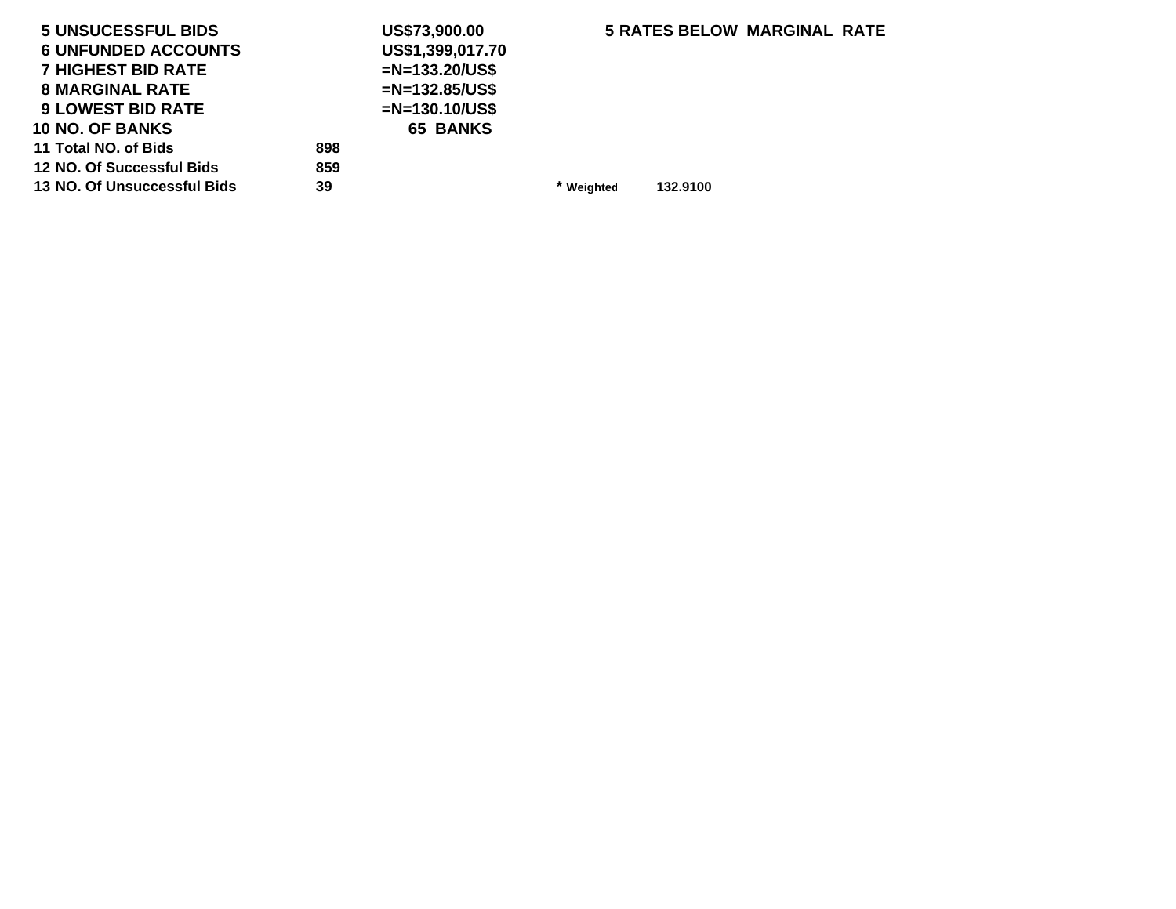| <b>5 UNSUCESSFUL BIDS</b>   |     | US\$73,900.00     |            | <b>5 RATES BELOW MARGINAL RATE</b> |  |
|-----------------------------|-----|-------------------|------------|------------------------------------|--|
| <b>6 UNFUNDED ACCOUNTS</b>  |     | US\$1,399,017.70  |            |                                    |  |
| <b>7 HIGHEST BID RATE</b>   |     | $=N=133.20/US$ \$ |            |                                    |  |
| <b>8 MARGINAL RATE</b>      |     | $=N=132.85/US$ \$ |            |                                    |  |
| <b>9 LOWEST BID RATE</b>    |     | $=N=130.10/US$ \$ |            |                                    |  |
| <b>10 NO. OF BANKS</b>      |     | <b>65 BANKS</b>   |            |                                    |  |
| 11 Total NO. of Bids        | 898 |                   |            |                                    |  |
| 12 NO. Of Successful Bids   | 859 |                   |            |                                    |  |
| 13 NO. Of Unsuccessful Bids | 39  |                   | * Weighted | 132.9100                           |  |
|                             |     |                   |            |                                    |  |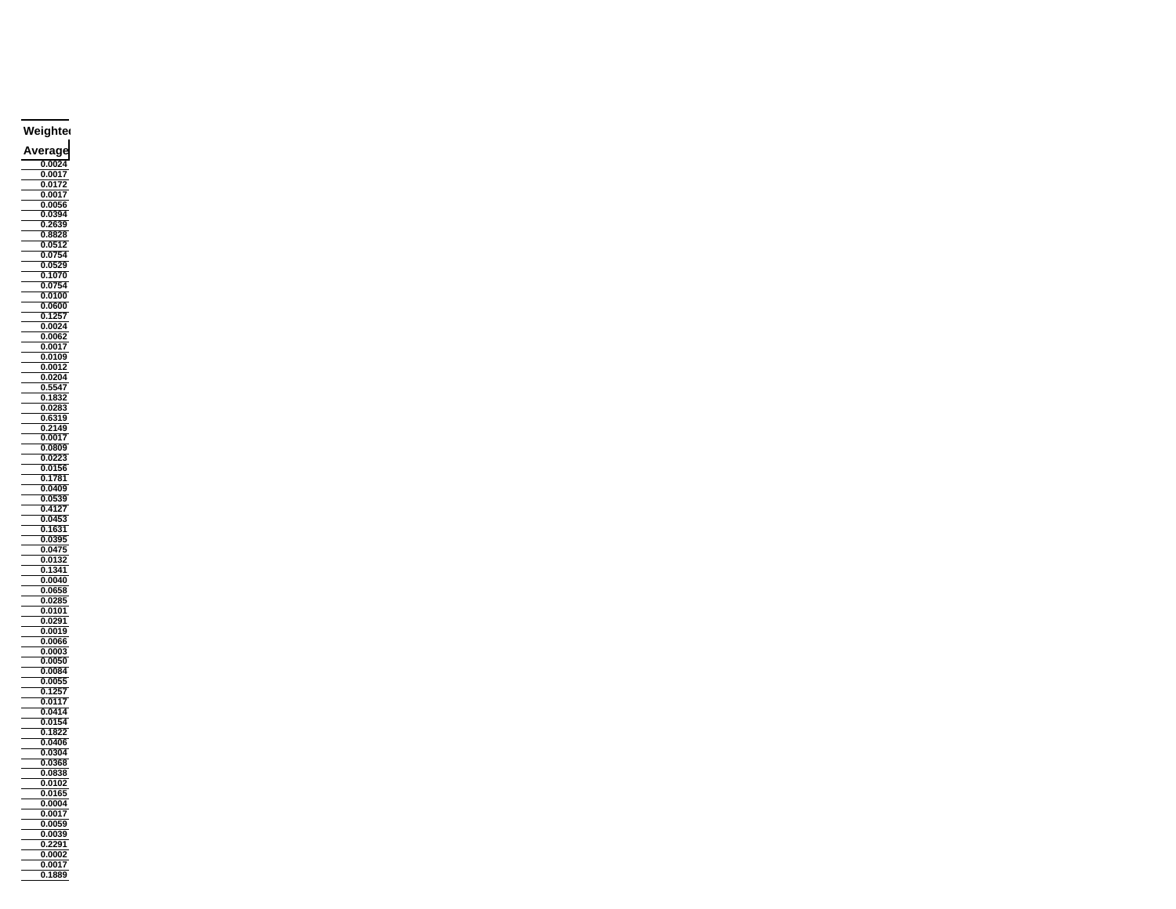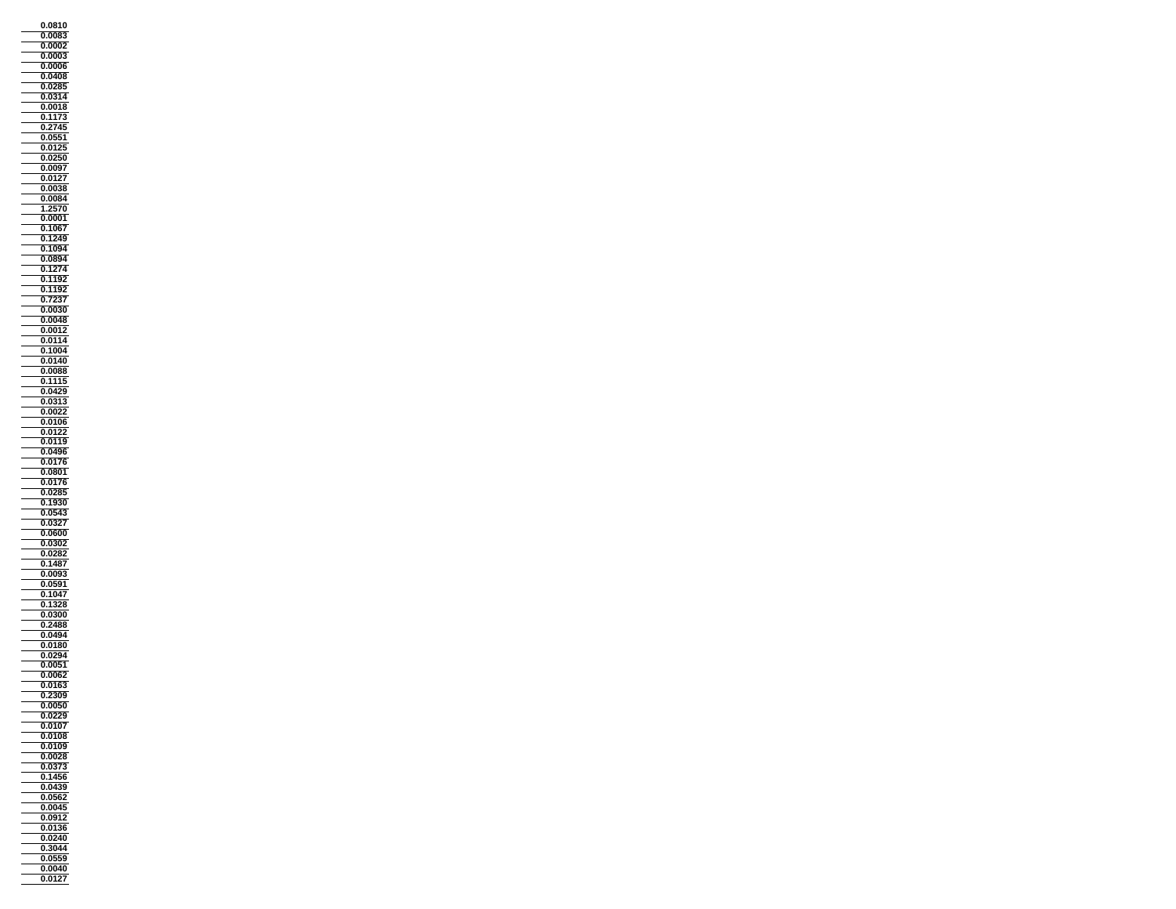**0.0810 0.0083 0.0002**  $\frac{1}{\sqrt{2}}$ **0.0003**Ξ **0.0006 0.0408 0.0285 0.0314 0.0018 0.1173 0.2745 0.0551 0.0125 0.0250 0.0097 0.0127 0.0038 0.0084** $0.0084$ **1.2570 0.0001 0.1067 0.1249 0.1094 0.0894**0.0894 **0.1274 0.1192 0.1192**  $\equiv$ **0.7237 0.0030 0.0048 0.0012 0.0114 0.1004 0.0140 0.0088 0.1115 0.0429 0.0313 0.0022 0.0106 0.0122 0.0119 0.0496 0.0176 0.0801 0.0176 0.0285 0.1930**  $\overline{\phantom{0}}$ **0.0543 0.0327 0.0600 0.0302** $0.0302$ **0.0282 0.1487 0.0093 0.0591 0.1047 0.1328 0.0300 0.2488 0.0494** ÷, **0.0180 0.0294 0.0051 0.0062 0.0163 0.2309 0.0050 0.0229 0.0107 0.0108 0.0109 0.0028 0.0373 0.1456 0.0439 0.0562 0.0045 0.0912 0.0136 0.0240 0.3044 0.0559**  $\qquad \qquad =\qquad$ **0.00400.0127**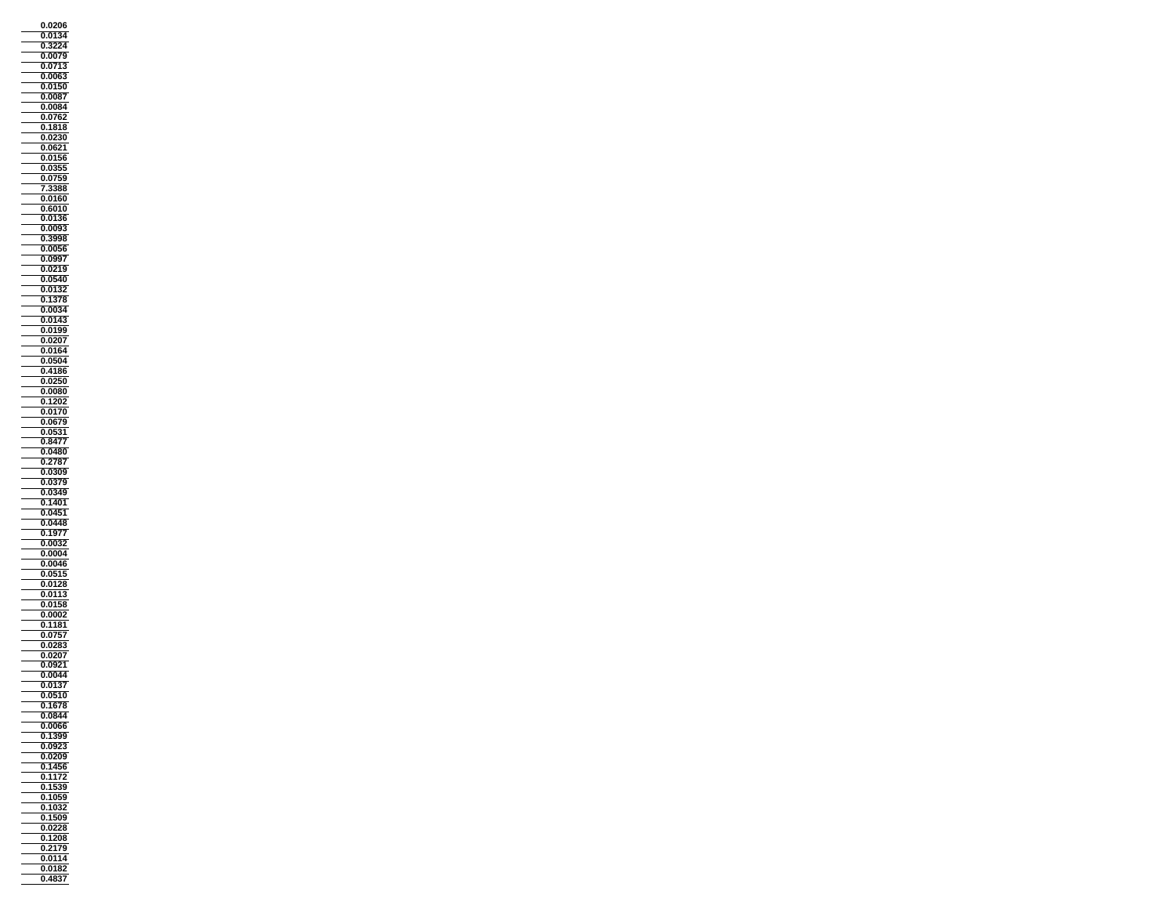**0.0206 0.0134 0.3224 0.0079 0.0713 0.0063 0.0150 0.0087 0.0084 0.0762 0.1818 0.0230 0.0621 0.0156 0.0355 0.0759 7.3388 0.0160**i. **0.6010 0.0136 0.0093 0.3998 0.0056 0.0997 0.0219 0.0540 0.0132 0.1378 0.0034 0.0143** Ξ **0.0199 0.0207 0.0164 0.0504 0.4186 0.0250 0.0080 0.1202 0.0170 0.0679 0.0531 0.8477 0.0480 0.2787 0.0309**  $0.0379$  **0.0349 0.1401 0.0451 0.0448 0.1977 0.0032 0.0004 0.0046 0.0515 0.0128 0.0113 0.0158 0.0002 0.1181 0.0757**  $\equiv$ **0.0283 0.0207 0.0921 0.0044 0.0137 0.0510 0.1678 0.0844 0.0066 0.1399 0.0923 0.0209 0.1456 0.1172 0.1539 0.1059 0.1032 0.1509 0.0228 0.1208 0.2179 0.0114**  $\equiv$ **0.01820.4837**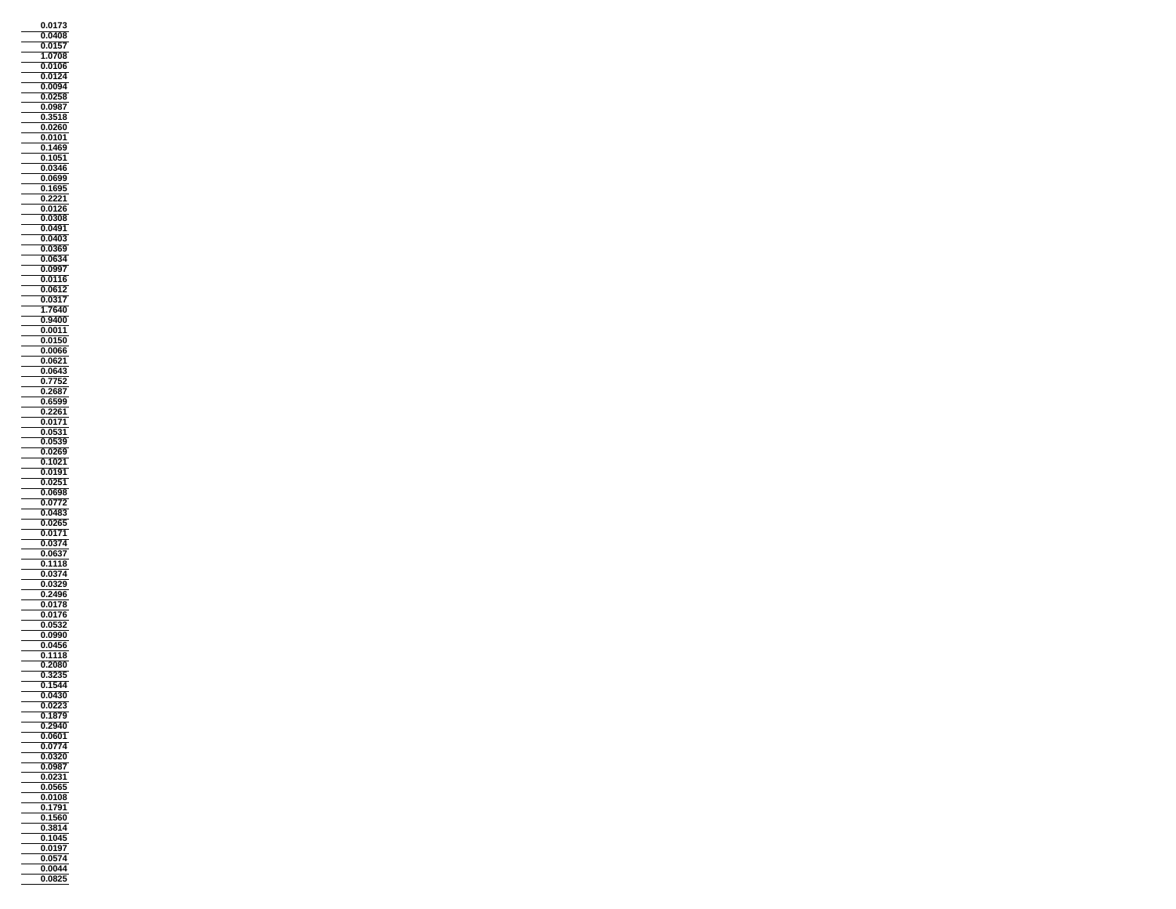**0.0173 0.0408 0.0157**  $\frac{1}{\sqrt{2\pi}}\int_{0}^{\pi}\frac{1}{\sqrt{2\pi}}\left( \frac{1}{\sqrt{2\pi}}\right) \frac{d\mathbf{x}}{d\mathbf{x}}\left( \frac{1}{\sqrt{2\pi}}\right) d\mathbf{x}$ **1.0708** $\overline{\phantom{0}}$  **0.0106 0.0124 0.0094 0.0258 0.0987 0.3518 0.0260 0.0101 0.1469 0.1051 0.0346 0.0699 0.1695 0.2221 0.0126 0.0308 0.0491 0.0403 0.0369 0.0634**0.0634 **0.0997 0.0116 0.0612 0.0317 1.7640 0.9400 0.0011 0.0150 0.0066 0.0621 0.0643 0.7752 0.2687 0.6599 0.2261 0.0171 0.0531 0.0539 0.0269 0.1021 0.0191 0.0251 0.0698 0.0772**  $\overline{\phantom{0}}$ **0.0483 0.0265 0.0171 0.0374**0.0374 Ξ **0.0637 0.1118 0.0374 0.0329 0.2496 0.0178**  $\equiv$ **0.0176 0.0532 0.0990** ÷, **0.0456 0.1118 0.2080 0.3235 0.1544 0.0430**  $-\frac{0.0702}{0.0223}$  **0.1879 0.2940 0.0601 0.0774 0.0320 0.0987 0.0231 0.0565 0.0108 0.1791 0.1560 0.3814 0.1045 0.0197 0.0574**  $\equiv$ **0.00440.0825**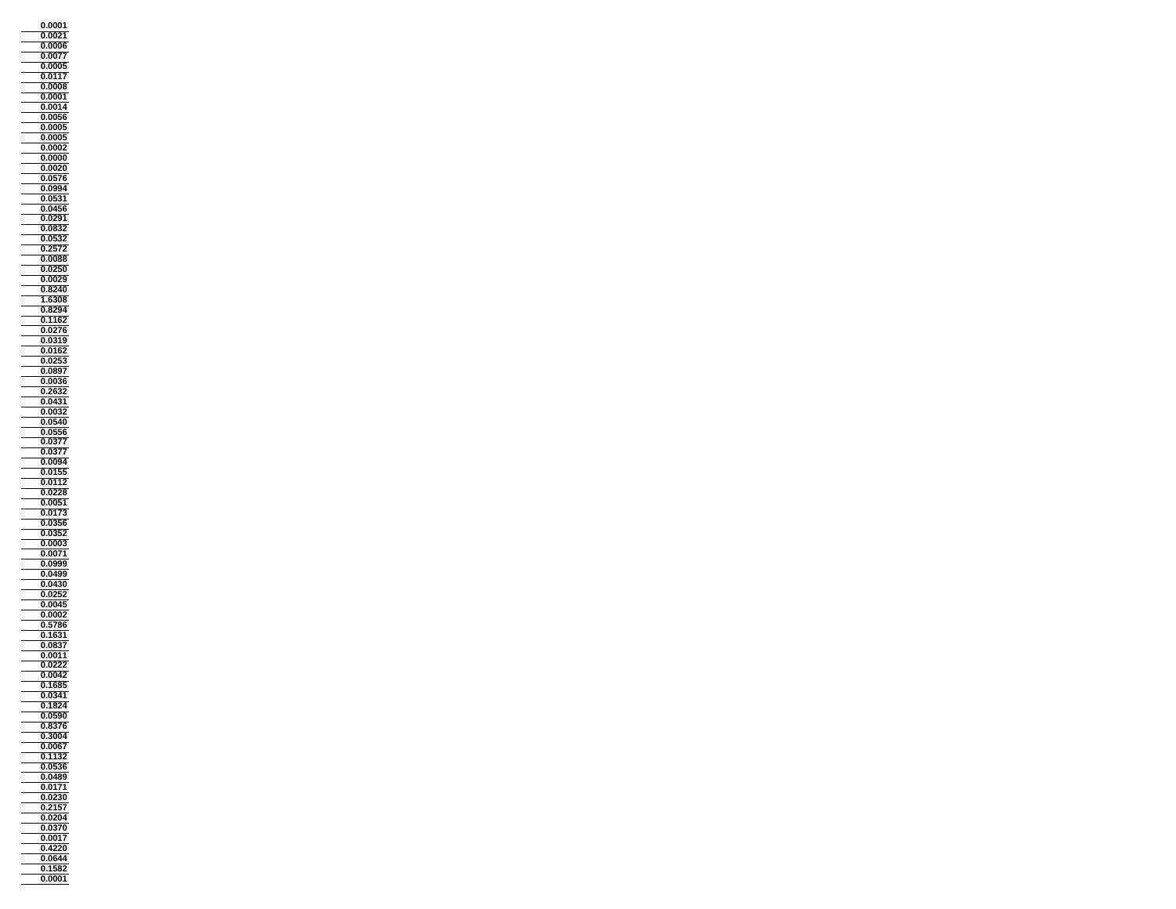**0.0001 0.0021 0.0006 0.0077 0.0005 0.0117 0.0008 0.0001 0.0014 0.0056 0.0005 0.0005 0.0002 0.0000 0.0020 0.0576 0.0994 0.0531** i. **0.0456 0.0291 0.0832 0.0532 0.2572 0.0088 0.0250 0.0029 0.8240**  $\equiv$ **1.6308 0.8294 0.1162 0.0276 0.0319 0.0162 0.0253 0.0897 0.0036 0.2632 0.0431 0.0032 0.0540 0.0556 0.0377 0.0377 0.0094 0.0155**  $\frac{0.0133}{0.0112}$  **0.0228 0.0051 0.0173 0.0356 0.0352 0.0003** $0.0003$ **0.0071 0.0999 0.0499 0.0430 0.0252 0.0045 0.0002 0.5786 0.1631**  $\equiv$ **0.0837 0.0011 0.0222 0.0042 0.1685 0.0341 0.1824 0.0590 0.8376 0.3004 0.0067 0.1132 0.0536 0.0489 0.0171 0.0230 0.2157 0.0204 0.0370 0.0017 0.4220 0.0644 0.1582 0.0001**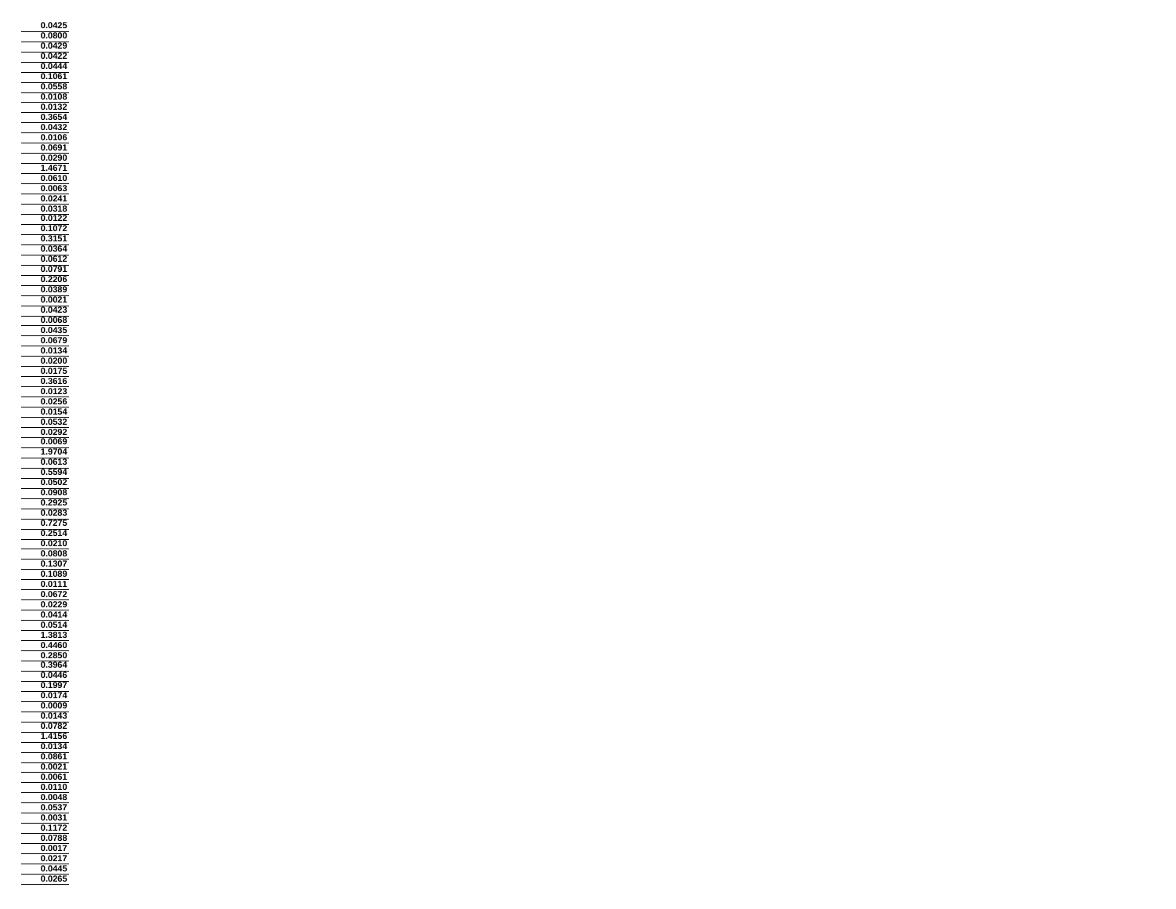**0.0425 0.0800 0.0429 0.0422 0.0444 0.1061 0.0558 0.0108 0.0132 0.3654 0.0432 0.0106 0.0691 0.0290** $\frac{1}{\sqrt{1-\frac{1}{2}}}$  **1.4671 0.0610 0.0063 0.0241 0.0318 0.0122 0.1072 0.3151 0.0364 0.0612** $0.0612$ **0.0791 0.2206 0.0389**  $\equiv$ **0.0021 0.0423 0.0068 0.0435 0.0679 0.0134 0.0200 0.0175 0.3616 0.0123 0.0256 0.0154 0.0532 0.0292 0.0069 1.9704 0.0613 0.5594 0.0502 0.0908 0.2925 0.0283 0.7275 0.2514 0.0210**  $\equiv$ **0.0808 0.1307 0.1089 0.0111 0.0672 0.0229 0.0414 0.0514 1.3813**  $\overline{\phantom{0}}$ **0.4460 0.2850 0.3964 0.0446 0.1997 0.0174**  $\frac{0.0174}{0.0009}$  **0.0143 0.0782 1.4156 0.0134 0.0861 0.0021 0.0061 0.0110 0.0048 0.0537 0.0031 0.1172 0.0788 0.0017 0.0217**  $\equiv$ **0.04450.0265**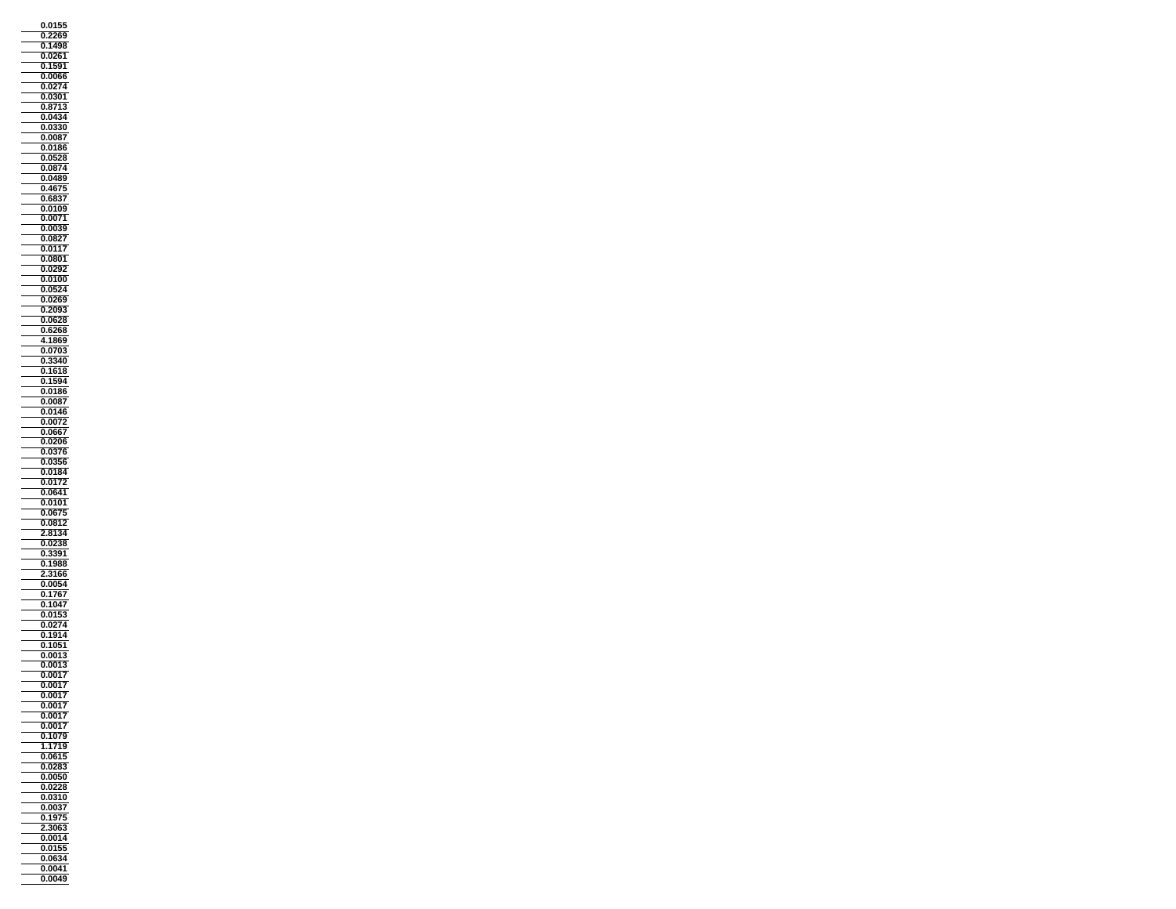**0.0155 0.2269 0.1498 0.0261 0.1591 0.0066 0.0274 0.0301 0.8713 0.0434 0.0330 0.0087 0.0186 0.0528** $\equiv$  **0.0874 0.0489 0.4675 0.6837 0.0109 0.0071 0.0039 0.0827 0.0117 0.0801 0.0292 0.0100 0.0524**  $\equiv$ **0.0269 0.2093 0.0628 0.6268 4.1869 0.0703 0.3340 0.1618 0.1594 0.0186 0.0087 0.0146 0.0072 0.0667 0.0206 0.0376 0.0356 0.0184 0.0172 0.0641 0.0101 0.0675 0.0812 2.8134 0.0238** $\frac{10000}{0.0238}$  $\equiv$ **0.3391 0.1988 2.3166 0.0054 0.1767 0.1047 0.0153 0.0274 0.1914** Ξ **0.1051 0.0013 0.0013 0.0017 0.0017 0.0017 0.0017 0.0017 0.0017 0.1079 1.1719 0.0615 0.0283 0.0050 0.0228 0.0310 0.0037 0.1975 2.3063 0.0014 0.0155** — **0.0634 0.00410.0049**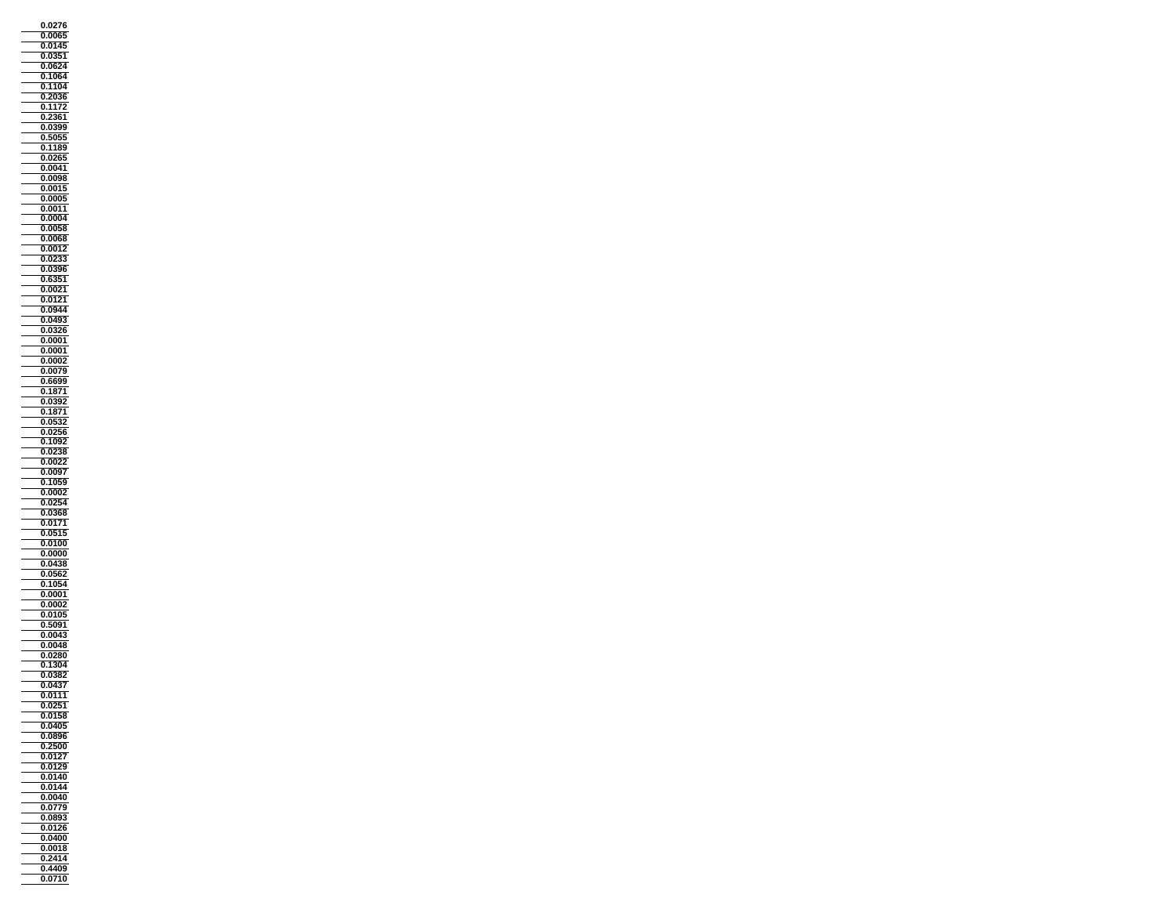**0.0276 0.0065 0.0145**  $\frac{1}{\sqrt{2}}$ **0.0351** $\equiv$  **0.0624 0.1064 0.1104 0.2036 0.1172 0.2361 0.0399 0.5055 0.1189 0.0265 0.0041 0.0098 0.0015 0.0005 0.0011 0.0004 0.0058 0.0068 0.0012 0.0233** $0.0233$ **0.0396 0.6351 0.0021**  $\equiv$ **0.0121 0.0944 0.0493 0.0326 0.0001 0.0001 0.0002 0.0079 0.6699 0.1871 0.0392 0.1871 0.0532 0.0256 0.1092 0.0238 0.0022 0.0097 0.1059 0.0002 0.0254**  $\overline{\phantom{0}}$ **0.0368 0.0171 0.0515 0.0100** $0.0100$ **0.0000 0.0438 0.0562 0.1054 0.0001 0.0002**  $\equiv$ **0.0105 0.5091 0.0043 0.0048 0.0280 0.1304 0.0382 0.0437 0.0111 0.0251 0.0158 0.0405 0.0896 0.2500 0.0127 0.0129 0.0140 0.0144 0.0040 0.0779 0.0893 0.0126 0.0400 0.0018** — **0.2414 0.44090.0710**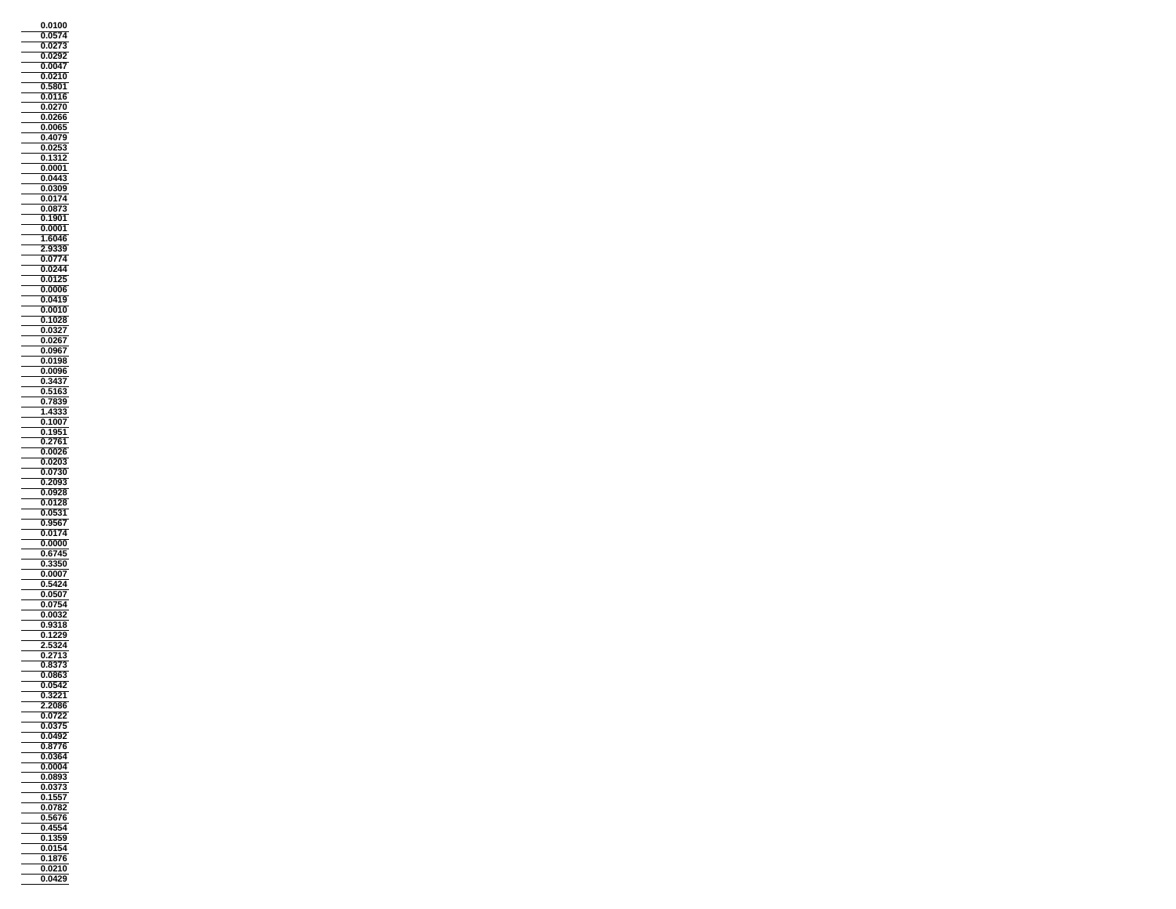**0.0100 0.0574 0.0273 0.0292 0.0047 0.0210 0.5801 0.0116 0.0270 0.0266 0.0065 0.4079 0.0253 0.1312 0.0001 0.0443 0.0309 0.0174 0.0873 0.1901 0.0001 1.6046 2.9339 0.0774** $0.0774$ **0.0244 0.0125 0.0006**  $\equiv$ **0.0419 0.0010 0.1028 0.0327 0.0267 0.0967 0.0198 0.0096 0.3437 0.5163 0.7839 1.4333 0.1007 0.1951 0.2761 0.0026 0.0203 0.0730 0.2093 0.0928 0.0128 0.0531 0.9567 0.0174 0.0000**Ξ **0.6745 0.3350 0.0007 0.5424 0.0507 0.0754 0.0032 0.9318 0.1229 2.5324 0.2713 0.8373 0.0863 0.0542 0.3221 2.2086 0.0722 0.0375 0.0492 0.8776 0.0364 0.0004 0.0893 0.0373 0.1557 0.0782 0.5676 0.4554 0.1359 0.0154 0.1876 0.02100.0429**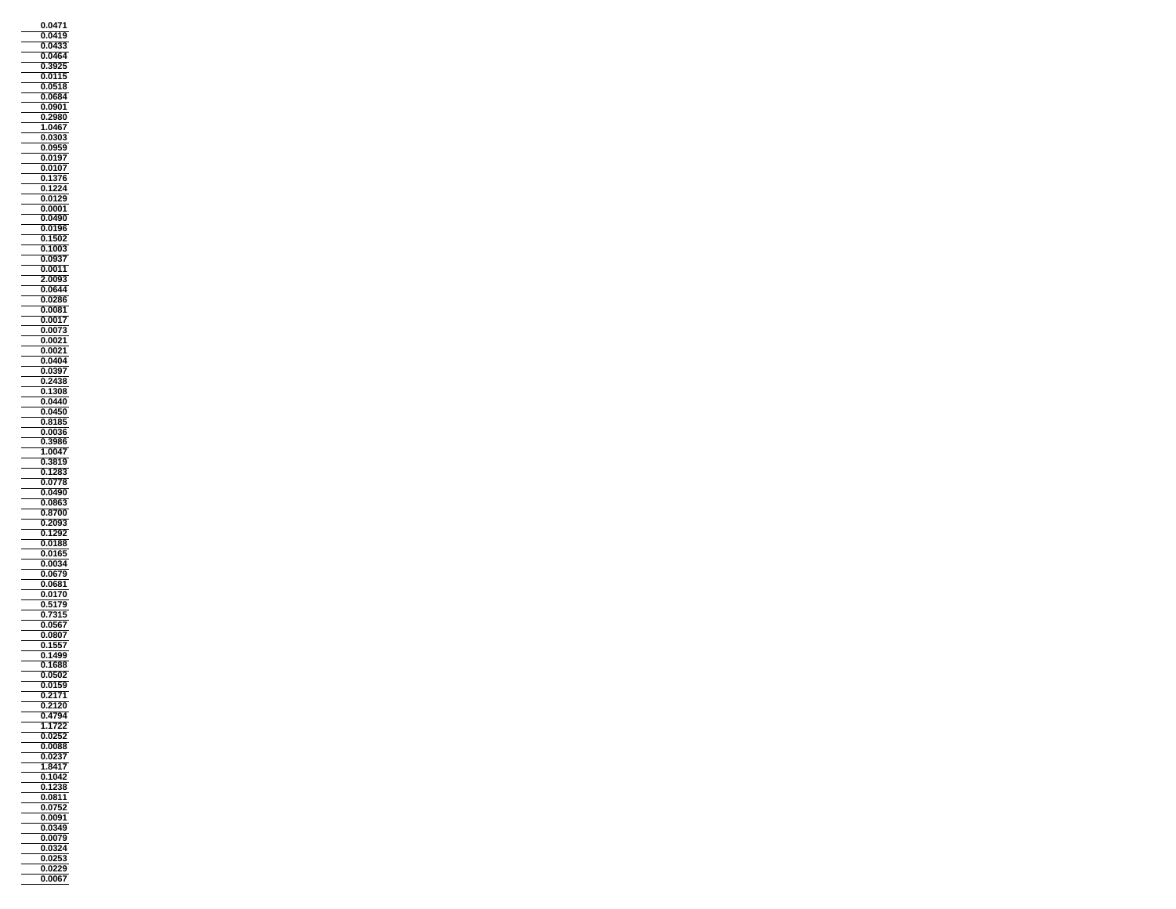**0.0471 0.0419 0.0433 0.0464 0.3925 0.0115 0.0518 0.0684 0.0901 0.2980 1.0467 0.0303 0.0959 0.0197 0.0107 0.1376 0.1224 0.0129 0.0001 0.0490 0.0196 0.1502 0.1003 0.0937 0.0011 2.0093 0.0644**  $\equiv$ **0.0286 0.0081 0.0017 0.0073 0.0021 0.0021 0.0404 0.0397 0.2438 0.1308 0.0440 0.0450 0.8185 0.0036 0.3986 1.0047 0.3819 0.1283**  $\frac{0.1283}{0.0778}$  **0.0490 0.0863 0.8700 0.2093 0.1292 0.0188** $\frac{0.1265}{0.0188}$ Ξ **0.0165 0.0034 0.0679 0.0681 0.0170 0.5179**  $\equiv$ **0.7315 0.0567 0.0807 0.1557** ÷, **0.1499 0.1688 0.0502 0.0159 0.2171 0.2120 0.4794 1.1722 0.0252 0.0088 0.0237 1.8417 0.1042 0.1238 0.0811 0.0752 0.0091 0.0349 0.0079 0.0324 0.0253 0.02290.0067**